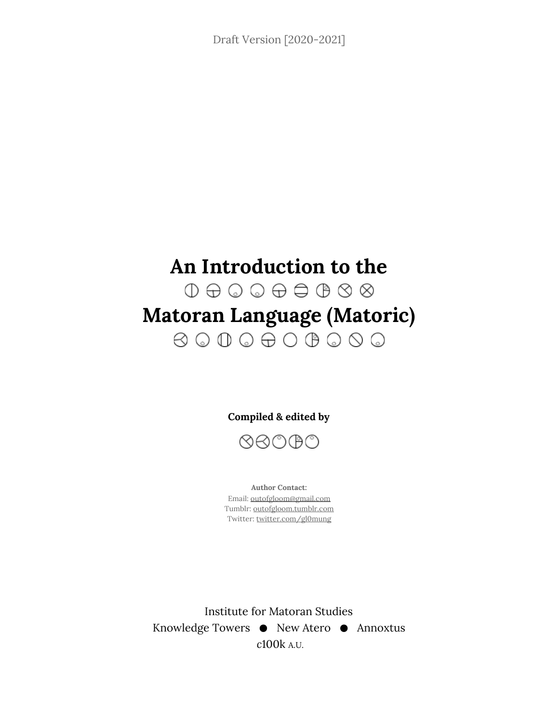# **An Introduction to the**

 $\begin{array}{l} \mathbb{O} \oplus \mathbb{O} \oplus \mathbb{O} \oplus \mathbb{O} \oplus \mathbb{O} \otimes \mathbb{O} \end{array}$ **Matoran Language (Matoric)** 

**Compiled & edited by**



**Author Contact:** Email: outofgloom@gmail.com Tumblr: outofgloom.tumblr.com Twitter: twitter.com/gl0mung

Institute for Matoran Studies Knowledge Towers ● New Atero ● Annoxtus *c*100k A.U.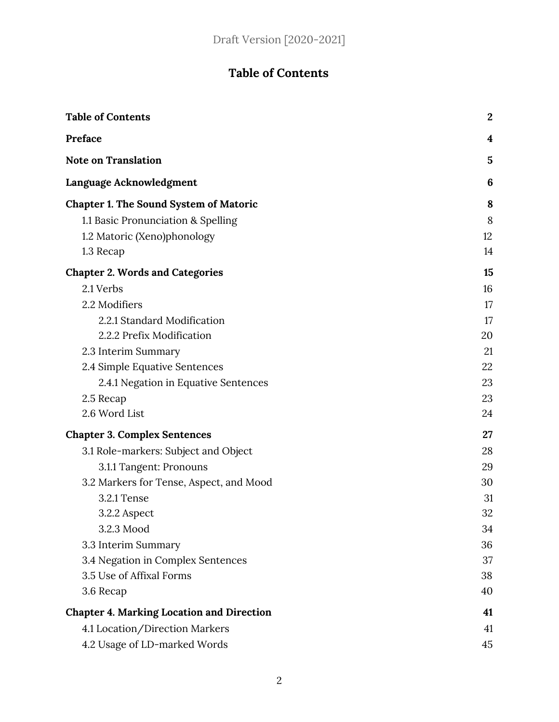## **Table of Contents**

<span id="page-1-0"></span>

| <b>Table of Contents</b>                         | $\boldsymbol{2}$ |
|--------------------------------------------------|------------------|
| Preface                                          | 4                |
| <b>Note on Translation</b>                       | 5                |
| Language Acknowledgment                          | 6                |
| <b>Chapter 1. The Sound System of Matoric</b>    | 8                |
| 1.1 Basic Pronunciation & Spelling               | 8                |
| 1.2 Matoric (Xeno)phonology                      | 12               |
| 1.3 Recap                                        | 14               |
| <b>Chapter 2. Words and Categories</b>           | 15               |
| 2.1 Verbs                                        | 16               |
| 2.2 Modifiers                                    | 17               |
| 2.2.1 Standard Modification                      | 17               |
| 2.2.2 Prefix Modification                        | 20               |
| 2.3 Interim Summary                              | 21               |
| 2.4 Simple Equative Sentences                    | 22               |
| 2.4.1 Negation in Equative Sentences             | 23               |
| 2.5 Recap                                        | 23               |
| 2.6 Word List                                    | 24               |
| <b>Chapter 3. Complex Sentences</b>              | 27               |
| 3.1 Role-markers: Subject and Object             | 28               |
| 3.1.1 Tangent: Pronouns                          | 29               |
| 3.2 Markers for Tense, Aspect, and Mood          | 30               |
| 3.2.1 Tense                                      | 31               |
| 3.2.2 Aspect                                     | 32               |
| 3.2.3 Mood                                       | 34               |
| 3.3 Interim Summary                              | 36               |
| 3.4 Negation in Complex Sentences                | 37               |
| 3.5 Use of Affixal Forms                         | 38               |
| 3.6 Recap                                        | 40               |
| <b>Chapter 4. Marking Location and Direction</b> | 41               |
| 4.1 Location/Direction Markers                   | 41               |
| 4.2 Usage of LD-marked Words                     | 45               |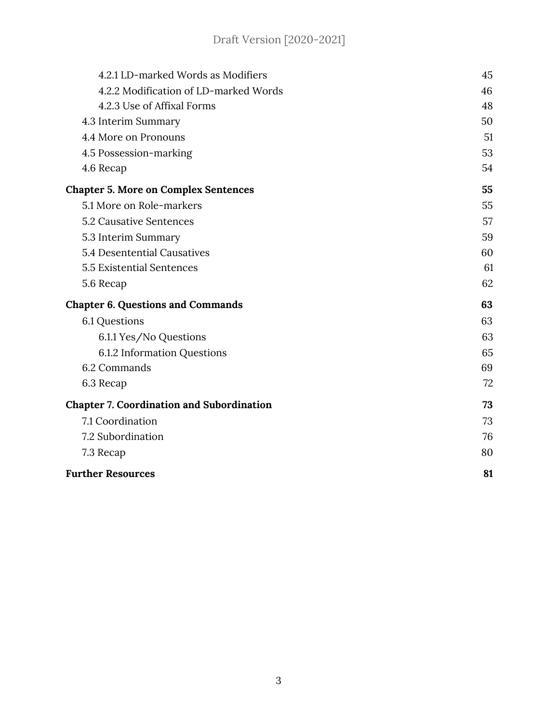| 4.2.1 LD-marked Words as Modifiers               | 45 |
|--------------------------------------------------|----|
| 4.2.2 Modification of LD-marked Words            | 46 |
| 4.2.3 Use of Affixal Forms                       | 48 |
| 4.3 Interim Summary                              | 50 |
| 4.4 More on Pronouns                             | 51 |
| 4.5 Possession-marking                           | 53 |
| 4.6 Recap                                        | 54 |
| <b>Chapter 5. More on Complex Sentences</b>      | 55 |
| 5.1 More on Role-markers                         | 55 |
| 5.2 Causative Sentences                          | 57 |
| 5.3 Interim Summary                              | 59 |
| 5.4 Desentential Causatives                      | 60 |
| 5.5 Existential Sentences                        | 61 |
| 5.6 Recap                                        | 62 |
| <b>Chapter 6. Questions and Commands</b>         | 63 |
| 6.1 Questions                                    | 63 |
| 6.1.1 Yes/No Questions                           | 63 |
| 6.1.2 Information Questions                      | 65 |
| 6.2 Commands                                     | 69 |
| 6.3 Recap                                        | 72 |
| <b>Chapter 7. Coordination and Subordination</b> | 73 |
| 7.1 Coordination                                 | 73 |
| 7.2 Subordination                                | 76 |
| 7.3 Recap                                        | 80 |
| <b>Further Resources</b>                         | 81 |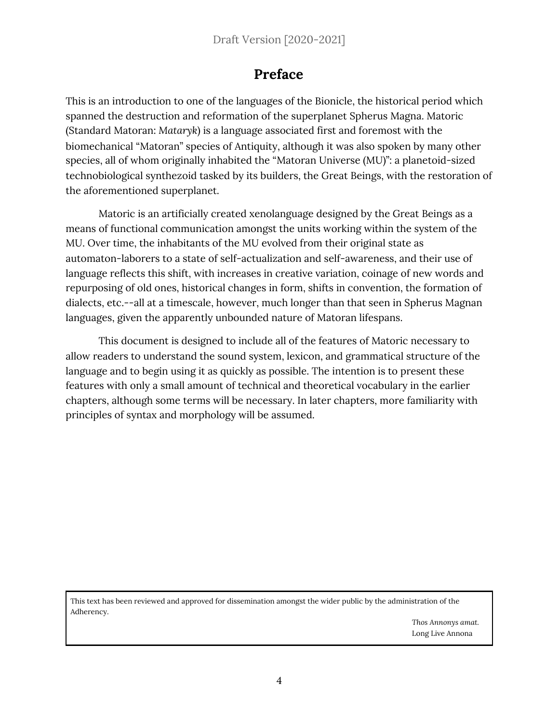## **Preface**

<span id="page-3-0"></span>This is an introduction to one of the languages of the Bionicle, the historical period which spanned the destruction and reformation of the superplanet Spherus Magna. Matoric (Standard Matoran: *Mataryk*) is a language associated first and foremost with the biomechanical "Matoran" species of Antiquity, although it was also spoken by many other species, all of whom originally inhabited the "Matoran Universe (MU)": a planetoid-sized technobiological synthezoid tasked by its builders, the Great Beings, with the restoration of the aforementioned superplanet.

Matoric is an artificially created xenolanguage designed by the Great Beings as a means of functional communication amongst the units working within the system of the MU. Over time, the inhabitants of the MU evolved from their original state as automaton-laborers to a state of self-actualization and self-awareness, and their use of language reflects this shift, with increases in creative variation, coinage of new words and repurposing of old ones, historical changes in form, shifts in convention, the formation of dialects, etc.--all at a timescale, however, much longer than that seen in Spherus Magnan languages, given the apparently unbounded nature of Matoran lifespans.

This document is designed to include all of the features of Matoric necessary to allow readers to understand the sound system, lexicon, and grammatical structure of the language and to begin using it as quickly as possible. The intention is to present these features with only a small amount of technical and theoretical vocabulary in the earlier chapters, although some terms will be necessary. In later chapters, more familiarity with principles of syntax and morphology will be assumed.

This text has been reviewed and approved for dissemination amongst the wider public by the administration of the Adherency.

> *Thos Annonys amat.* Long Live Annona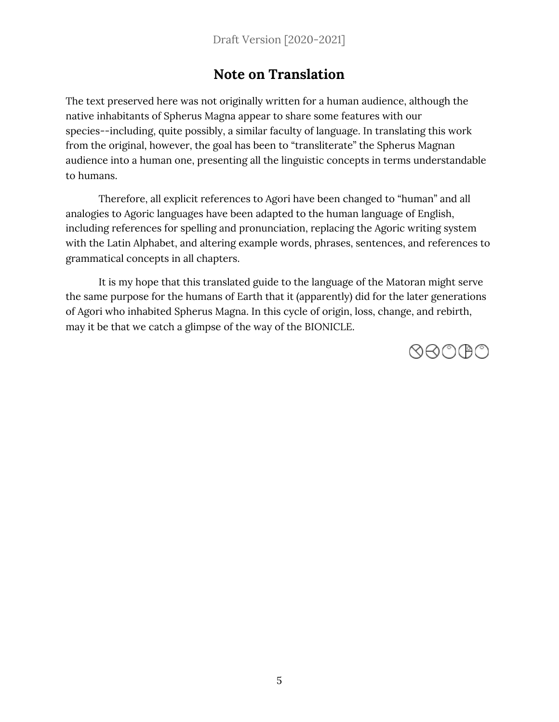## **Note on Translation**

<span id="page-4-0"></span>The text preserved here was not originally written for a human audience, although the native inhabitants of Spherus Magna appear to share some features with our species--including, quite possibly, a similar faculty of language. In translating this work from the original, however, the goal has been to "transliterate" the Spherus Magnan audience into a human one, presenting all the linguistic concepts in terms understandable to humans.

Therefore, all explicit references to Agori have been changed to "human" and all analogies to Agoric languages have been adapted to the human language of English, including references for spelling and pronunciation, replacing the Agoric writing system with the Latin Alphabet, and altering example words, phrases, sentences, and references to grammatical concepts in all chapters.

It is my hope that this translated guide to the language of the Matoran might serve the same purpose for the humans of Earth that it (apparently) did for the later generations of Agori who inhabited Spherus Magna. In this cycle of origin, loss, change, and rebirth, may it be that we catch a glimpse of the way of the BIONICLE.

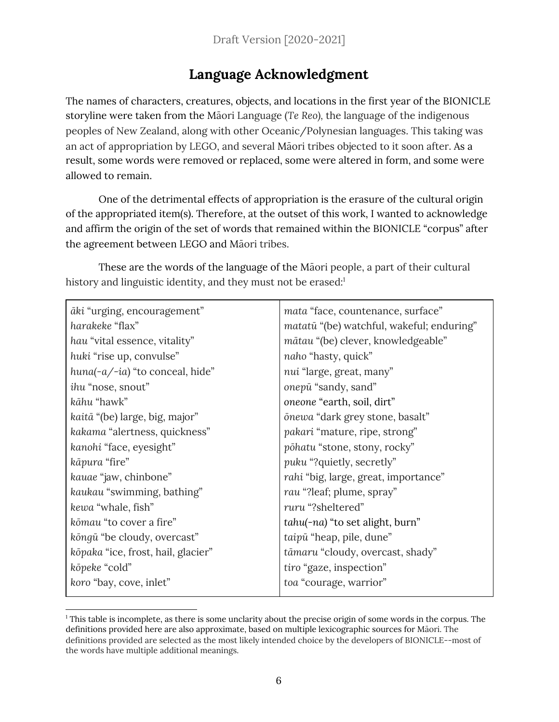## **Language Acknowledgment**

<span id="page-5-0"></span>The names of characters, creatures, objects, and locations in the first year of the BIONICLE storyline were taken from the Māori Language (*Te Reo),* the language of the indigenous peoples of New Zealand, along with other Oceanic/Polynesian languages. This taking was an act of appropriation by LEGO, and several Māori tribes objected to it soon after. As a result, some words were removed or replaced, some were altered in form, and some were allowed to remain.

One of the detrimental effects of appropriation is the erasure of the cultural origin of the appropriated item(s). Therefore, at the outset of this work, I wanted to acknowledge and affirm the origin of the set of words that remained within the BIONICLE "corpus" after the agreement between LEGO and Māori tribes.

These are the words of the language of the Māori people, a part of their cultural history and linguistic identity, and they must not be erased:1

| āki "urging, encouragement"        | mata "face, countenance, surface"         |
|------------------------------------|-------------------------------------------|
| harakeke "flax"                    | matatū "(be) watchful, wakeful; enduring" |
| hau "vital essence, vitality"      | mātau "(be) clever, knowledgeable"        |
| huki "rise up, convulse"           | naho "hasty, quick"                       |
| $huna(-a/-ia)$ "to conceal, hide"  | nui "large, great, many"                  |
| <i>ihu</i> "nose, snout"           | onepū "sandy, sand"                       |
| kāhu "hawk"                        | oneone "earth, soil, dirt"                |
| kaitā "(be) large, big, major"     | önewa "dark grey stone, basalt"           |
| kakama "alertness, quickness"      | pakari "mature, ripe, strong"             |
| kanohi "face, eyesight"            | pōhatu "stone, stony, rocky"              |
| kāpura "fire"                      | <i>puku</i> "?quietly, secretly"          |
| kauae "jaw, chinbone"              | rahi "big, large, great, importance"      |
| kaukau "swimming, bathing"         | rau "?leaf; plume, spray"                 |
| kewa "whale, fish"                 | ruru "?sheltered"                         |
| kōmau "to cover a fire"            | tahu(-na) "to set alight, burn"           |
| kōngū "be cloudy, overcast"        | taipū "heap, pile, dune"                  |
| kōpaka "ice, frost, hail, glacier" | tāmaru "cloudy, overcast, shady"          |
| kōpeke "cold"                      | tiro "gaze, inspection"                   |
| koro "bay, cove, inlet"            | toa "courage, warrior"                    |
|                                    |                                           |

 $1$ <sup>1</sup> This table is incomplete, as there is some unclarity about the precise origin of some words in the corpus. The definitions provided here are also approximate, based on multiple lexicographic sources for Māori. The definitions provided are selected as the most likely intended choice by the developers of BIONICLE--most of the words have multiple additional meanings.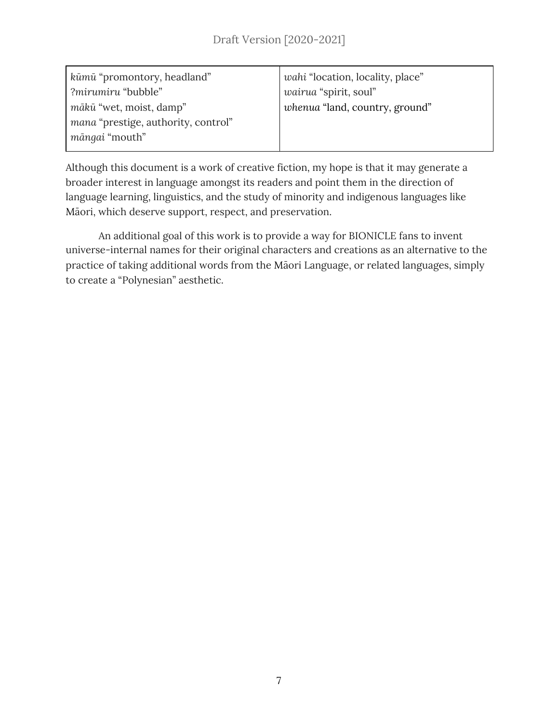| kūmū "promontory, headland"         | wahi "location, locality, place" |
|-------------------------------------|----------------------------------|
| ?mirumiru "bubble"                  | wairua "spirit, soul"            |
| mākū "wet, moist, damp"             | whenua "land, country, ground"   |
| mana "prestige, authority, control" |                                  |
| māngai "mouth"                      |                                  |

Although this document is a work of creative fiction, my hope is that it may generate a broader interest in language amongst its readers and point them in the direction of language learning, linguistics, and the study of minority and indigenous languages like Māori, which deserve support, respect, and preservation.

An additional goal of this work is to provide a way for BIONICLE fans to invent universe-internal names for their original characters and creations as an alternative to the practice of taking additional words from the Māori Language, or related languages, simply to create a "Polynesian" aesthetic.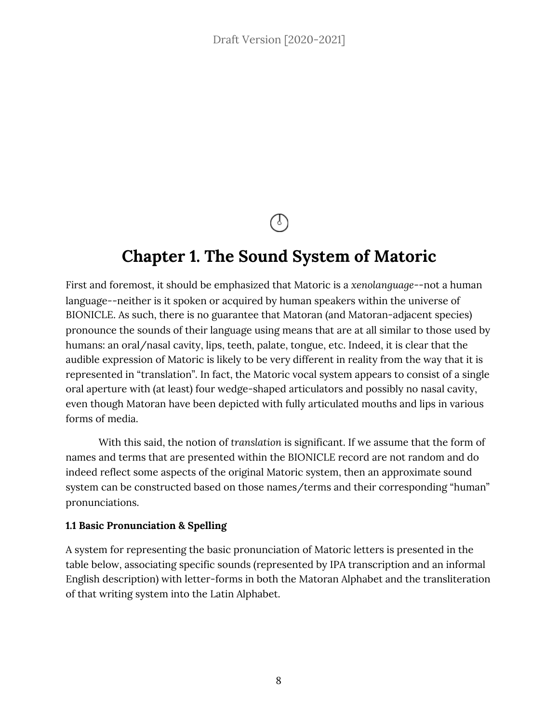# **Chapter 1. The Sound System of Matoric**

<span id="page-7-0"></span>First and foremost, it should be emphasized that Matoric is a *xenolanguage*--not a human language--neither is it spoken or acquired by human speakers within the universe of BIONICLE. As such, there is no guarantee that Matoran (and Matoran-adjacent species) pronounce the sounds of their language using means that are at all similar to those used by humans: an oral/nasal cavity, lips, teeth, palate, tongue, etc. Indeed, it is clear that the audible expression of Matoric is likely to be very different in reality from the way that it is represented in "translation". In fact, the Matoric vocal system appears to consist of a single oral aperture with (at least) four wedge-shaped articulators and possibly no nasal cavity, even though Matoran have been depicted with fully articulated mouths and lips in various forms of media.

With this said, the notion of *translation* is significant. If we assume that the form of names and terms that are presented within the BIONICLE record are not random and do indeed reflect some aspects of the original Matoric system, then an approximate sound system can be constructed based on those names/terms and their corresponding "human" pronunciations.

#### <span id="page-7-1"></span>**1.1 Basic Pronunciation & Spelling**

A system for representing the basic pronunciation of Matoric letters is presented in the table below, associating specific sounds (represented by IPA transcription and an informal English description) with letter-forms in both the Matoran Alphabet and the transliteration of that writing system into the Latin Alphabet.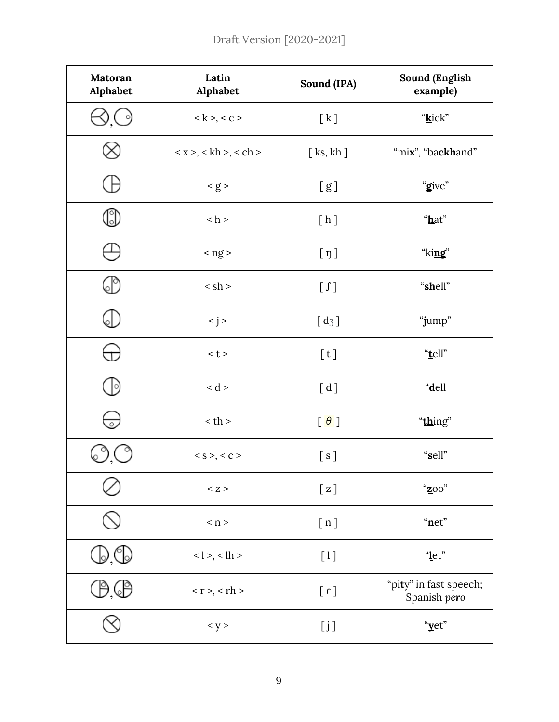| Matoran<br>Alphabet       | Latin<br>Alphabet                                           | Sound (IPA)                                   | <b>Sound (English</b><br>example)      |
|---------------------------|-------------------------------------------------------------|-----------------------------------------------|----------------------------------------|
|                           | $< k >$ , $< c >$                                           | $\left[\mathrm{k}\right]$                     | "kick"                                 |
|                           | $\langle x \rangle, \langle kh \rangle, \langle ch \rangle$ | $[$ ks, kh $]$                                | "mix", "backhand"                      |
|                           | $\langle$ g $\rangle$                                       | [g]                                           | "give"                                 |
| O                         | $\langle h \rangle$                                         | [h]                                           | "hat"                                  |
|                           | $<$ ng $>$                                                  | [n]                                           | "king"                                 |
|                           | $\langle sh \rangle$                                        | $[1]$                                         | "shell"                                |
|                           | $\langle j \rangle$                                         | $[d_3]$                                       | "jump"                                 |
|                           | < t >                                                       | [t]                                           | "tell"                                 |
| $\lvert \circ \rvert$     | d >                                                         | [d]                                           | "dell                                  |
| $\overline{\circ}$        | <br>th>                                                     | $[\theta]$                                    | "thing"                                |
|                           | < s >, < c >                                                | $\left[\begin{array}{c} s \end{array}\right]$ | "sell"                                 |
|                           | < z >                                                       | $[\mathbf{z}]$                                | " $\mathbf{Z}$ 00"                     |
| Z                         | < n >                                                       | [n]                                           | " $ne$ "                               |
| $\mathbb{O}$ $\mathbb{O}$ | < l >, < lh >                                               | $[1]$                                         | " $let"$                               |
| $\mathbb{O}, \mathbb{O}$  | $<$ r >, $<$ rh >                                           | $\lbrack \ \mathsf{L} \ \rbrack$              | "pity" in fast speech;<br>Spanish pero |
|                           | $<\mathrm{y}>$                                              | $[j]$                                         | "yet"                                  |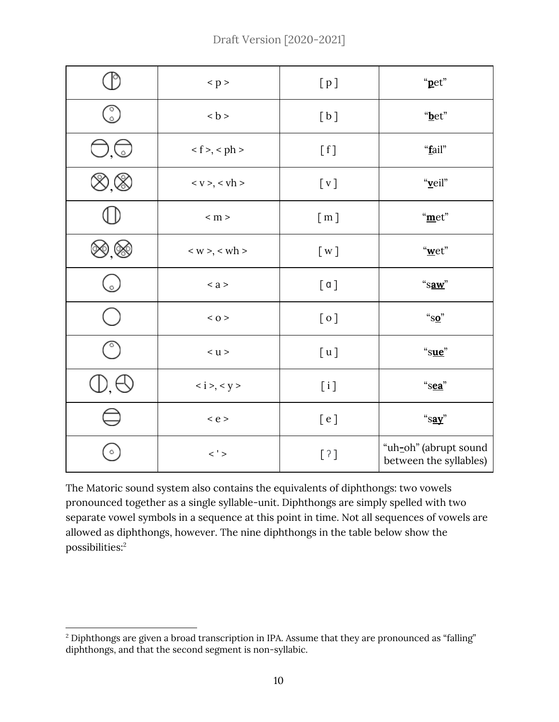| ᠿ                    | < p >                                    | [p]            | " ${\bf p}$ et"                                 |
|----------------------|------------------------------------------|----------------|-------------------------------------------------|
| $\circledcirc$       | $<{\rm b}>$                              | [b]            | " $\mathbf{b}$ et"                              |
| QÇ                   | < f >, < ph >                            | [f]            | "fail"                                          |
| $\otimes \otimes$    | < v >, < v h >                           | $[\mathbf{v}]$ | "veil"                                          |
|                      | $<$ m $>$                                | [m]            | " $me$ "                                        |
| $\otimes \otimes$    | $\langle w \rangle, \langle w h \rangle$ | [ w ]          | " <u>w</u> et"                                  |
| (o                   | a >                                      | $[\alpha]$     | "saw"                                           |
|                      | < 0 >                                    | [0]            | $``\mathbf{SO}"$                                |
| $\curvearrowright$   | < u >                                    | [u]            | " $sue$ "                                       |
| $\oplus$ , $\ominus$ | $\langle i \rangle, \langle y \rangle$   | [i]            | "sea"                                           |
|                      | < e >                                    | [e]            | " $say"$                                        |
| $(\circ)$            | $<$ ' $>$                                | [ ? ]          | "uh-oh" (abrupt sound<br>between the syllables) |

The Matoric sound system also contains the equivalents of diphthongs: two vowels pronounced together as a single syllable-unit. Diphthongs are simply spelled with two separate vowel symbols in a sequence at this point in time. Not all sequences of vowels are allowed as diphthongs, however. The nine diphthongs in the table below show the possibilities: 2

<sup>&</sup>lt;sup>2</sup> Diphthongs are given a broad transcription in IPA. Assume that they are pronounced as "falling" diphthongs, and that the second segment is non-syllabic.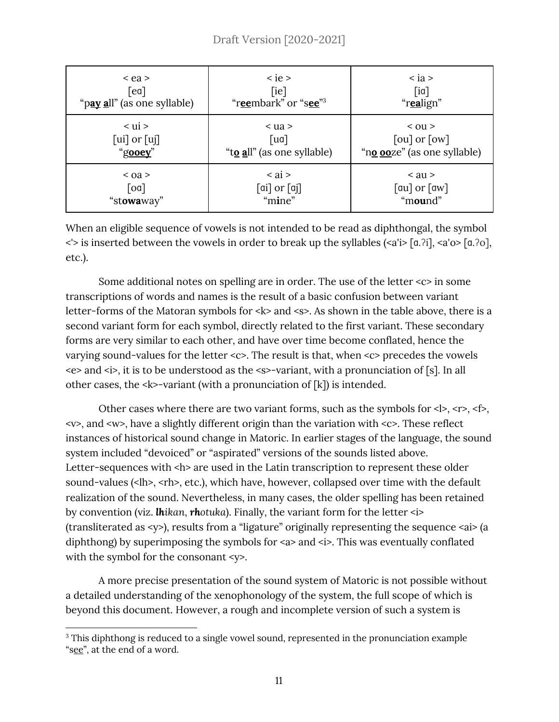| $\leq$ ea >                          | $\langle$ ie $\rangle$           | $\langle$ ia $\rangle$      |
|--------------------------------------|----------------------------------|-----------------------------|
| [ea]                                 | [ie]                             | $\lceil$ ia]                |
| "p <b>ay a</b> ll" (as one syllable) | "reembark" or "see" <sup>3</sup> | "realign"                   |
| $\langle \text{ui} \rangle$          | $<$ ua $>$                       | $\leq$ 0u $>$               |
| $[ui]$ or $[uj]$                     | $\lceil$ ua $\rceil$             | $[ou]$ or $[ow]$            |
| "gooey"                              | "to all" (as one syllable)       | "no ooze" (as one syllable) |
| $\leq$ 0a $>$                        | $\langle$ ai $\rangle$           | $\leq$ au $\geq$            |
| [oa]                                 | [ai] or [aj]                     | [au] or [aw]                |
| "st <b>owa</b> way"                  | "mine"                           | "mound"                     |

When an eligible sequence of vowels is not intended to be read as diphthongal, the symbol <'> is inserted between the vowels in order to break up the syllables (<a'i> [ɑ.ʔi], <a'o> [ɑ.ʔo], etc.).

Some additional notes on spelling are in order. The use of the letter <c> in some transcriptions of words and names is the result of a basic confusion between variant letter-forms of the Matoran symbols for <k> and <s>. As shown in the table above, there is a second variant form for each symbol, directly related to the first variant. These secondary forms are very similar to each other, and have over time become conflated, hence the varying sound-values for the letter <c>. The result is that, when <c> precedes the vowels <e> and <i>, it is to be understood as the <s>-variant, with a pronunciation of [s]. In all other cases, the  $\langle k \rangle$ -variant (with a pronunciation of [k]) is intended.

Other cases where there are two variant forms, such as the symbols for <l>, <r>, <f>, <v>, and <w>, have a slightly different origin than the variation with <c>. These reflect instances of historical sound change in Matoric. In earlier stages of the language, the sound system included "devoiced" or "aspirated" versions of the sounds listed above. Letter-sequences with <h> are used in the Latin transcription to represent these older sound-values (<lh>, <rh>, etc.), which have, however, collapsed over time with the default realization of the sound. Nevertheless, in many cases, the older spelling has been retained by convention (viz. *lhikan*, *rhotuka*). Finally, the variant form for the letter <i> (transliterated as <y>), results from a "ligature" originally representing the sequence <ai> (a diphthong) by superimposing the symbols for  $\leq a$  and  $\leq$  >. This was eventually conflated with the symbol for the consonant <y>.

A more precise presentation of the sound system of Matoric is not possible without a detailed understanding of the xenophonology of the system, the full scope of which is beyond this document. However, a rough and incomplete version of such a system is

<sup>&</sup>lt;sup>3</sup> This diphthong is reduced to a single vowel sound, represented in the pronunciation example "see", at the end of a word.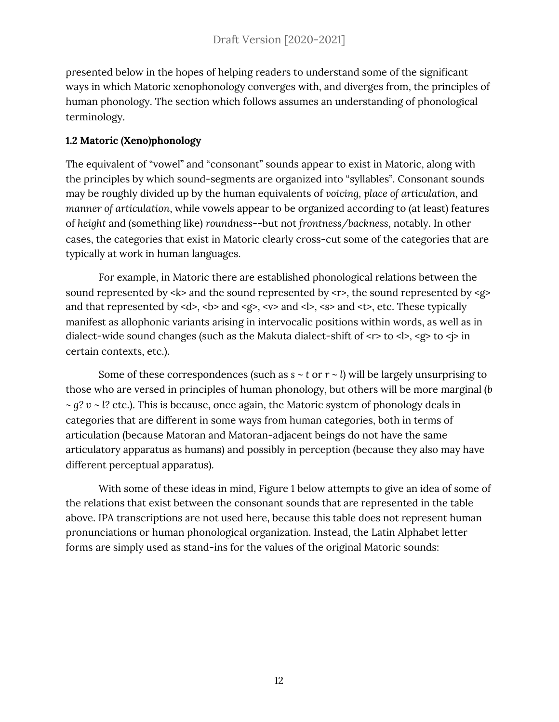presented below in the hopes of helping readers to understand some of the significant ways in which Matoric xenophonology converges with, and diverges from, the principles of human phonology. The section which follows assumes an understanding of phonological terminology.

#### <span id="page-11-0"></span>**1.2 Matoric (Xeno)phonology**

The equivalent of "vowel" and "consonant" sounds appear to exist in Matoric, along with the principles by which sound-segments are organized into "syllables". Consonant sounds may be roughly divided up by the human equivalents of *voicing, place of articulation,* and *manner of articulation*, while vowels appear to be organized according to (at least) features of *height* and (something like) *roundness*--but not *frontness/backness*, notably. In other cases, the categories that exist in Matoric clearly cross-cut some of the categories that are typically at work in human languages.

For example, in Matoric there are established phonological relations between the sound represented by  $\langle k \rangle$  and the sound represented by  $\langle r \rangle$ , the sound represented by  $\langle \varphi \rangle$ and that represented by  $< d>$ ,  $< b>$  and  $< g>$ ,  $< v>$  and  $< l>$ ,  $< s>$  and  $< t>$ , etc. These typically manifest as allophonic variants arising in intervocalic positions within words, as well as in dialect-wide sound changes (such as the Makuta dialect-shift of  $\langle r \rangle$  to  $\langle \rangle$ ,  $\langle \varphi \rangle$  to  $\langle \rangle$  in certain contexts, etc.).

Some of these correspondences (such as  $s \sim t$  or  $r \sim l$ ) will be largely unsurprising to those who are versed in principles of human phonology, but others will be more marginal (*b ~ g? v ~ l?* etc.). This is because, once again, the Matoric system of phonology deals in categories that are different in some ways from human categories, both in terms of articulation (because Matoran and Matoran-adjacent beings do not have the same articulatory apparatus as humans) and possibly in perception (because they also may have different perceptual apparatus).

With some of these ideas in mind, Figure 1 below attempts to give an idea of some of the relations that exist between the consonant sounds that are represented in the table above. IPA transcriptions are not used here, because this table does not represent human pronunciations or human phonological organization. Instead, the Latin Alphabet letter forms are simply used as stand-ins for the values of the original Matoric sounds: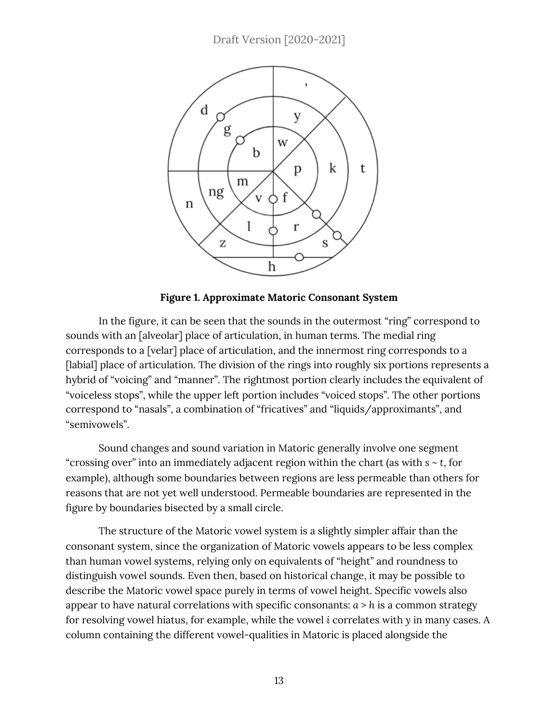Draft Version [2020-2021]



**Figure 1. Approximate Matoric Consonant System**

In the figure, it can be seen that the sounds in the outermost "ring" correspond to sounds with an [alveolar] place of articulation, in human terms. The medial ring corresponds to a [velar] place of articulation, and the innermost ring corresponds to a [labial] place of articulation. The division of the rings into roughly six portions represents a hybrid of "voicing" and "manner". The rightmost portion clearly includes the equivalent of "voiceless stops", while the upper left portion includes "voiced stops". The other portions correspond to "nasals", a combination of "fricatives" and "liquids/approximants", and "semivowels".

Sound changes and sound variation in Matoric generally involve one segment "crossing over" into an immediately adjacent region within the chart (as with *s ~ t*, for example), although some boundaries between regions are less permeable than others for reasons that are not yet well understood. Permeable boundaries are represented in the figure by boundaries bisected by a small circle.

The structure of the Matoric vowel system is a slightly simpler affair than the consonant system, since the organization of Matoric vowels appears to be less complex than human vowel systems, relying only on equivalents of "height" and roundness to distinguish vowel sounds. Even then, based on historical change, it may be possible to describe the Matoric vowel space purely in terms of vowel height. Specific vowels also appear to have natural correlations with specific consonants: *a* > *h* is a common strategy for resolving vowel hiatus, for example, while the vowel *i* correlates with *y* in many cases. A column containing the different vowel-qualities in Matoric is placed alongside the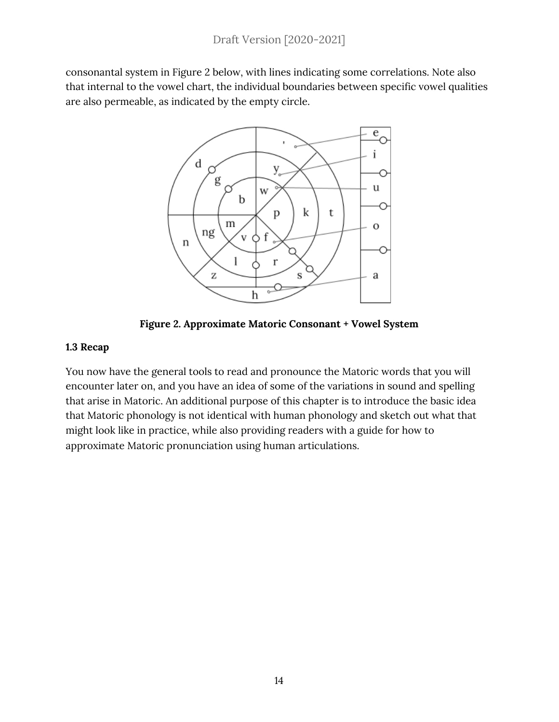consonantal system in Figure 2 below, with lines indicating some correlations. Note also that internal to the vowel chart, the individual boundaries between specific vowel qualities are also permeable, as indicated by the empty circle.



**Figure 2. Approximate Matoric Consonant + Vowel System**

#### <span id="page-13-0"></span>**1.3 Recap**

You now have the general tools to read and pronounce the Matoric words that you will encounter later on, and you have an idea of some of the variations in sound and spelling that arise in Matoric. An additional purpose of this chapter is to introduce the basic idea that Matoric phonology is not identical with human phonology and sketch out what that might look like in practice, while also providing readers with a guide for how to approximate Matoric pronunciation using human articulations.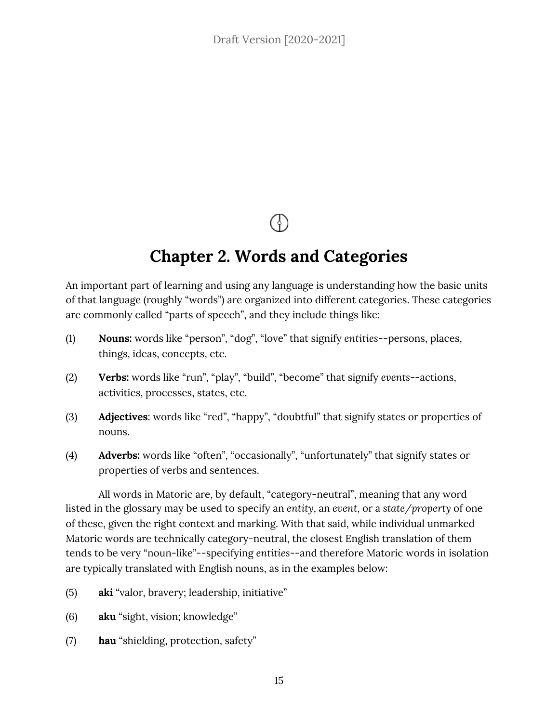# **Chapter 2. Words and Categories**

<span id="page-14-0"></span>An important part of learning and using any language is understanding how the basic units of that language (roughly "words") are organized into different categories. These categories are commonly called "parts of speech", and they include things like:

- (1) **Nouns:** words like "person", "dog", "love" that signify *entities*--persons, places, things, ideas, concepts, etc.
- (2) **Verbs:** words like "run", "play", "build", "become" that signify *events*--actions, activities, processes, states, etc.
- (3) **Adjectives**: words like "red", "happy", "doubtful" that signify states or properties of nouns.
- (4) **Adverbs:** words like "often", "occasionally", "unfortunately" that signify states or properties of verbs and sentences.

All words in Matoric are, by default, "category-neutral", meaning that any word listed in the glossary may be used to specify an *entity*, an *event*, or a *state/property* of one of these, given the right context and marking. With that said, while individual unmarked Matoric words are technically category-neutral, the closest English translation of them tends to be very "noun-like"--specifying *entities*--and therefore Matoric words in isolation are typically translated with English nouns, as in the examples below:

- (5) **aki** "valor, bravery; leadership, initiative"
- (6) **aku** "sight, vision; knowledge"
- (7) **hau** "shielding, protection, safety"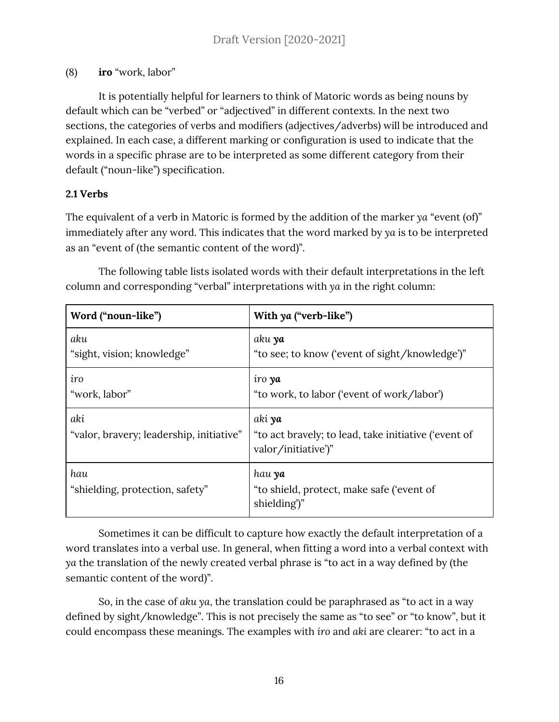(8) **iro** "work, labor"

It is potentially helpful for learners to think of Matoric words as being nouns by default which can be "verbed" or "adjectived" in different contexts. In the next two sections, the categories of verbs and modifiers (adjectives/adverbs) will be introduced and explained. In each case, a different marking or configuration is used to indicate that the words in a specific phrase are to be interpreted as some different category from their default ("noun-like") specification.

#### <span id="page-15-0"></span>**2.1 Verbs**

The equivalent of a verb in Matoric is formed by the addition of the marker *ya* "event (of)" immediately after any word. This indicates that the word marked by *ya* is to be interpreted as an "event of (the semantic content of the word)".

The following table lists isolated words with their default interpretations in the left column and corresponding "verbal" interpretations with *ya* in the right column:

| Word ("noun-like")                              | With ya ("verb-like")                                                                 |
|-------------------------------------------------|---------------------------------------------------------------------------------------|
| aku<br>"sight, vision; knowledge"               | aku <b>ya</b><br>"to see; to know ('event of sight/knowledge')"                       |
| iro<br>"work, labor"                            | iro ya<br>"to work, to labor ('event of work/labor')                                  |
| aki<br>"valor, bravery; leadership, initiative" | aki ya<br>"to act bravely; to lead, take initiative ('event of<br>valor/initiative')" |
| hau<br>"shielding, protection, safety"          | hau <b>ya</b><br>"to shield, protect, make safe ('event of<br>shielding')"            |

Sometimes it can be difficult to capture how exactly the default interpretation of a word translates into a verbal use. In general, when fitting a word into a verbal context with *ya* the translation of the newly created verbal phrase is "to act in a way defined by (the semantic content of the word)".

So, in the case of *aku ya*, the translation could be paraphrased as "to act in a way defined by sight/knowledge". This is not precisely the same as "to see" or "to know", but it could encompass these meanings. The examples with *iro* and *aki* are clearer: "to act in a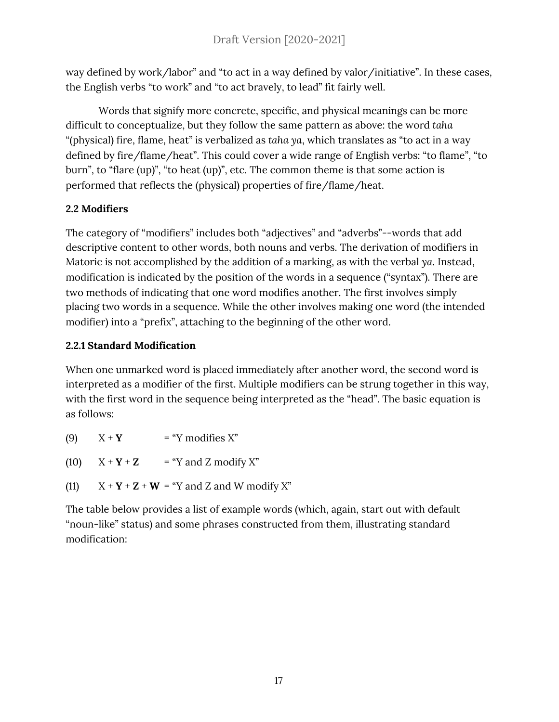way defined by work/labor" and "to act in a way defined by valor/initiative". In these cases, the English verbs "to work" and "to act bravely, to lead" fit fairly well.

Words that signify more concrete, specific, and physical meanings can be more difficult to conceptualize, but they follow the same pattern as above: the word *taha* "(physical) fire, flame, heat" is verbalized as *taha ya*, which translates as "to act in a way defined by fire/flame/heat". This could cover a wide range of English verbs: "to flame", "to burn", to "flare (up)", "to heat (up)", etc. The common theme is that some action is performed that reflects the (physical) properties of fire/flame/heat.

### <span id="page-16-0"></span>**2.2 Modifiers**

The category of "modifiers" includes both "adjectives" and "adverbs"--words that add descriptive content to other words, both nouns and verbs. The derivation of modifiers in Matoric is not accomplished by the addition of a marking, as with the verbal *ya*. Instead, modification is indicated by the position of the words in a sequence ("syntax"). There are two methods of indicating that one word modifies another. The first involves simply placing two words in a sequence. While the other involves making one word (the intended modifier) into a "prefix", attaching to the beginning of the other word.

### <span id="page-16-1"></span>**2.2.1 Standard Modification**

When one unmarked word is placed immediately after another word, the second word is interpreted as a modifier of the first. Multiple modifiers can be strung together in this way, with the first word in the sequence being interpreted as the "head". The basic equation is as follows:

- (9)  $X + Y = "Y$  modifies X"
- (10)  $X + Y + Z = "Y$  and Z modify X"
- (11)  $X + Y + Z + W = "Y$  and Z and W modify X"

The table below provides a list of example words (which, again, start out with default "noun-like" status) and some phrases constructed from them, illustrating standard modification: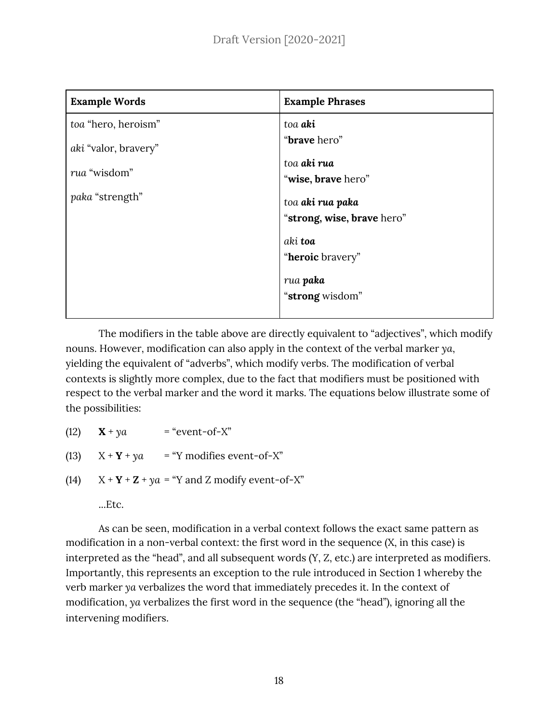| <b>Example Words</b> | <b>Example Phrases</b>     |
|----------------------|----------------------------|
| toa "hero, heroism"  | toa aki                    |
| aki "valor, bravery" | "brave hero"               |
|                      | toa aki rua                |
| rua "wisdom"         | "wise, brave hero"         |
| paka "strength"      | toa <b>aki rua paka</b>    |
|                      | "strong, wise, brave hero" |
|                      | aki toa                    |
|                      | "heroic bravery"           |
|                      | rua <b>paka</b>            |
|                      | "strong wisdom"            |
|                      |                            |

The modifiers in the table above are directly equivalent to "adjectives", which modify nouns. However, modification can also apply in the context of the verbal marker *ya*, yielding the equivalent of "adverbs", which modify verbs. The modification of verbal contexts is slightly more complex, due to the fact that modifiers must be positioned with respect to the verbal marker and the word it marks. The equations below illustrate some of the possibilities:

- (12)  $X + \gamma a = "event-of-X"$
- (13)  $X + Y + \gamma a = "Y$  modifies event-of-X"
- (14)  $X + Y + Z + \gamma a = "Y$  and Z modify event-of-X"

As can be seen, modification in a verbal context follows the exact same pattern as modification in a non-verbal context: the first word in the sequence (X, in this case) is interpreted as the "head", and all subsequent words (Y, Z, etc.) are interpreted as modifiers. Importantly, this represents an exception to the rule introduced in Section 1 whereby the verb marker *ya* verbalizes the word that immediately precedes it. In the context of modification, *ya* verbalizes the first word in the sequence (the "head"), ignoring all the intervening modifiers.

<sup>...</sup>Etc.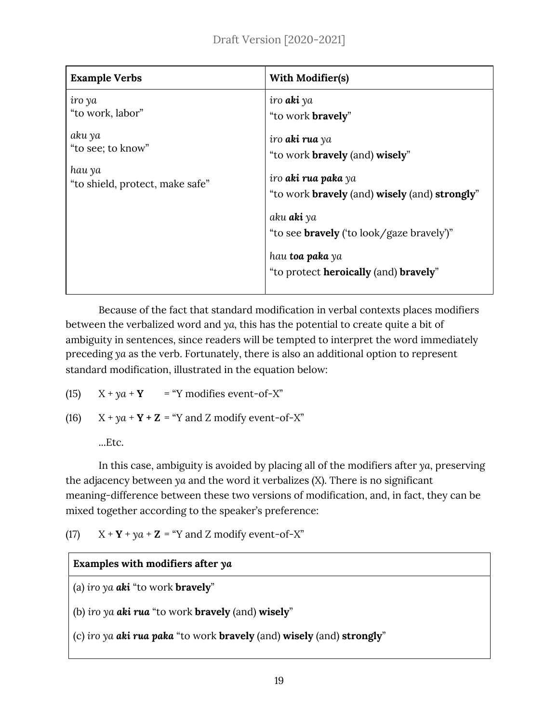| <b>Example Verbs</b>                                                     | With Modifier(s)                                                                                                                                                                         |
|--------------------------------------------------------------------------|------------------------------------------------------------------------------------------------------------------------------------------------------------------------------------------|
| iro ya<br>"to work, labor"                                               | iro <b>aki</b> ya<br>"to work bravely"                                                                                                                                                   |
| aku ya<br>"to see; to know"<br>hau ya<br>"to shield, protect, make safe" | iro <b>aki rua</b> ya<br>"to work <b>bravely</b> (and) wisely"<br>iro <b>aki rua paka</b> ya<br>"to work <b>bravely</b> (and) <b>wisely</b> (and) <b>strongly</b> "<br>aku <b>aki</b> ya |
|                                                                          | "to see <b>bravely</b> ('to look/gaze bravely')"<br>hau <b>toa paka</b> ya<br>"to protect heroically (and) bravely"                                                                      |

Because of the fact that standard modification in verbal contexts places modifiers between the verbalized word and *ya,* this has the potential to create quite a bit of ambiguity in sentences, since readers will be tempted to interpret the word immediately preceding *ya* as the verb. Fortunately, there is also an additional option to represent standard modification, illustrated in the equation below:

- (15)  $X + ya + Y = "Y$  modifies event-of-X"
- (16)  $X + ya + Y + Z = "Y$  and Z modify event-of-X"

...Etc.

In this case, ambiguity is avoided by placing all of the modifiers after *ya*, preserving the adjacency between *ya* and the word it verbalizes (X). There is no significant meaning-difference between these two versions of modification, and, in fact, they can be mixed together according to the speaker's preference:

(17)  $X + Y + ya + Z = "Y and Z modify event-of-X"$ 

### **Examples with modifiers after** *ya*

(a) *iro ya aki* "to work **bravely**"

(b) *iro ya aki rua* "to work **bravely** (and) **wisely**"

(c) *iro ya aki rua paka* "to work **bravely** (and) **wisely** (and) **strongly**"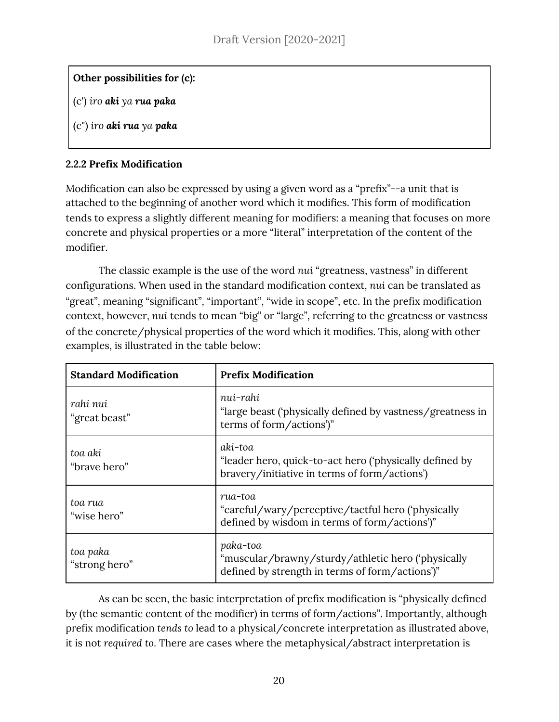**Other possibilities for (c):**

- (c') *iro aki ya rua paka*
- (c") *iro aki rua ya paka*

#### <span id="page-19-0"></span>**2.2.2 Prefix Modification**

Modification can also be expressed by using a given word as a "prefix"--a unit that is attached to the beginning of another word which it modifies. This form of modification tends to express a slightly different meaning for modifiers: a meaning that focuses on more concrete and physical properties or a more "literal" interpretation of the content of the modifier.

The classic example is the use of the word *nui* "greatness, vastness" in different configurations. When used in the standard modification context, *nui* can be translated as "great", meaning "significant", "important", "wide in scope", etc. In the prefix modification context, however, *nui* tends to mean "big" or "large", referring to the greatness or vastness of the concrete/physical properties of the word which it modifies. This, along with other examples, is illustrated in the table below:

| <b>Standard Modification</b> | <b>Prefix Modification</b>                                                                                          |
|------------------------------|---------------------------------------------------------------------------------------------------------------------|
| rahi nui<br>"great beast"    | nui-rahi<br>"large beast ('physically defined by vastness/greatness in<br>terms of form/actions')"                  |
| toa aki<br>"brave hero"      | aki-toa<br>"leader hero, quick-to-act hero ('physically defined by<br>bravery/initiative in terms of form/actions') |
| toa rua<br>"wise hero"       | rua-toa<br>"careful/wary/perceptive/tactful hero ('physically<br>defined by wisdom in terms of form/actions')"      |
| toa paka<br>"strong hero"    | paka-toa<br>"muscular/brawny/sturdy/athletic hero ('physically<br>defined by strength in terms of form/actions')"   |

As can be seen, the basic interpretation of prefix modification is "physically defined by (the semantic content of the modifier) in terms of form/actions". Importantly, although prefix modification *tends to* lead to a physical/concrete interpretation as illustrated above, it is not *required to*. There are cases where the metaphysical/abstract interpretation is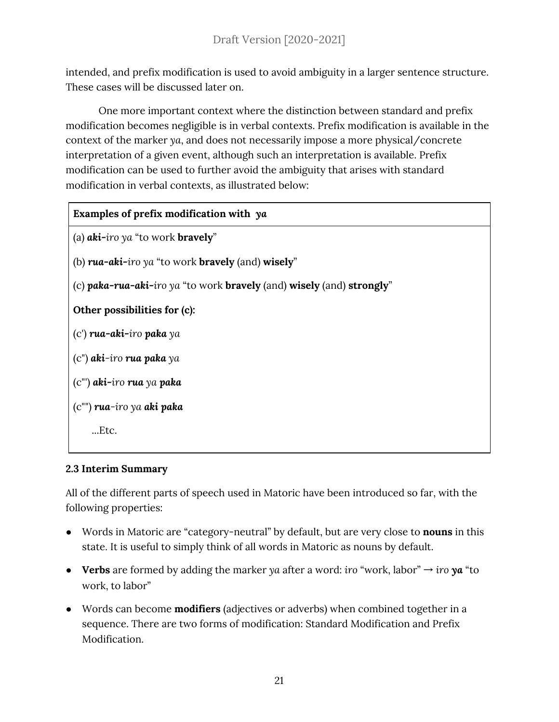intended, and prefix modification is used to avoid ambiguity in a larger sentence structure. These cases will be discussed later on.

One more important context where the distinction between standard and prefix modification becomes negligible is in verbal contexts. Prefix modification is available in the context of the marker *ya*, and does not necessarily impose a more physical/concrete interpretation of a given event, although such an interpretation is available. Prefix modification can be used to further avoid the ambiguity that arises with standard modification in verbal contexts, as illustrated below:

#### **Examples of prefix modification with** *ya*

(a) *aki-iro ya* "to work **bravely**"

(b) *rua-aki-iro ya* "to work **bravely** (and) **wisely**"

(c) *paka-rua-aki-iro ya* "to work **bravely** (and) **wisely** (and) **strongly**"

**Other possibilities for (c):**

```
(c') rua-aki-iro paka ya
```
(c") *aki-iro rua paka ya*

(c"') *aki-iro rua ya paka*

```
(c"") rua-iro ya aki paka
```
...Etc.

#### <span id="page-20-0"></span>**2.3 Interim Summary**

All of the different parts of speech used in Matoric have been introduced so far, with the following properties:

- Words in Matoric are "category-neutral" by default, but are very close to **nouns** in this state. It is useful to simply think of all words in Matoric as nouns by default.
- **Verbs** are formed by adding the marker ya after a word: *iro* "work, labor"  $\rightarrow$  *iro* ya "to work, to labor"
- Words can become **modifiers** (adjectives or adverbs) when combined together in a sequence. There are two forms of modification: Standard Modification and Prefix Modification.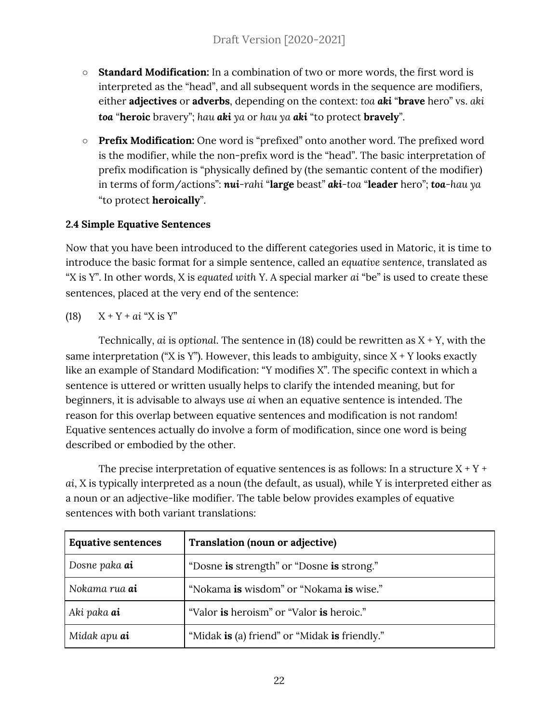- **Standard Modification:** In a combination of two or more words, the first word is interpreted as the "head", and all subsequent words in the sequence are modifiers, either **adjectives** or **adverbs**, depending on the context: *toa aki* "**brave** hero" vs. *aki toa* "**heroic** bravery"; *hau aki ya* or *hau ya aki* "to protect **bravely**".
- **Prefix Modification:** One word is "prefixed" onto another word. The prefixed word is the modifier, while the non-prefix word is the "head". The basic interpretation of prefix modification is "physically defined by (the semantic content of the modifier) in terms of form/actions": *nui-rahi* "**large** beast" *aki-toa* "**leader** hero"; *toa-hau ya* "to protect **heroically**".

#### <span id="page-21-0"></span>**2.4 Simple Equative Sentences**

Now that you have been introduced to the different categories used in Matoric, it is time to introduce the basic format for a simple sentence, called an *equative sentence*, translated as "X is Y". In other words, X is *equated with* Y. A special marker *ai* "be" is used to create these sentences, placed at the very end of the sentence:

(18)  $X + Y + ai "X is Y"$ 

Technically, *ai* is *optional*. The sentence in (18) could be rewritten as X + Y, with the same interpretation ("X is Y"). However, this leads to ambiguity, since  $X + Y$  looks exactly like an example of Standard Modification: "Y modifies X". The specific context in which a sentence is uttered or written usually helps to clarify the intended meaning, but for beginners, it is advisable to always use *ai* when an equative sentence is intended. The reason for this overlap between equative sentences and modification is not random! Equative sentences actually do involve a form of modification, since one word is being described or embodied by the other.

The precise interpretation of equative sentences is as follows: In a structure  $X + Y +$ *ai*, X is typically interpreted as a noun (the default, as usual), while Y is interpreted either as a noun or an adjective-like modifier. The table below provides examples of equative sentences with both variant translations:

| <b>Equative sentences</b> | <b>Translation (noun or adjective)</b>        |
|---------------------------|-----------------------------------------------|
| Dosne paka ai             | "Dosne is strength" or "Dosne is strong."     |
| Nokama rua <b>ai</b>      | "Nokama is wisdom" or "Nokama is wise."       |
| Aki paka <b>ai</b>        | "Valor is heroism" or "Valor is heroic."      |
| Midak apu <b>ai</b>       | "Midak is (a) friend" or "Midak is friendly." |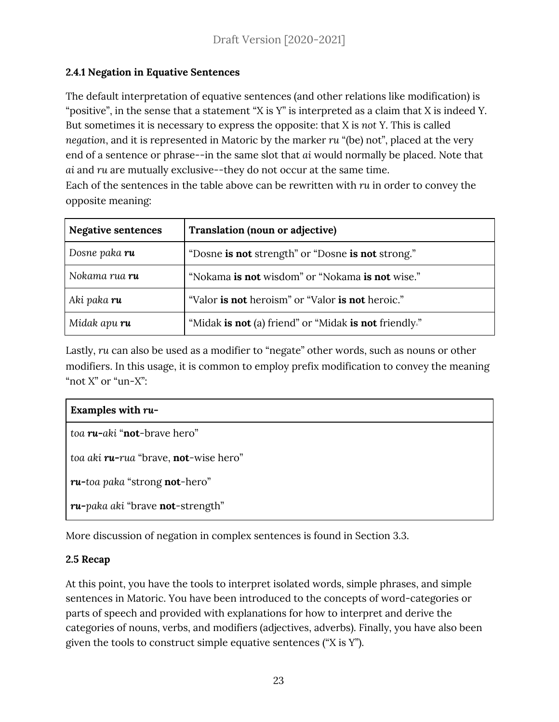### <span id="page-22-0"></span>**2.4.1 Negation in Equative Sentences**

The default interpretation of equative sentences (and other relations like modification) is "positive", in the sense that a statement "X is Y" is interpreted as a claim that X is indeed Y. But sometimes it is necessary to express the opposite: that X is *not* Y. This is called *negation*, and it is represented in Matoric by the marker *ru* "(be) not", placed at the very end of a sentence or phrase--in the same slot that *ai* would normally be placed. Note that *ai* and *ru* are mutually exclusive--they do not occur at the same time. Each of the sentences in the table above can be rewritten with *ru* in order to convey the opposite meaning:

| <b>Translation (noun or adjective)</b><br><b>Negative sentences</b> |                                                       |
|---------------------------------------------------------------------|-------------------------------------------------------|
| Dosne paka <b>ru</b>                                                | "Dosne is not strength" or "Dosne is not strong."     |
| Nokama rua <b>ru</b>                                                | "Nokama is not wisdom" or "Nokama is not wise."       |
| Aki paka <b>ru</b>                                                  | "Valor is not heroism" or "Valor is not heroic."      |
| Midak apu <b>ru</b>                                                 | "Midak is not (a) friend" or "Midak is not friendly." |

Lastly, *ru* can also be used as a modifier to "negate" other words, such as nouns or other modifiers. In this usage, it is common to employ prefix modification to convey the meaning "not X" or "un-X":

| Examples with ru-                     |  |  |
|---------------------------------------|--|--|
| toa ru-aki "not-brave hero"           |  |  |
| toa aki ru-rua "brave, not-wise hero" |  |  |
| ru-toa paka "strong not-hero"         |  |  |
| ru-paka aki "brave not-strength"      |  |  |

More discussion of negation in complex sentences is found in Section 3.3.

#### <span id="page-22-1"></span>**2.5 Recap**

At this point, you have the tools to interpret isolated words, simple phrases, and simple sentences in Matoric. You have been introduced to the concepts of word-categories or parts of speech and provided with explanations for how to interpret and derive the categories of nouns, verbs, and modifiers (adjectives, adverbs). Finally, you have also been given the tools to construct simple equative sentences ("X is Y").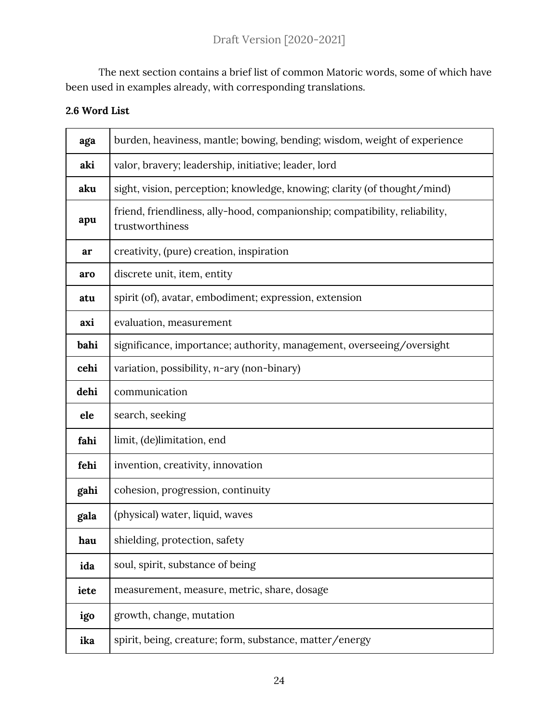The next section contains a brief list of common Matoric words, some of which have been used in examples already, with corresponding translations.

#### <span id="page-23-0"></span>**2.6 Word List**

| aga  | burden, heaviness, mantle; bowing, bending; wisdom, weight of experience                       |  |  |
|------|------------------------------------------------------------------------------------------------|--|--|
| aki  | valor, bravery; leadership, initiative; leader, lord                                           |  |  |
| aku  | sight, vision, perception; knowledge, knowing; clarity (of thought/mind)                       |  |  |
| apu  | friend, friendliness, ally-hood, companionship; compatibility, reliability,<br>trustworthiness |  |  |
| ar   | creativity, (pure) creation, inspiration                                                       |  |  |
| aro  | discrete unit, item, entity                                                                    |  |  |
| atu  | spirit (of), avatar, embodiment; expression, extension                                         |  |  |
| axi  | evaluation, measurement                                                                        |  |  |
| bahi | significance, importance; authority, management, overseeing/oversight                          |  |  |
| cehi | variation, possibility, $n$ -ary (non-binary)                                                  |  |  |
| dehi | communication                                                                                  |  |  |
| ele  | search, seeking                                                                                |  |  |
| fahi | limit, (de)limitation, end                                                                     |  |  |
| fehi | invention, creativity, innovation                                                              |  |  |
| gahi | cohesion, progression, continuity                                                              |  |  |
| gala | (physical) water, liquid, waves                                                                |  |  |
| hau  | shielding, protection, safety                                                                  |  |  |
| ida  | soul, spirit, substance of being                                                               |  |  |
| iete | measurement, measure, metric, share, dosage                                                    |  |  |
| igo  | growth, change, mutation                                                                       |  |  |
| ika  | spirit, being, creature; form, substance, matter/energy                                        |  |  |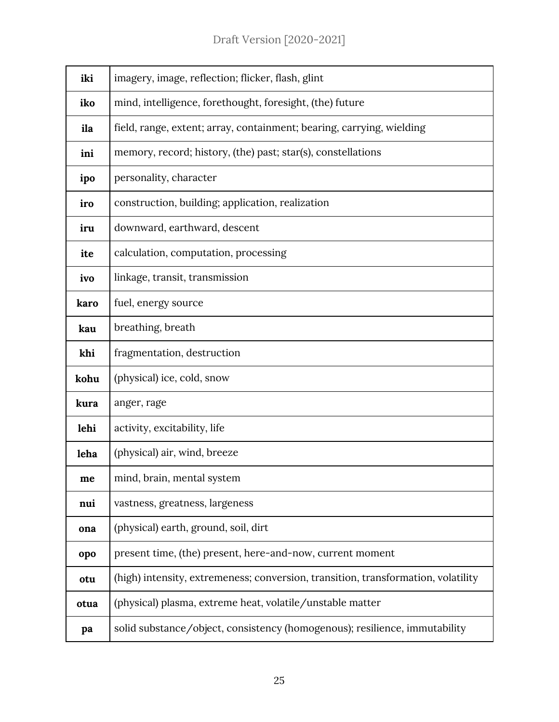| iki  | imagery, image, reflection; flicker, flash, glint                                 |  |  |
|------|-----------------------------------------------------------------------------------|--|--|
| iko  | mind, intelligence, forethought, foresight, (the) future                          |  |  |
| ila  | field, range, extent; array, containment; bearing, carrying, wielding             |  |  |
| ini  | memory, record; history, (the) past; star(s), constellations                      |  |  |
| ipo  | personality, character                                                            |  |  |
| iro  | construction, building; application, realization                                  |  |  |
| iru  | downward, earthward, descent                                                      |  |  |
| ite  | calculation, computation, processing                                              |  |  |
| ivo  | linkage, transit, transmission                                                    |  |  |
| karo | fuel, energy source                                                               |  |  |
| kau  | breathing, breath                                                                 |  |  |
| khi  | fragmentation, destruction                                                        |  |  |
| kohu | (physical) ice, cold, snow                                                        |  |  |
| kura | anger, rage                                                                       |  |  |
| lehi | activity, excitability, life                                                      |  |  |
| leha | (physical) air, wind, breeze                                                      |  |  |
| me   | mind, brain, mental system                                                        |  |  |
| nui  | vastness, greatness, largeness                                                    |  |  |
| ona  | (physical) earth, ground, soil, dirt                                              |  |  |
| opo  | present time, (the) present, here-and-now, current moment                         |  |  |
| otu  | (high) intensity, extremeness; conversion, transition, transformation, volatility |  |  |
| otua | (physical) plasma, extreme heat, volatile/unstable matter                         |  |  |
| pa   | solid substance/object, consistency (homogenous); resilience, immutability        |  |  |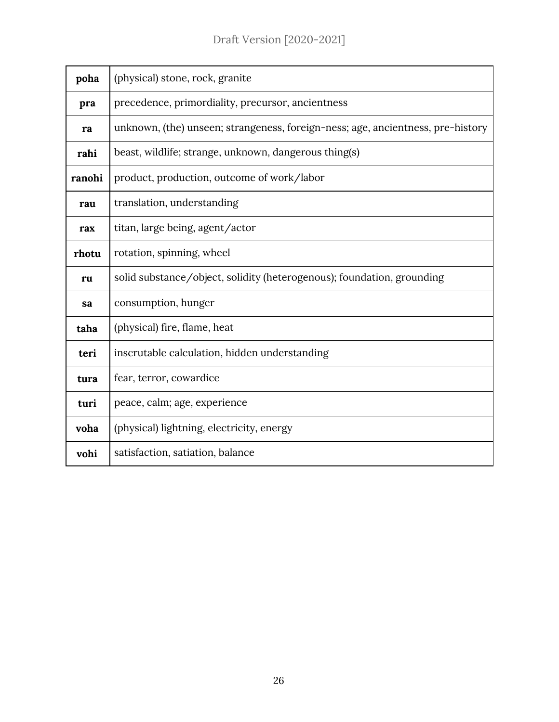| poha   | (physical) stone, rock, granite                                                 |  |  |
|--------|---------------------------------------------------------------------------------|--|--|
| pra    | precedence, primordiality, precursor, ancientness                               |  |  |
| ra     | unknown, (the) unseen; strangeness, foreign-ness; age, ancientness, pre-history |  |  |
| rahi   | beast, wildlife; strange, unknown, dangerous thing(s)                           |  |  |
| ranohi | product, production, outcome of work/labor                                      |  |  |
| rau    | translation, understanding                                                      |  |  |
| rax    | titan, large being, agent/actor                                                 |  |  |
| rhotu  | rotation, spinning, wheel                                                       |  |  |
| ru     | solid substance/object, solidity (heterogenous); foundation, grounding          |  |  |
| sa     | consumption, hunger                                                             |  |  |
| taha   | (physical) fire, flame, heat                                                    |  |  |
| teri   | inscrutable calculation, hidden understanding                                   |  |  |
| tura   | fear, terror, cowardice                                                         |  |  |
| turi   | peace, calm; age, experience                                                    |  |  |
| voha   | (physical) lightning, electricity, energy                                       |  |  |
| vohi   | satisfaction, satiation, balance                                                |  |  |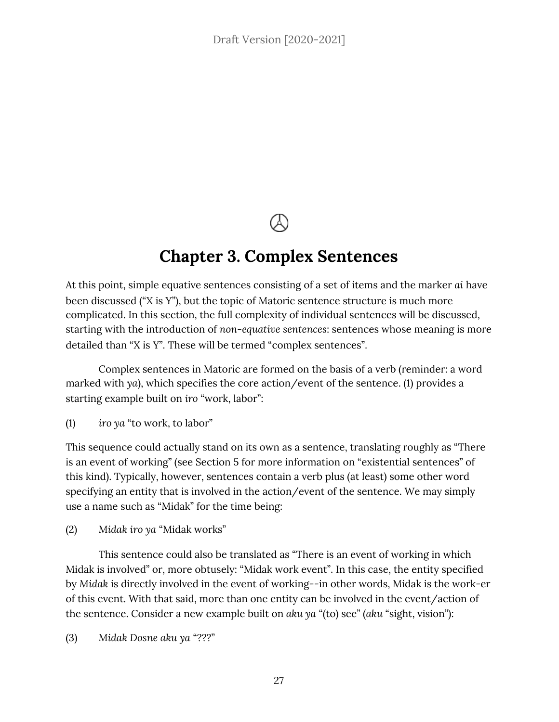# **Chapter 3. Complex Sentences**

<span id="page-26-0"></span>At this point, simple equative sentences consisting of a set of items and the marker *ai* have been discussed ("X is Y"), but the topic of Matoric sentence structure is much more complicated. In this section, the full complexity of individual sentences will be discussed, starting with the introduction of *non-equative sentences*: sentences whose meaning is more detailed than "X is Y". These will be termed "complex sentences".

Complex sentences in Matoric are formed on the basis of a verb (reminder: a word marked with ya), which specifies the core action/event of the sentence. (1) provides a starting example built on *iro* "work, labor":

(1) *iro ya* "to work, to labor"

This sequence could actually stand on its own as a sentence, translating roughly as "There is an event of working" (see Section 5 for more information on "existential sentences" of this kind). Typically, however, sentences contain a verb plus (at least) some other word specifying an entity that is involved in the action/event of the sentence. We may simply use a name such as "Midak" for the time being:

(2) *Midak iro ya* "Midak works"

This sentence could also be translated as "There is an event of working in which Midak is involved" or, more obtusely: "Midak work event". In this case, the entity specified by *Midak* is directly involved in the event of working--in other words, Midak is the work-er of this event. With that said, more than one entity can be involved in the event/action of the sentence. Consider a new example built on *aku ya* "(to) see" (*aku* "sight, vision"):

(3) *Midak Dosne aku ya* "???"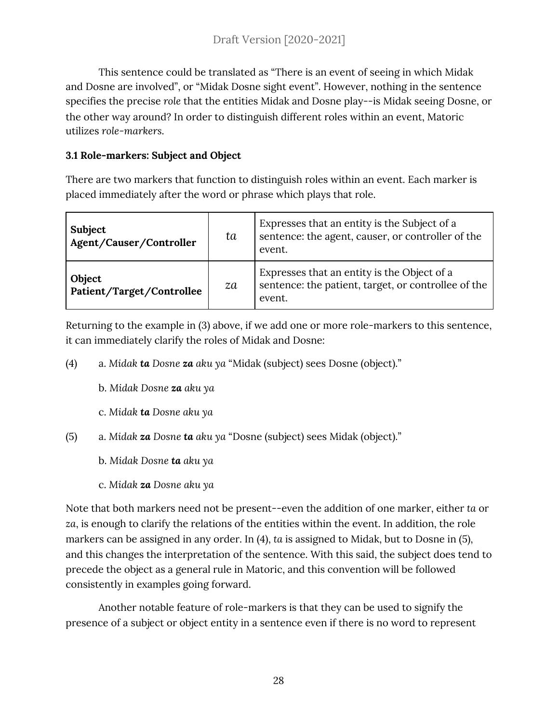This sentence could be translated as "There is an event of seeing in which Midak and Dosne are involved", or "Midak Dosne sight event". However, nothing in the sentence specifies the precise *role* that the entities Midak and Dosne play--is Midak seeing Dosne, or the other way around? In order to distinguish different roles within an event, Matoric utilizes *role-markers*.

#### <span id="page-27-0"></span>**3.1 Role-markers: Subject and Object**

There are two markers that function to distinguish roles within an event. Each marker is placed immediately after the word or phrase which plays that role.

| <b>Subject</b><br>Agent/Causer/Controller | ta | Expresses that an entity is the Subject of a<br>sentence: the agent, causer, or controller of the<br>event.  |
|-------------------------------------------|----|--------------------------------------------------------------------------------------------------------------|
| Object<br>Patient/Target/Controllee       | za | Expresses that an entity is the Object of a<br>sentence: the patient, target, or controllee of the<br>event. |

Returning to the example in (3) above, if we add one or more role-markers to this sentence, it can immediately clarify the roles of Midak and Dosne:

- (4) a. *Midak ta Dosne za aku ya* "Midak (subject) sees Dosne (object)."
	- b. *Midak Dosne za aku ya*
	- c. *Midak ta Dosne aku ya*
- (5) a. *Midak za Dosne ta aku ya* "Dosne (subject) sees Midak (object)."
	- b. *Midak Dosne ta aku ya*
	- c. *Midak za Dosne aku ya*

Note that both markers need not be present--even the addition of one marker, either *ta* or *za*, is enough to clarify the relations of the entities within the event. In addition, the role markers can be assigned in any order. In (4), *ta* is assigned to Midak, but to Dosne in (5), and this changes the interpretation of the sentence. With this said, the subject does tend to precede the object as a general rule in Matoric, and this convention will be followed consistently in examples going forward.

Another notable feature of role-markers is that they can be used to signify the presence of a subject or object entity in a sentence even if there is no word to represent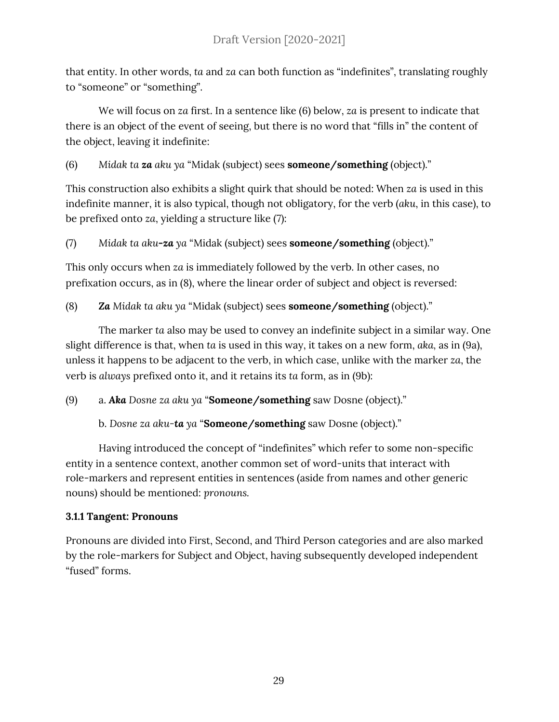that entity. In other words, *ta* and *za* can both function as "indefinites", translating roughly to "someone" or "something".

We will focus on *za* first. In a sentence like (6) below, *za* is present to indicate that there is an object of the event of seeing, but there is no word that "fills in" the content of the object, leaving it indefinite:

(6) *Midak ta za aku ya* "Midak (subject) sees **someone/something** (object)."

This construction also exhibits a slight quirk that should be noted: When *za* is used in this indefinite manner, it is also typical, though not obligatory, for the verb (*aku*, in this case), to be prefixed onto *za*, yielding a structure like (7):

(7) *Midak ta aku-za ya* "Midak (subject) sees **someone/something** (object)."

This only occurs when *za* is immediately followed by the verb. In other cases, no prefixation occurs, as in (8), where the linear order of subject and object is reversed:

(8) *Za Midak ta aku ya* "Midak (subject) sees **someone/something** (object)."

The marker *ta* also may be used to convey an indefinite subject in a similar way. One slight difference is that, when *ta* is used in this way, it takes on a new form, *aka,* as in (9a), unless it happens to be adjacent to the verb, in which case, unlike with the marker *za*, the verb is *always* prefixed onto it, and it retains its *ta* form, as in (9b):

(9) a. *Aka Dosne za aku ya* "**Someone/something** saw Dosne (object)."

b. *Dosne za aku-ta ya* "**Someone/something** saw Dosne (object)."

Having introduced the concept of "indefinites" which refer to some non-specific entity in a sentence context, another common set of word-units that interact with role-markers and represent entities in sentences (aside from names and other generic nouns) should be mentioned: *pronouns.*

### <span id="page-28-0"></span>**3.1.1 Tangent: Pronouns**

Pronouns are divided into First, Second, and Third Person categories and are also marked by the role-markers for Subject and Object, having subsequently developed independent "fused" forms.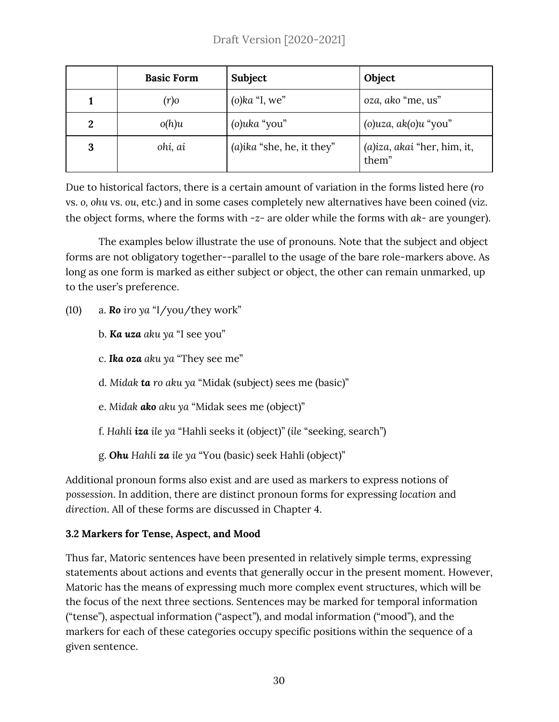|                  | <b>Basic Form</b> | Subject                      | Object                               |
|------------------|-------------------|------------------------------|--------------------------------------|
|                  | $(r)$ o           | $(o)$ ka "I, we"             | oza, ako "me, us"                    |
| $\boldsymbol{2}$ | o(h)u             | (o)uka "you"                 | $(0)uza$ , $ak(0)u$ "you"            |
| 3                | ohi, ai           | $(a)$ ika "she, he, it they" | (a)iza, akai "her, him, it,<br>them" |

Due to historical factors, there is a certain amount of variation in the forms listed here (*ro* vs. *o, ohu* vs. *ou*, etc.) and in some cases completely new alternatives have been coined (viz. the object forms, where the forms with *-z-* are older while the forms with *ak-* are younger).

The examples below illustrate the use of pronouns. Note that the subject and object forms are not obligatory together--parallel to the usage of the bare role-markers above. As long as one form is marked as either subject or object, the other can remain unmarked, up to the user's preference.

#### (10) a. *Ro iro ya* "I/you/they work"

b. *Ka uza aku ya* "I see you"

- c. *Ika oza aku ya* "They see me"
- d. *Midak ta ro aku ya* "Midak (subject) sees me (basic)"
- e. *Midak ako aku ya* "Midak sees me (object)"
- f. *Hahli iza ile ya* "Hahli seeks it (object)" (*ile* "seeking, search")
- g. *Ohu Hahli za ile ya* "You (basic) seek Hahli (object)"

Additional pronoun forms also exist and are used as markers to express notions of *possession*. In addition, there are distinct pronoun forms for expressing *location* and *direction*. All of these forms are discussed in Chapter 4.

### <span id="page-29-0"></span>**3.2 Markers for Tense, Aspect, and Mood**

Thus far, Matoric sentences have been presented in relatively simple terms, expressing statements about actions and events that generally occur in the present moment. However, Matoric has the means of expressing much more complex event structures, which will be the focus of the next three sections. Sentences may be marked for temporal information ("tense"), aspectual information ("aspect"), and modal information ("mood"), and the markers for each of these categories occupy specific positions within the sequence of a given sentence.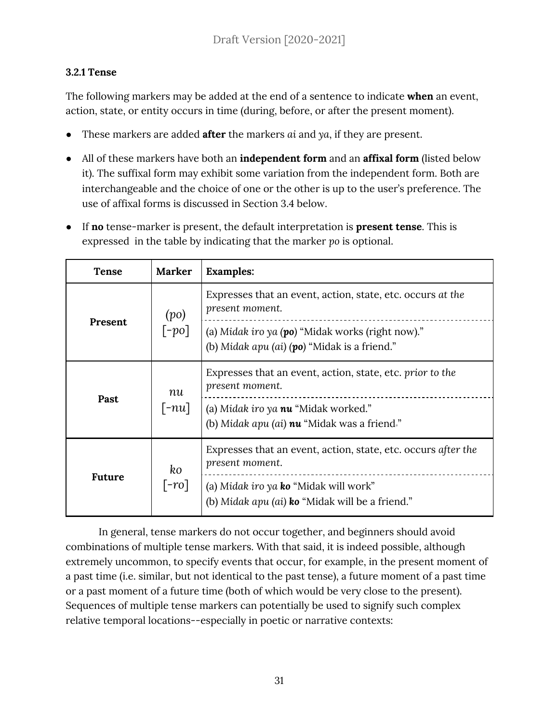### <span id="page-30-0"></span>**3.2.1 Tense**

The following markers may be added at the end of a sentence to indicate **when** an event, action, state, or entity occurs in time (during, before, or after the present moment).

- These markers are added **after** the markers *ai* and *ya*, if they are present.
- All of these markers have both an **independent form** and an **affixal form** (listed below it). The suffixal form may exhibit some variation from the independent form. Both are interchangeable and the choice of one or the other is up to the user's preference. The use of affixal forms is discussed in Section 3.4 below.
- If **no** tense-marker is present, the default interpretation is **present tense**. This is expressed in the table by indicating that the marker *po* is optional.

| <b>Tense</b>  | <b>Marker</b>             | <b>Examples:</b>                                                                                 |  |
|---------------|---------------------------|--------------------------------------------------------------------------------------------------|--|
| Present       | (po)<br>$[-po]$           | Expresses that an event, action, state, etc. occurs at the<br>present moment.                    |  |
|               |                           | (a) Midak iro ya (po) "Midak works (right now)."<br>(b) Midak apu (ai) (po) "Midak is a friend." |  |
| Past          | nu<br>$[-nu]$             | Expresses that an event, action, state, etc. <i>prior</i> to the<br>present moment.              |  |
|               |                           | (a) Midak iro ya nu "Midak worked."<br>(b) Midak apu (ai) $nu$ "Midak was a friend."             |  |
| <b>Future</b> | ko<br>$\lceil -ro \rceil$ | Expresses that an event, action, state, etc. occurs after the<br>present moment.                 |  |
|               |                           | (a) Midak iro ya ko "Midak will work"<br>(b) Midak apu (ai) ko "Midak will be a friend."         |  |

In general, tense markers do not occur together, and beginners should avoid combinations of multiple tense markers. With that said, it is indeed possible, although extremely uncommon, to specify events that occur, for example, in the present moment of a past time (i.e. similar, but not identical to the past tense), a future moment of a past time or a past moment of a future time (both of which would be very close to the present). Sequences of multiple tense markers can potentially be used to signify such complex relative temporal locations--especially in poetic or narrative contexts: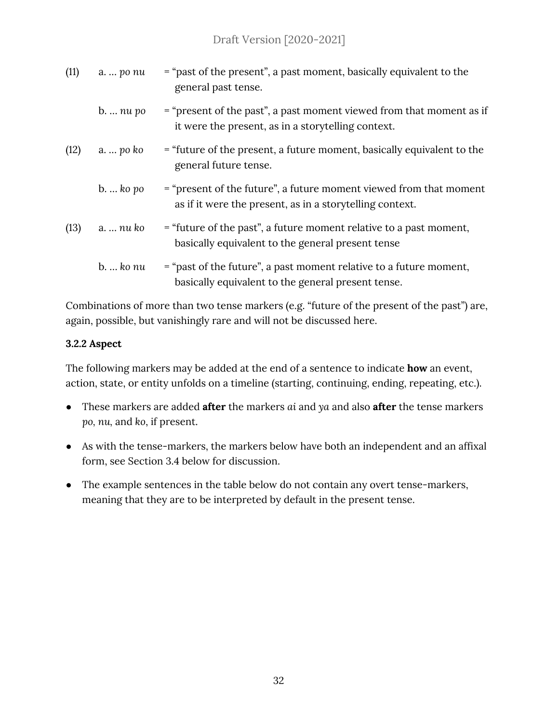| (11) | a.  po nu           | = "past of the present", a past moment, basically equivalent to the<br>general past tense.                                     |
|------|---------------------|--------------------------------------------------------------------------------------------------------------------------------|
|      | $b. \ldots nu$ po   | = "present of the past", a past moment viewed from that moment as if<br>it were the present, as in a storytelling context.     |
| (12) | a.  po ko           | = "future of the present, a future moment, basically equivalent to the<br>general future tense.                                |
|      | $b. \ldots$ ko $po$ | = "present of the future", a future moment viewed from that moment<br>as if it were the present, as in a storytelling context. |
| (13) | a.  nu ko           | = "future of the past", a future moment relative to a past moment,<br>basically equivalent to the general present tense        |
|      | b.  ko nu           | $=$ "past of the future", a past moment relative to a future moment,<br>basically equivalent to the general present tense.     |

Combinations of more than two tense markers (e.g. "future of the present of the past") are, again, possible, but vanishingly rare and will not be discussed here.

#### <span id="page-31-0"></span>**3.2.2 Aspect**

The following markers may be added at the end of a sentence to indicate **how** an event, action, state, or entity unfolds on a timeline (starting, continuing, ending, repeating, etc.).

- These markers are added **after** the markers *ai* and *ya* and also **after** the tense markers *po, nu,* and *ko*, if present.
- As with the tense-markers, the markers below have both an independent and an affixal form, see Section 3.4 below for discussion.
- The example sentences in the table below do not contain any overt tense-markers, meaning that they are to be interpreted by default in the present tense.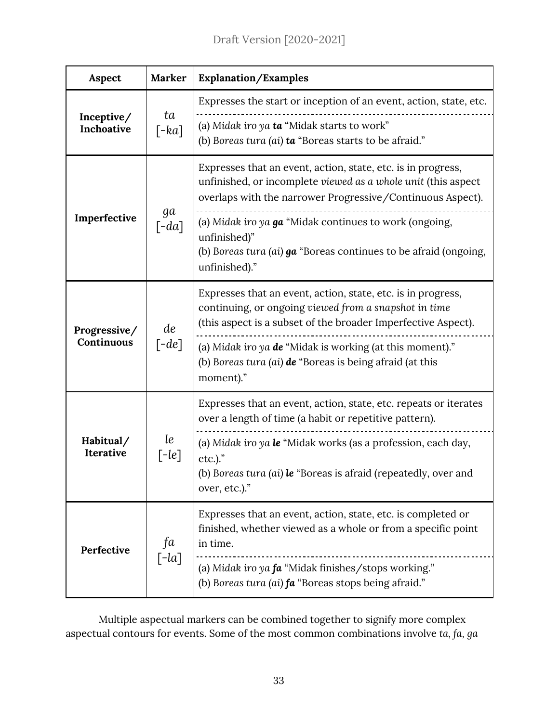| Aspect                        | <b>Marker</b>             | <b>Explanation/Examples</b>                                                                                                                                                                 |  |
|-------------------------------|---------------------------|---------------------------------------------------------------------------------------------------------------------------------------------------------------------------------------------|--|
|                               | ta<br>$\lceil -ka \rceil$ | Expresses the start or inception of an event, action, state, etc.                                                                                                                           |  |
| Inceptive/<br>Inchoative      |                           | (a) Midak iro ya ta "Midak starts to work"<br>(b) Boreas tura (ai) $ta$ "Boreas starts to be afraid."                                                                                       |  |
|                               | ga<br>$[-da]$             | Expresses that an event, action, state, etc. is in progress,<br>unfinished, or incomplete viewed as a whole unit (this aspect<br>overlaps with the narrower Progressive/Continuous Aspect). |  |
| Imperfective                  |                           | (a) Midak iro ya ga "Midak continues to work (ongoing,<br>unfinished)"<br>(b) Boreas tura (ai) $ga$ "Boreas continues to be afraid (ongoing,<br>unfinished)."                               |  |
| Progressive/                  | de<br>$[-de]$             | Expresses that an event, action, state, etc. is in progress,<br>continuing, or ongoing viewed from a snapshot in time<br>(this aspect is a subset of the broader Imperfective Aspect).      |  |
| Continuous                    |                           | (a) Midak iro ya <b>de</b> "Midak is working (at this moment)."<br>(b) Boreas tura (ai) $de$ "Boreas is being afraid (at this<br>moment)."                                                  |  |
|                               | le<br>$\lceil -le \rceil$ | Expresses that an event, action, state, etc. repeats or iterates<br>over a length of time (a habit or repetitive pattern).                                                                  |  |
| Habitual/<br><b>Iterative</b> |                           | (a) Midak iro ya le "Midak works (as a profession, each day,<br>etc.).<br>(b) Boreas tura (ai) le "Boreas is afraid (repeatedly, over and<br>over, etc.)."                                  |  |
| Perfective                    | fa<br>$[-la]$             | Expresses that an event, action, state, etc. is completed or<br>finished, whether viewed as a whole or from a specific point<br>in time.                                                    |  |
|                               |                           | (a) Midak iro ya fa "Midak finishes/stops working."<br>(b) Boreas tura (ai) $fa$ "Boreas stops being afraid."                                                                               |  |

Multiple aspectual markers can be combined together to signify more complex aspectual contours for events. Some of the most common combinations involve *ta, fa, ga*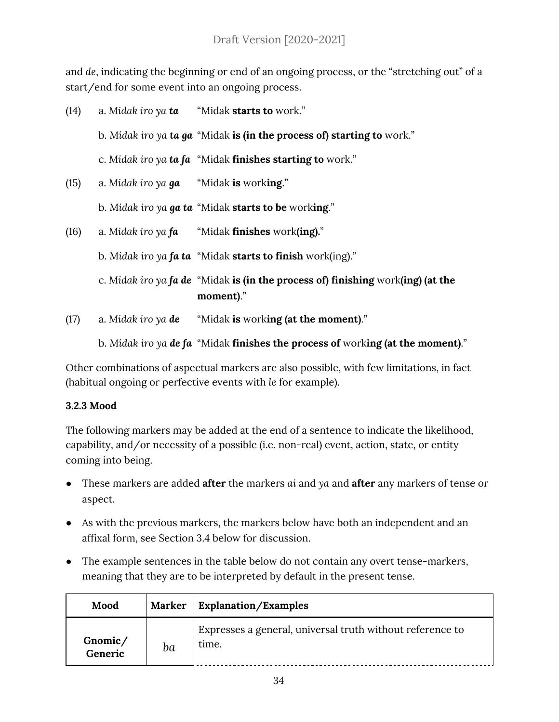and *de*, indicating the beginning or end of an ongoing process, or the "stretching out" of a start/end for some event into an ongoing process.

| (14) |                                          | a. Midak iro ya ta "Midak starts to work."                                                   |
|------|------------------------------------------|----------------------------------------------------------------------------------------------|
|      |                                          | b. Midak iro ya ta ga "Midak is (in the process of) starting to work."                       |
|      |                                          | c. Midak iro ya ta fa "Midak finishes starting to work."                                     |
| (15) | a. Midak iro ya $ga$ "Midak is working." |                                                                                              |
|      |                                          | b. Midak iro ya ga ta "Midak starts to be working."                                          |
| (16) |                                          | a. Midak iro ya $fa$ "Midak finishes work(ing)."                                             |
|      |                                          | b. Midak iro ya <b>fa ta</b> "Midak <b>starts to finish</b> work(ing)."                      |
|      |                                          | c. Midak iro ya fa de "Midak is (in the process of) finishing work(ing) (at the<br>moment)." |
| (17) | a. Midak iro ya <b>de</b>                | "Midak is working (at the moment)."                                                          |

b. *Midak iro ya de fa* "Midak **finishes the process of** work**ing (at the moment)**."

Other combinations of aspectual markers are also possible, with few limitations, in fact (habitual ongoing or perfective events with *le* for example).

### <span id="page-33-0"></span>**3.2.3 Mood**

The following markers may be added at the end of a sentence to indicate the likelihood, capability, and/or necessity of a possible (i.e. non-real) event, action, state, or entity coming into being.

- These markers are added **after** the markers *ai* and *ya* and **after** any markers of tense or aspect.
- As with the previous markers, the markers below have both an independent and an affixal form, see Section 3.4 below for discussion.
- The example sentences in the table below do not contain any overt tense-markers, meaning that they are to be interpreted by default in the present tense.

| Mood               | Marker | <b>Explanation/Examples</b>                                        |  |
|--------------------|--------|--------------------------------------------------------------------|--|
| Gnomic/<br>Generic | ba     | Expresses a general, universal truth without reference to<br>time. |  |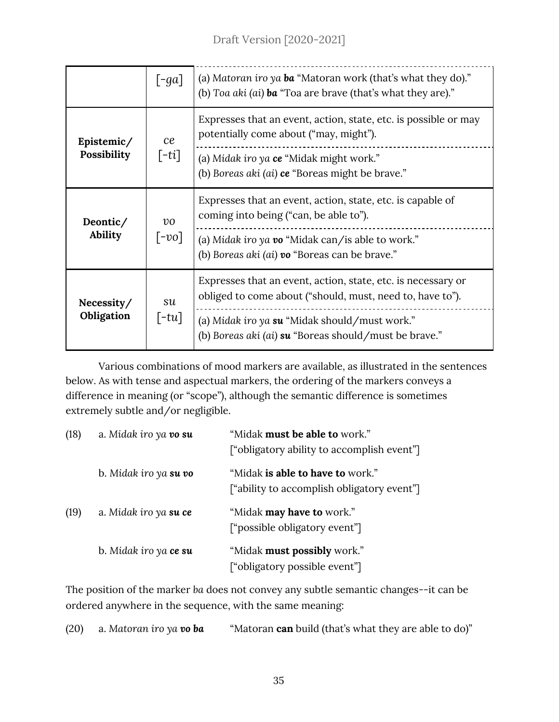|                           | $[-ga]$                                       | (a) Matoran iro ya <b>ba</b> "Matoran work (that's what they do)."<br>(b) Toa aki (ai) ba "Toa are brave (that's what they are)." |
|---------------------------|-----------------------------------------------|-----------------------------------------------------------------------------------------------------------------------------------|
| Epistemic/<br>Possibility | ce<br>$[-ti]$                                 | Expresses that an event, action, state, etc. is possible or may<br>potentially come about ("may, might").                         |
|                           |                                               | (a) Midak iro ya ce "Midak might work."<br>(b) Boreas aki (ai) ce "Boreas might be brave."                                        |
| Deontic/                  | $\mathcal{V}^{\Omega}$<br>$\lceil -vo \rceil$ | Expresses that an event, action, state, etc. is capable of<br>coming into being ("can, be able to").                              |
| <b>Ability</b>            |                                               | (a) Midak iro ya vo "Midak can/is able to work."<br>(b) Boreas aki (ai) vo "Boreas can be brave."                                 |
| Necessity/<br>Obligation  | su<br>$\lceil$ -tu]                           | Expresses that an event, action, state, etc. is necessary or<br>obliged to come about ("should, must, need to, have to").         |
|                           |                                               | (a) Midak iro ya su "Midak should/must work."<br>(b) Boreas aki (ai) su "Boreas should/must be brave."                            |

Various combinations of mood markers are available, as illustrated in the sentences below. As with tense and aspectual markers, the ordering of the markers conveys a difference in meaning (or "scope"), although the semantic difference is sometimes extremely subtle and/or negligible.

| (18) | a. Midak iro ya vo su        | "Midak must be able to work."<br>["obligatory ability to accomplish event"]           |
|------|------------------------------|---------------------------------------------------------------------------------------|
|      | b. Midak iro ya <b>su vo</b> | "Midak <b>is able to have to</b> work."<br>["ability to accomplish obligatory event"] |
| (19) | a. Midak iro ya su ce        | "Midak may have to work."<br>["possible obligatory event"]                            |
|      | b. Midak iro ya <b>ce su</b> | "Midak must possibly work."<br>["obligatory possible event"]                          |

The position of the marker *ba* does not convey any subtle semantic changes--it can be ordered anywhere in the sequence, with the same meaning:

| (20) | a. Matoran iro ya <b>vo ba</b> | "Matoran <b>can</b> build (that's what they are able to do)" |
|------|--------------------------------|--------------------------------------------------------------|
|------|--------------------------------|--------------------------------------------------------------|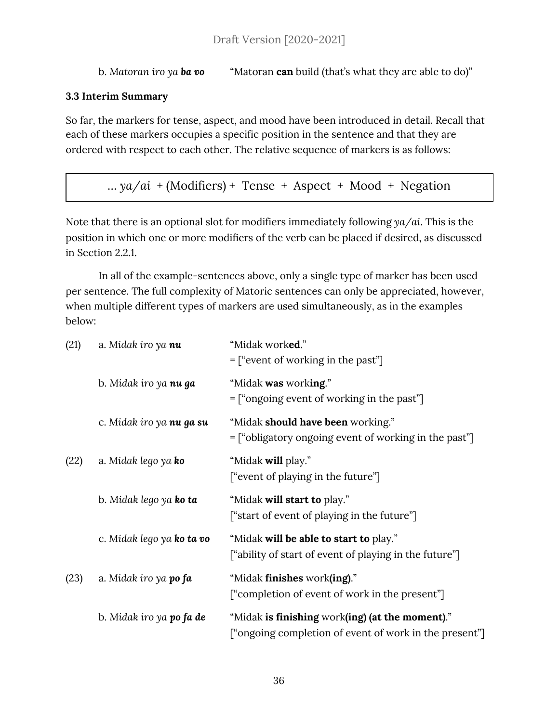#### b. *Matoran iro ya ba vo* "Matoran **can** build (that's what they are able to do)"

#### <span id="page-35-0"></span>**3.3 Interim Summary**

So far, the markers for tense, aspect, and mood have been introduced in detail. Recall that each of these markers occupies a specific position in the sentence and that they are ordered with respect to each other. The relative sequence of markers is as follows:

… *ya/ai* + (Modifiers) + Tense + Aspect + Mood + Negation

Note that there is an optional slot for modifiers immediately following *ya/ai*. This is the position in which one or more modifiers of the verb can be placed if desired, as discussed in Section 2.2.1.

In all of the example-sentences above, only a single type of marker has been used per sentence. The full complexity of Matoric sentences can only be appreciated, however, when multiple different types of markers are used simultaneously, as in the examples below:

| (21) | a. Midak iro ya nu              | "Midak worked."<br>$=$ ["event of working in the past"]                                                   |
|------|---------------------------------|-----------------------------------------------------------------------------------------------------------|
|      | b. Midak iro ya <b>nu ga</b>    | "Midak was working."<br>$=$ ["ongoing event of working in the past"]                                      |
|      | c. Midak iro ya <b>nu ga su</b> | "Midak should have been working."<br>$=$ ["obligatory ongoing event of working in the past"]              |
| (22) | a. Midak lego ya ko             | "Midak will play."<br>["event of playing in the future"]                                                  |
|      | b. Midak lego ya <b>ko ta</b>   | "Midak will start to play."<br>["start of event of playing in the future"]                                |
|      | c. Midak lego ya ko ta vo       | "Midak will be able to start to play."<br>["ability of start of event of playing in the future"]          |
| (23) | a. Midak iro ya <b>po fa</b>    | "Midak finishes work(ing)."<br>["completion of event of work in the present"]                             |
|      | b. Midak iro ya <b>po fa de</b> | "Midak is finishing work(ing) (at the moment)."<br>["ongoing completion of event of work in the present"] |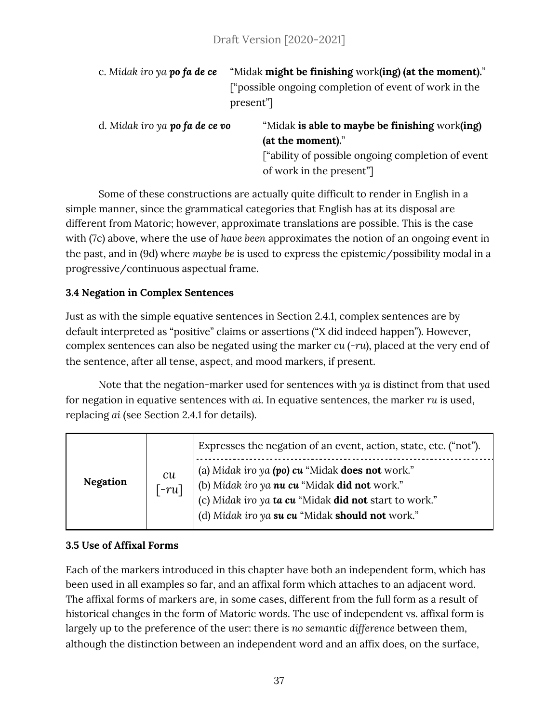| c. Midak iro ya <b>po fa de ce</b>   | "Midak might be finishing work(ing) (at the moment)."  |  |
|--------------------------------------|--------------------------------------------------------|--|
|                                      | expressible ongoing completion of event of work in the |  |
|                                      | present"                                               |  |
| d Midak iro ya <b>no fa de ce po</b> | "Midak is able to maybe be finishing workling"         |  |

| d. Midak iro γa <b>po fa de ce vo</b> | "Midak is able to maybe be finishing work(ing)    |
|---------------------------------------|---------------------------------------------------|
|                                       | (at the moment)."                                 |
|                                       | erability of possible ongoing completion of event |
|                                       | of work in the present"                           |
|                                       |                                                   |

Some of these constructions are actually quite difficult to render in English in a simple manner, since the grammatical categories that English has at its disposal are different from Matoric; however, approximate translations are possible. This is the case with (7c) above, where the use of *have been* approximates the notion of an ongoing event in the past, and in (9d) where *maybe be* is used to express the epistemic/possibility modal in a progressive/continuous aspectual frame.

#### **3.4 Negation in Complex Sentences**

Just as with the simple equative sentences in Section 2.4.1, complex sentences are by default interpreted as "positive" claims or assertions ("X did indeed happen"). However, complex sentences can also be negated using the marker *cu* (*-ru*), placed at the very end of the sentence, after all tense, aspect, and mood markers, if present.

Note that the negation-marker used for sentences with *ya* is distinct from that used for negation in equative sentences with *ai*. In equative sentences, the marker *ru* is used, replacing *ai* (see Section 2.4.1 for details).

|                 |               | Expresses the negation of an event, action, state, etc. ("not").                                                                                                                                                            |
|-----------------|---------------|-----------------------------------------------------------------------------------------------------------------------------------------------------------------------------------------------------------------------------|
| <b>Negation</b> | cu<br>$[-ru]$ | (a) Midak iro ya (po) cu "Midak does not work."<br>' (b) Midak iro ya <b>nu cu</b> "Midak <b>did not</b> work."<br>(c) Midak iro ya ta cu "Midak did not start to work."<br>(d) Midak iro ya su cu "Midak should not work." |

#### **3.5 Use of Affixal Forms**

Each of the markers introduced in this chapter have both an independent form, which has been used in all examples so far, and an affixal form which attaches to an adjacent word. The affixal forms of markers are, in some cases, different from the full form as a result of historical changes in the form of Matoric words. The use of independent vs. affixal form is largely up to the preference of the user: there is *no semantic difference* between them, although the distinction between an independent word and an affix does, on the surface,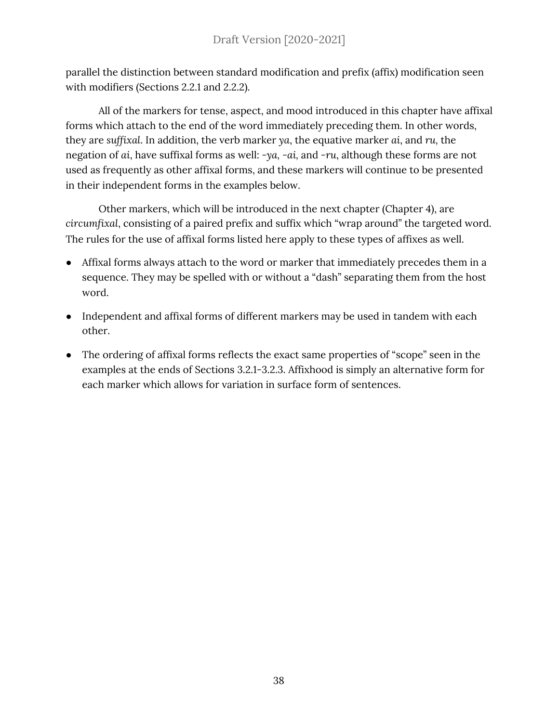parallel the distinction between standard modification and prefix (affix) modification seen with modifiers (Sections 2.2.1 and 2.2.2).

All of the markers for tense, aspect, and mood introduced in this chapter have affixal forms which attach to the end of the word immediately preceding them. In other words, they are *suffixal*. In addition, the verb marker *ya*, the equative marker *ai*, and *ru,* the negation of *ai*, have suffixal forms as well: *-ya, -ai,* and *-ru*, although these forms are not used as frequently as other affixal forms, and these markers will continue to be presented in their independent forms in the examples below.

Other markers, which will be introduced in the next chapter (Chapter 4), are *circumfixal*, consisting of a paired prefix and suffix which "wrap around" the targeted word. The rules for the use of affixal forms listed here apply to these types of affixes as well.

- Affixal forms always attach to the word or marker that immediately precedes them in a sequence. They may be spelled with or without a "dash" separating them from the host word.
- Independent and affixal forms of different markers may be used in tandem with each other.
- The ordering of affixal forms reflects the exact same properties of "scope" seen in the examples at the ends of Sections 3.2.1-3.2.3. Affixhood is simply an alternative form for each marker which allows for variation in surface form of sentences.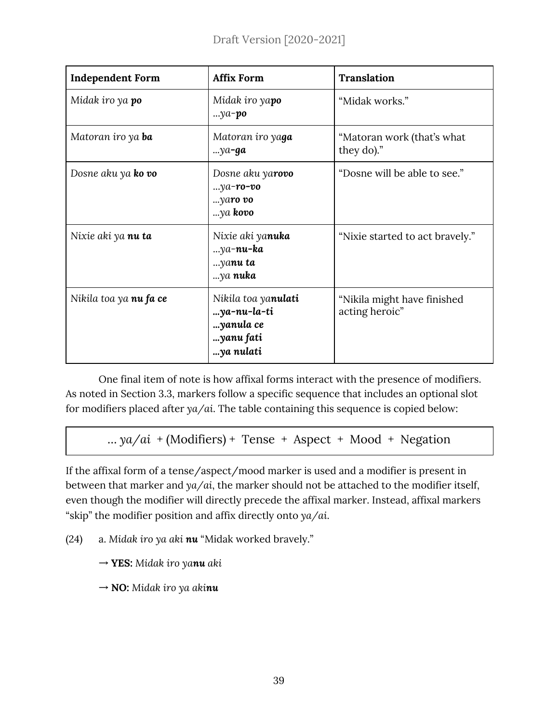| <b>Independent Form</b>       | <b>Affix Form</b>                                                                   | <b>Translation</b>                            |
|-------------------------------|-------------------------------------------------------------------------------------|-----------------------------------------------|
| Midak iro ya <b>po</b>        | Midak iro ya <b>po</b><br>$ya$ - $po$                                               | "Midak works."                                |
| Matoran iro ya ba             | Matoran iro yaga<br>$ya$ -ga                                                        | "Matoran work (that's what<br>they do)."      |
| Dosne aku ya <b>ko vo</b>     | Dosne aku ya <b>rovo</b><br>$ya$ - $ro$ - $vo$<br>yaro vo<br>$ya$ kovo              | "Dosne will be able to see."                  |
| Nixie aki ya <b>nu ta</b>     | Nixie aki ya <b>nuka</b><br>…ya- <b>nu-ka</b><br>ya <b>nu ta</b><br>$\gamma a$ nuka | "Nixie started to act bravely."               |
| Nikila toa ya <b>nu fa ce</b> | Nikila toa ya <b>nulati</b><br>ya-nu-la-ti<br>yanula ce<br>yanu fati<br>ya nulati   | "Nikila might have finished<br>acting heroic" |

One final item of note is how affixal forms interact with the presence of modifiers. As noted in Section 3.3, markers follow a specific sequence that includes an optional slot for modifiers placed after *ya/ai*. The table containing this sequence is copied below:

… *ya/ai* + (Modifiers) + Tense + Aspect + Mood + Negation

If the affixal form of a tense/aspect/mood marker is used and a modifier is present in between that marker and *ya/ai*, the marker should not be attached to the modifier itself, even though the modifier will directly precede the affixal marker. Instead, affixal markers "skip" the modifier position and affix directly onto *ya/ai*.

(24) a. *Midak iro ya aki nu* "Midak worked bravely."

→ **YES:** *Midak iro yanu aki*

→ **NO:** *Midak iro ya akinu*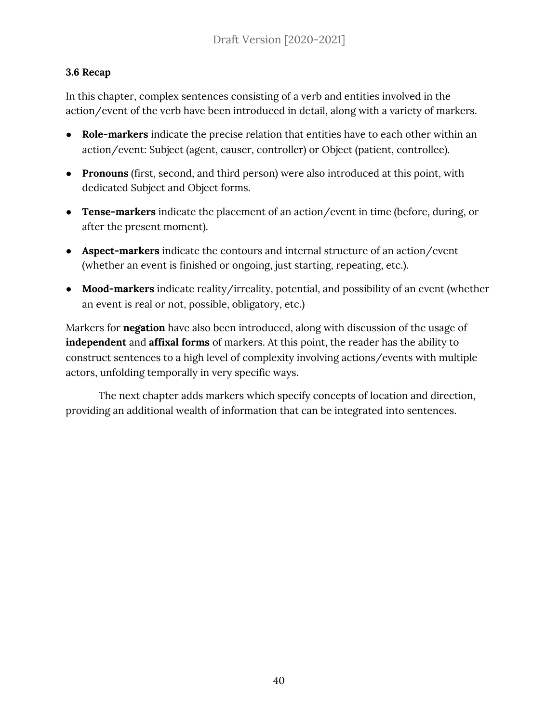### **3.6 Recap**

In this chapter, complex sentences consisting of a verb and entities involved in the action/event of the verb have been introduced in detail, along with a variety of markers.

- **Role-markers** indicate the precise relation that entities have to each other within an action/event: Subject (agent, causer, controller) or Object (patient, controllee).
- **Pronouns** (first, second, and third person) were also introduced at this point, with dedicated Subject and Object forms.
- **Tense-markers** indicate the placement of an action/event in time (before, during, or after the present moment).
- **Aspect-markers** indicate the contours and internal structure of an action/event (whether an event is finished or ongoing, just starting, repeating, etc.).
- **Mood-markers** indicate reality/irreality, potential, and possibility of an event (whether an event is real or not, possible, obligatory, etc.)

Markers for **negation** have also been introduced, along with discussion of the usage of **independent** and **affixal forms** of markers. At this point, the reader has the ability to construct sentences to a high level of complexity involving actions/events with multiple actors, unfolding temporally in very specific ways.

The next chapter adds markers which specify concepts of location and direction, providing an additional wealth of information that can be integrated into sentences.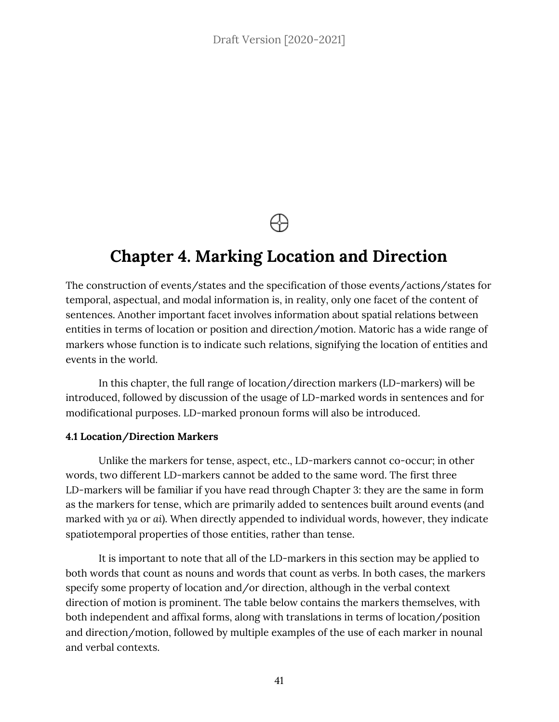**Chapter 4. Marking Location and Direction**

The construction of events/states and the specification of those events/actions/states for temporal, aspectual, and modal information is, in reality, only one facet of the content of sentences. Another important facet involves information about spatial relations between entities in terms of location or position and direction/motion. Matoric has a wide range of markers whose function is to indicate such relations, signifying the location of entities and events in the world.

In this chapter, the full range of location/direction markers (LD-markers) will be introduced, followed by discussion of the usage of LD-marked words in sentences and for modificational purposes. LD-marked pronoun forms will also be introduced.

#### **4.1 Location/Direction Markers**

Unlike the markers for tense, aspect, etc., LD-markers cannot co-occur; in other words, two different LD-markers cannot be added to the same word. The first three LD-markers will be familiar if you have read through Chapter 3: they are the same in form as the markers for tense, which are primarily added to sentences built around events (and marked with *ya* or *ai*). When directly appended to individual words, however, they indicate spatiotemporal properties of those entities, rather than tense.

It is important to note that all of the LD-markers in this section may be applied to both words that count as nouns and words that count as verbs. In both cases, the markers specify some property of location and/or direction, although in the verbal context direction of motion is prominent. The table below contains the markers themselves, with both independent and affixal forms, along with translations in terms of location/position and direction/motion, followed by multiple examples of the use of each marker in nounal and verbal contexts.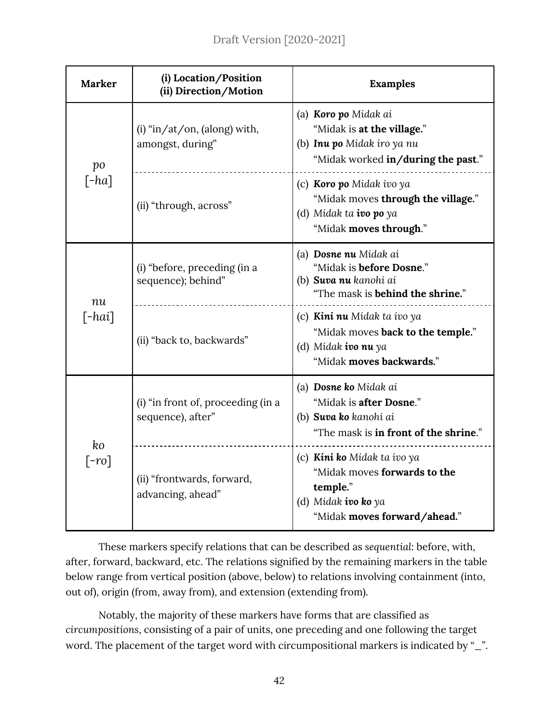| Marker                    | (i) Location/Position<br>(ii) Direction/Motion          | <b>Examples</b>                                                                                                                      |
|---------------------------|---------------------------------------------------------|--------------------------------------------------------------------------------------------------------------------------------------|
| p <sub>0</sub><br>$[-ha]$ | $(i)$ "in/at/on, (along) with,<br>amongst, during"      | (a) <b>Koro po</b> Midak ai<br>"Midak is at the village."<br>(b) <b>Inu po</b> Midak iro ya nu<br>"Midak worked in/during the past." |
|                           | (ii) "through, across"                                  | (c) <b>Koro po</b> Midak ivo ya<br>"Midak moves through the village."<br>(d) Midak ta <b>ivo po</b> ya<br>"Midak moves through."     |
| nu<br>$[-hai]$            | (i) "before, preceding (in a<br>sequence); behind"      | (a) <b>Dosne nu</b> Midak ai<br>"Midak is before Dosne."<br>(b) <b>Suva nu</b> kanohi ai<br>"The mask is <b>behind the shrine.</b> " |
|                           | (ii) "back to, backwards"                               | (c) <b>Kini nu</b> Midak ta ivo ya<br>"Midak moves back to the temple."<br>(d) Midak ivo nu ya<br>"Midak moves backwards."           |
| ko<br>$\lceil -ro \rceil$ | (i) "in front of, proceeding (in a<br>sequence), after" | (a) <b>Dosne ko</b> Midak ai<br>"Midak is after Dosne."<br>(b) Suva ko kanohi ai<br>"The mask is in front of the shrine."            |
|                           | (ii) "frontwards, forward,<br>advancing, ahead"         | (c) Kini ko Midak ta ivo ya<br>"Midak moves forwards to the<br>temple."<br>(d) Midak ivo ko ya<br>"Midak moves forward/ahead."       |

These markers specify relations that can be described as *sequential*: before, with, after, forward, backward, etc. The relations signified by the remaining markers in the table below range from vertical position (above, below) to relations involving containment (into, out of), origin (from, away from), and extension (extending from).

Notably, the majority of these markers have forms that are classified as *circumpositions*, consisting of a pair of units, one preceding and one following the target word. The placement of the target word with circumpositional markers is indicated by "\_".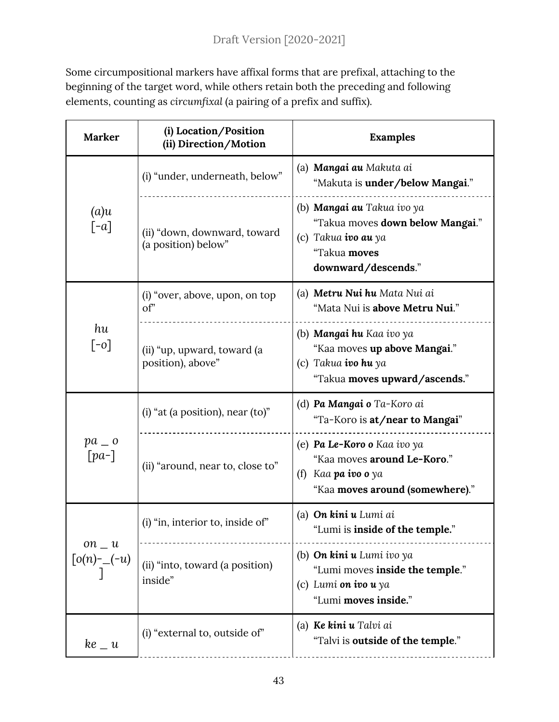Some circumpositional markers have affixal forms that are prefixal, attaching to the beginning of the target word, while others retain both the preceding and following elements, counting as *circumfixal* (a pairing of a prefix and suffix).

| <b>Marker</b>           | (i) Location/Position<br>(ii) Direction/Motion      | <b>Examples</b>                                                                                                                     |
|-------------------------|-----------------------------------------------------|-------------------------------------------------------------------------------------------------------------------------------------|
|                         | (i) "under, underneath, below"                      | (a) <b>Mangai au</b> Makuta ai<br>"Makuta is under/below Mangai."                                                                   |
| (a)u<br>$[-a]$          | (ii) "down, downward, toward<br>(a position) below" | (b) Mangai au Takua ivo ya<br>"Takua moves down below Mangai."<br>(c) Takua <b>ivo au</b> ya<br>"Takua moves<br>downward/descends." |
|                         | (i) "over, above, upon, on top<br>$\mathrm{of}$ "   | (a) Metru Nui hu Mata Nui ai<br>"Mata Nui is above Metru Nui."                                                                      |
| hu<br>$[-0]$            | (ii) "up, upward, toward (a<br>position), above"    | (b) Mangai hu Kaa ivo ya<br>"Kaa moves up above Mangai."<br>(c) Takua <b>ivo hu</b> ya<br>"Takua moves upward/ascends."             |
| $pa_$<br>$[pa-]$        | (i) "at (a position), near $(to)$ "                 | (d) Pa Mangai o Ta-Koro ai<br>"Ta-Koro is at/near to Mangai"                                                                        |
|                         | (ii) "around, near to, close to"                    | (e) Pa Le-Koro o Kaa ivo ya<br>"Kaa moves around Le-Koro."<br>Kaa <b>pa ivo o</b> ya<br>(f)<br>"Kaa moves around (somewhere)."      |
| on $u$<br>$[0(n)-(-u)]$ | (i) "in, interior to, inside of"                    | (a) <b>On kini u</b> Lumi ai<br>"Lumi is inside of the temple."                                                                     |
|                         | (ii) "into, toward (a position)<br>inside"          | (b) <b>On kini u</b> Lumi ivo ya<br>"Lumi moves inside the temple."<br>(c) Lumi on ivo $u$ ya<br>"Lumi moves inside."               |
| $ke_u$                  | (i) "external to, outside of"                       | (a) <b>Ke kini u</b> Talvi ai<br>"Talvi is outside of the temple."                                                                  |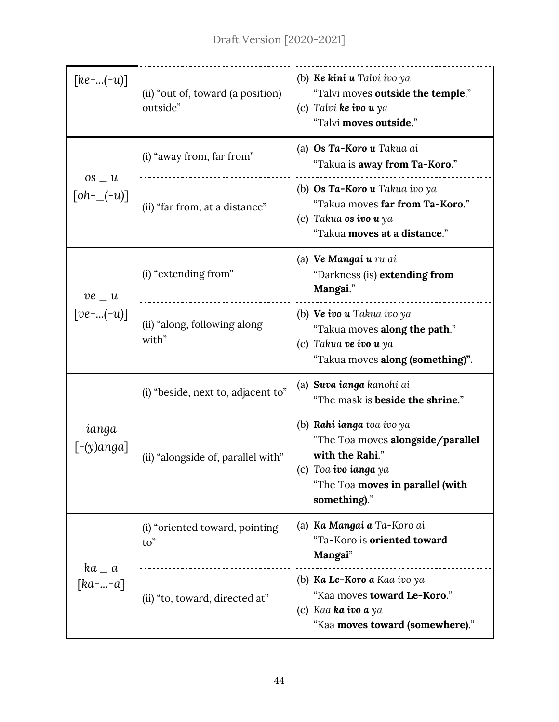| $[ke-(u)]$              | (ii) "out of, toward (a position)<br>outside" | (b) <b>Ke kini u</b> Talvi ivo ya<br>"Talvi moves outside the temple."<br>(c) Talvi <b>ke ivo u</b> ya<br>"Talvi moves outside."                                            |
|-------------------------|-----------------------------------------------|-----------------------------------------------------------------------------------------------------------------------------------------------------------------------------|
|                         | (i) "away from, far from"                     | (a) Os Ta-Koro u Takua ai<br>"Takua is away from Ta-Koro."                                                                                                                  |
| $0s$ $u$<br>$[0h-(-u)]$ | (ii) "far from, at a distance"                | (b) Os Ta-Koro u Takua ivo ya<br>"Takua moves far from Ta-Koro."<br>(c) Takua <b>os ivo u</b> ya<br>"Takua moves at a distance."                                            |
| $ve_u$                  | (i) "extending from"                          | (a) <b>Ve Mangai u</b> ru ai<br>"Darkness (is) <b>extending from</b><br>Mangai."                                                                                            |
| $[ve-(-u)]$             | (ii) "along, following along<br>with"         | (b) Ve ivo u Takua ivo ya<br>"Takua moves <b>along the path.</b> "<br>(c) Takua ve ivo $u$ ya<br>"Takua moves <b>along (something)"</b> .                                   |
|                         | (i) "beside, next to, adjacent to"            | (a) Suva ianga kanohi ai<br>"The mask is <b>beside the shrine.</b> "                                                                                                        |
| ianga<br>[-(y)anga]     | (ii) "alongside of, parallel with"            | (b) <b>Rahi ianga</b> toa ivo ya<br>"The Toa moves alongside/parallel<br>with the Rahi."<br>(c) Toa <b>ivo ianga</b> ya<br>"The Toa moves in parallel (with<br>something)." |
| $ka\ a$<br>$[ka--a]$    | (i) "oriented toward, pointing<br>to"         | (a) Ka Mangai a Ta-Koro ai<br>"Ta-Koro is oriented toward<br>Mangai"                                                                                                        |
|                         | (ii) "to, toward, directed at"                | (b) <b>Ka Le-Koro a</b> Kaa ivo ya<br>"Kaa moves toward Le-Koro."<br>(c) Kaa ka ivo a ya<br>"Kaa moves toward (somewhere)."                                                 |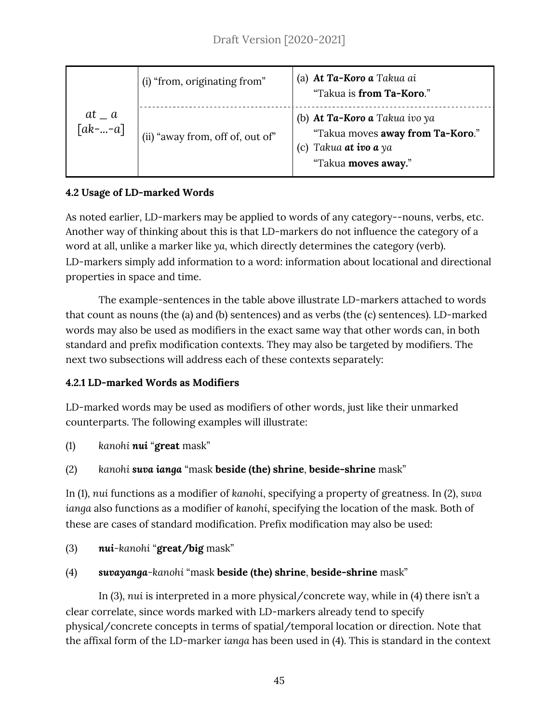|                                       | (i) "from, originating from"     | (a) At Ta-Koro a Takua ai<br>"Takua is from Ta-Koro."                                                                    |
|---------------------------------------|----------------------------------|--------------------------------------------------------------------------------------------------------------------------|
| $at \_a$<br>$\lceil ak -  - a \rceil$ | (ii) "away from, off of, out of" | (b) At Ta-Koro a Takua ivo ya<br>"Takua moves away from Ta-Koro."<br>(c) Takua <b>at ivo a</b> ya<br>"Takua moves away." |

# **4.2 Usage of LD-marked Words**

As noted earlier, LD-markers may be applied to words of any category--nouns, verbs, etc. Another way of thinking about this is that LD-markers do not influence the category of a word at all, unlike a marker like *ya,* which directly determines the category (verb). LD-markers simply add information to a word: information about locational and directional properties in space and time.

The example-sentences in the table above illustrate LD-markers attached to words that count as nouns (the (a) and (b) sentences) and as verbs (the (c) sentences). LD-marked words may also be used as modifiers in the exact same way that other words can, in both standard and prefix modification contexts. They may also be targeted by modifiers. The next two subsections will address each of these contexts separately:

# **4.2.1 LD-marked Words as Modifiers**

LD-marked words may be used as modifiers of other words, just like their unmarked counterparts. The following examples will illustrate:

- (1) *kanohi nui* "**great** mask"
- (2) *kanohi suva ianga* "mask **beside (the) shrine**, **beside-shrine** mask"

In (1), *nui* functions as a modifier of *kanohi*, specifying a property of greatness. In (2), *suva ianga* also functions as a modifier of *kanohi*, specifying the location of the mask. Both of these are cases of standard modification. Prefix modification may also be used:

- (3) *nui-kanohi* "**great/big** mask"
- (4) *suvayanga-kanohi* "mask **beside (the) shrine**, **beside-shrine** mask"

In (3), *nui* is interpreted in a more physical/concrete way, while in (4) there isn't a clear correlate, since words marked with LD-markers already tend to specify physical/concrete concepts in terms of spatial/temporal location or direction. Note that the affixal form of the LD-marker *ianga* has been used in (4). This is standard in the context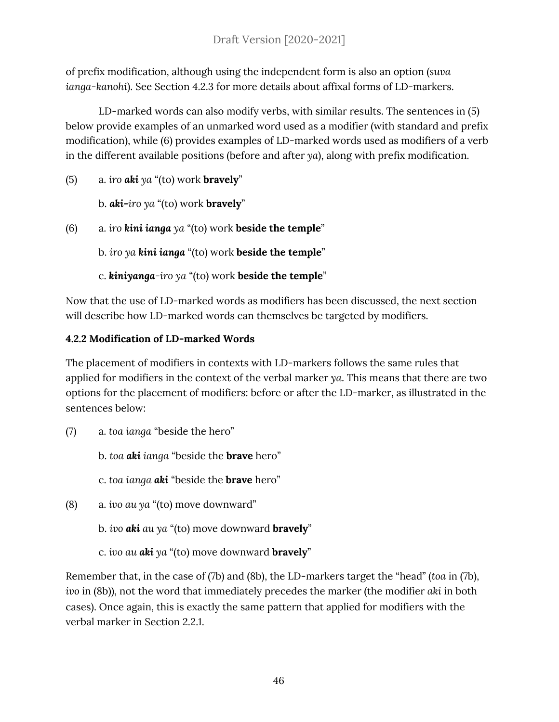of prefix modification, although using the independent form is also an option (*suva ianga-kanohi*). See Section 4.2.3 for more details about affixal forms of LD-markers.

LD-marked words can also modify verbs, with similar results. The sentences in (5) below provide examples of an unmarked word used as a modifier (with standard and prefix modification), while (6) provides examples of LD-marked words used as modifiers of a verb in the different available positions (before and after *ya*), along with prefix modification.

(5) a. *iro aki ya* "(to) work **bravely**"

b. *aki-iro ya* "(to) work **bravely**"

(6) a. *iro kini ianga ya* "(to) work **beside the temple**"

b. *iro ya kini ianga* "(to) work **beside the temple**"

c. *kiniyanga-iro ya* "(to) work **beside the temple**"

Now that the use of LD-marked words as modifiers has been discussed, the next section will describe how LD-marked words can themselves be targeted by modifiers.

# **4.2.2 Modification of LD-marked Words**

The placement of modifiers in contexts with LD-markers follows the same rules that applied for modifiers in the context of the verbal marker *ya*. This means that there are two options for the placement of modifiers: before or after the LD-marker, as illustrated in the sentences below:

(7) a. *toa ianga* "beside the hero"

b. *toa aki ianga* "beside the **brave** hero"

- c. *toa ianga aki* "beside the **brave** hero"
- (8) a. *ivo au ya* "(to) move downward"
	- b. *ivo aki au ya* "(to) move downward **bravely**"
	- c. *ivo au aki ya* "(to) move downward **bravely**"

Remember that, in the case of (7b) and (8b), the LD-markers target the "head" (*toa* in (7b), *ivo* in (8b)), not the word that immediately precedes the marker (the modifier *aki* in both cases). Once again, this is exactly the same pattern that applied for modifiers with the verbal marker in Section 2.2.1.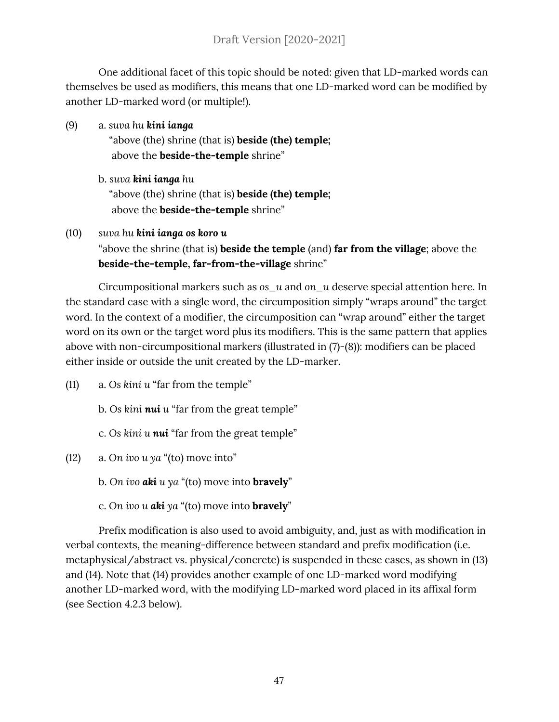One additional facet of this topic should be noted: given that LD-marked words can themselves be used as modifiers, this means that one LD-marked word can be modified by another LD-marked word (or multiple!).

- (9) a. *suva hu kini ianga* "above (the) shrine (that is) **beside (the) temple;**
	- above the **beside-the-temple** shrine"
	- b. *suva kini ianga hu* "above (the) shrine (that is) **beside (the) temple;** above the **beside-the-temple** shrine"
- (10) *suva hu kini ianga os koro u* "above the shrine (that is) **beside the temple** (and) **far from the village**; above the **beside-the-temple, far-from-the-village** shrine"

Circumpositional markers such as *os\_u* and *on\_u* deserve special attention here. In the standard case with a single word, the circumposition simply "wraps around" the target word. In the context of a modifier, the circumposition can "wrap around" either the target word on its own or the target word plus its modifiers. This is the same pattern that applies above with non-circumpositional markers (illustrated in (7)-(8)): modifiers can be placed either inside or outside the unit created by the LD-marker.

- (11) a. *Os kini u* "far from the temple"
	- b. *Os kini nui u* "far from the great temple"
	- c. *Os kini u nui* "far from the great temple"
- (12) a. *On ivo u ya* "(to) move into"
	- b. *On ivo aki u ya* "(to) move into **bravely**"
	- c. *On ivo u aki ya* "(to) move into **bravely**"

Prefix modification is also used to avoid ambiguity, and, just as with modification in verbal contexts, the meaning-difference between standard and prefix modification (i.e. metaphysical/abstract vs. physical/concrete) is suspended in these cases, as shown in (13) and (14). Note that (14) provides another example of one LD-marked word modifying another LD-marked word, with the modifying LD-marked word placed in its affixal form (see Section 4.2.3 below).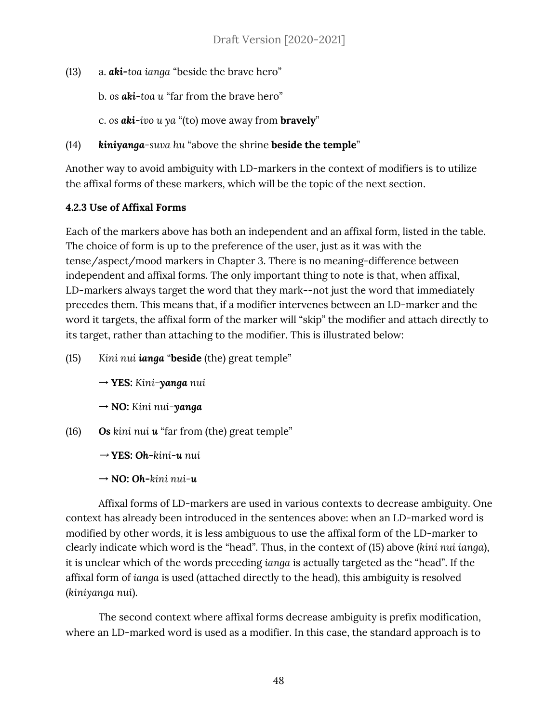(13) a. *aki-toa ianga* "beside the brave hero"

b. *os aki-toa u* "far from the brave hero"

c. *os aki-ivo u ya* "(to) move away from **bravely**"

### (14) *kini***y***anga-suva hu* "above the shrine **beside the temple**"

Another way to avoid ambiguity with LD-markers in the context of modifiers is to utilize the affixal forms of these markers, which will be the topic of the next section.

# **4.2.3 Use of Affixal Forms**

Each of the markers above has both an independent and an affixal form, listed in the table. The choice of form is up to the preference of the user, just as it was with the tense/aspect/mood markers in Chapter 3. There is no meaning-difference between independent and affixal forms. The only important thing to note is that, when affixal, LD-markers always target the word that they mark--not just the word that immediately precedes them. This means that, if a modifier intervenes between an LD-marker and the word it targets, the affixal form of the marker will "skip" the modifier and attach directly to its target, rather than attaching to the modifier. This is illustrated below:

(15) *Kini nui ianga* "**beside** (the) great temple"

- → **YES:** *Kini-yanga nui*
- → **NO:** *Kini nui-yanga*
- (16) *Os kini nui u* "far from (the) great temple"
	- → **YES:** *Oh-kini-u nui*
	- → **NO:** *Oh-kini nui-u*

Affixal forms of LD-markers are used in various contexts to decrease ambiguity. One context has already been introduced in the sentences above: when an LD-marked word is modified by other words, it is less ambiguous to use the affixal form of the LD-marker to clearly indicate which word is the "head". Thus, in the context of (15) above (*kini nui ianga*), it is unclear which of the words preceding *ianga* is actually targeted as the "head". If the affixal form of *ianga* is used (attached directly to the head), this ambiguity is resolved (*kiniyanga nui*).

The second context where affixal forms decrease ambiguity is prefix modification, where an LD-marked word is used as a modifier. In this case, the standard approach is to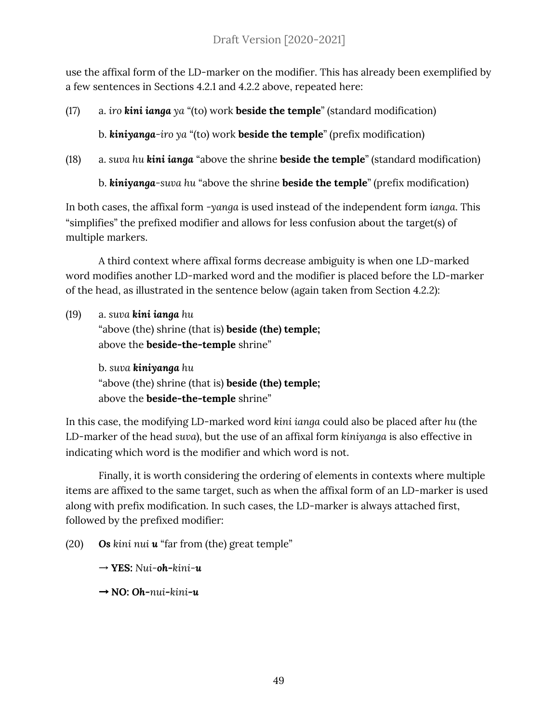use the affixal form of the LD-marker on the modifier. This has already been exemplified by a few sentences in Sections 4.2.1 and 4.2.2 above, repeated here:

(17) a. *iro kini ianga ya* "(to) work **beside the temple**" (standard modification)

b. *kiniyanga-iro ya* "(to) work **beside the temple**" (prefix modification)

(18) a. *suva hu kini ianga* "above the shrine **beside the temple**" (standard modification)

b. *kini***y***anga-suva hu* "above the shrine **beside the temple**" (prefix modification)

In both cases, the affixal form *-yanga* is used instead of the independent form *ianga*. This "simplifies" the prefixed modifier and allows for less confusion about the target(s) of multiple markers.

A third context where affixal forms decrease ambiguity is when one LD-marked word modifies another LD-marked word and the modifier is placed before the LD-marker of the head, as illustrated in the sentence below (again taken from Section 4.2.2):

(19) a. *suva kini ianga hu* "above (the) shrine (that is) **beside (the) temple;** above the **beside-the-temple** shrine"

> b. *suva kiniyanga hu* "above (the) shrine (that is) **beside (the) temple;** above the **beside-the-temple** shrine"

In this case, the modifying LD-marked word *kini ianga* could also be placed after *hu* (the LD-marker of the head *suva*), but the use of an affixal form *kiniyanga* is also effective in indicating which word is the modifier and which word is not.

Finally, it is worth considering the ordering of elements in contexts where multiple items are affixed to the same target, such as when the affixal form of an LD-marker is used along with prefix modification. In such cases, the LD-marker is always attached first, followed by the prefixed modifier:

(20) *Os kini nui u* "far from (the) great temple"

→ **YES:** *Nui-oh-kini-u*

→ **NO:** *Oh-nui-kini-u*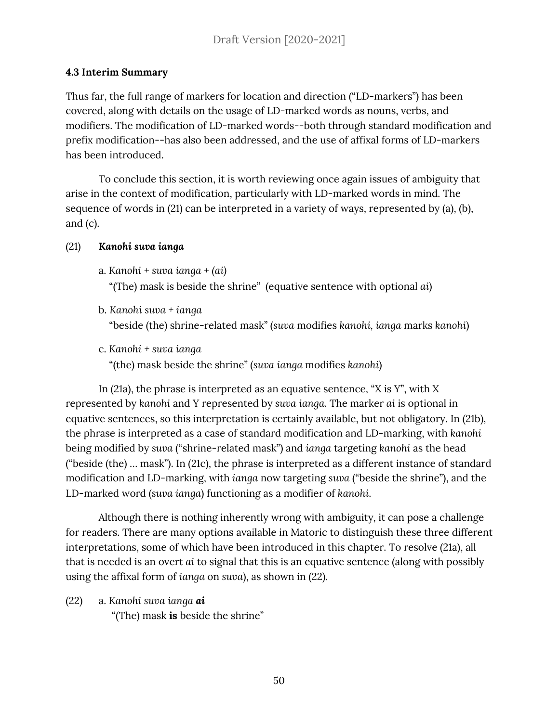#### **4.3 Interim Summary**

Thus far, the full range of markers for location and direction ("LD-markers") has been covered, along with details on the usage of LD-marked words as nouns, verbs, and modifiers. The modification of LD-marked words--both through standard modification and prefix modification--has also been addressed, and the use of affixal forms of LD-markers has been introduced.

To conclude this section, it is worth reviewing once again issues of ambiguity that arise in the context of modification, particularly with LD-marked words in mind. The sequence of words in (21) can be interpreted in a variety of ways, represented by (a), (b), and (c).

#### (21) *Kanohi suva ianga*

- a. *Kanohi + suva ianga + (ai)* "(The) mask is beside the shrine" (equative sentence with optional *ai*)
- b. *Kanohi suva + ianga*

"beside (the) shrine-related mask" (*suva* modifies *kanohi, ianga* marks *kanohi*)

c. *Kanohi + suva ianga*

"(the) mask beside the shrine" (*suva ianga* modifies *kanohi*)

In (21a), the phrase is interpreted as an equative sentence, "X is Y", with X represented by *kanohi* and Y represented by *suva ianga*. The marker *ai* is optional in equative sentences, so this interpretation is certainly available, but not obligatory. In (21b), the phrase is interpreted as a case of standard modification and LD-marking, with *kanohi* being modified by *suva* ("shrine-related mask") and *ianga* targeting *kanohi* as the head ("beside (the) … mask"). In (21c), the phrase is interpreted as a different instance of standard modification and LD-marking, with *ianga* now targeting *suva* ("beside the shrine"), and the LD-marked word (*suva ianga*) functioning as a modifier of *kanohi*.

Although there is nothing inherently wrong with ambiguity, it can pose a challenge for readers. There are many options available in Matoric to distinguish these three different interpretations, some of which have been introduced in this chapter. To resolve (21a), all that is needed is an overt *ai* to signal that this is an equative sentence (along with possibly using the affixal form of *ianga* on *suva*), as shown in (22).

(22) a. *Kanohi suva ianga ai*

"(The) mask **is** beside the shrine"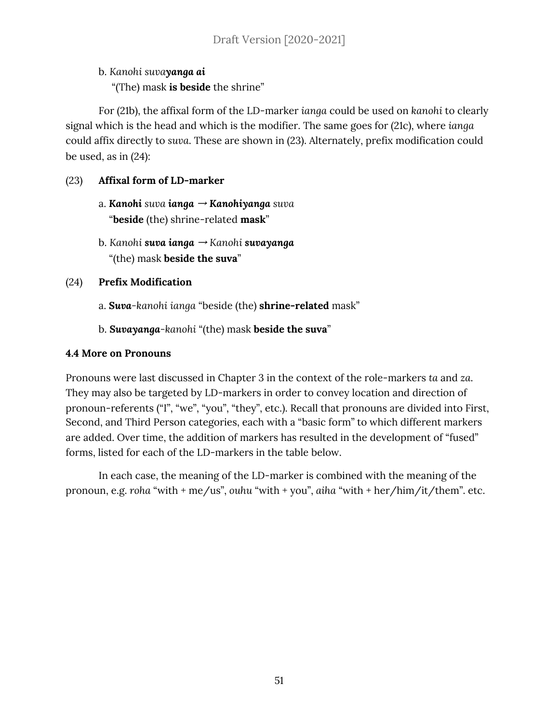### b. *Kanohi suvayanga ai*

"(The) mask **is beside** the shrine"

For (21b), the affixal form of the LD-marker *ianga* could be used on *kanohi* to clearly signal which is the head and which is the modifier. The same goes for (21c), where *ianga* could affix directly to *suva*. These are shown in (23). Alternately, prefix modification could be used, as in (24):

### (23) **Affixal form of LD-marker**

- a. *Kanohi suva ianga* <sup>→</sup> *Kanohiyanga suva* "**beside** (the) shrine-related **mask**"
- b. *Kanohi suva ianga* <sup>→</sup> *Kanohi suvayanga* "(the) mask **beside the suva**"

# (24) **Prefix Modification**

- a. *Suva-kanohi ianga* "beside (the) **shrine-related** mask"
- b. *Suvayanga-kanohi* "(the) mask **beside the suva**"

# **4.4 More on Pronouns**

Pronouns were last discussed in Chapter 3 in the context of the role-markers *ta* and *za*. They may also be targeted by LD-markers in order to convey location and direction of pronoun-referents ("I", "we", "you", "they", etc.). Recall that pronouns are divided into First, Second, and Third Person categories, each with a "basic form" to which different markers are added. Over time, the addition of markers has resulted in the development of "fused" forms, listed for each of the LD-markers in the table below.

In each case, the meaning of the LD-marker is combined with the meaning of the pronoun, e.g. *roha* "with + me/us", *ouhu* "with + you", *aiha* "with + her/him/it/them". etc.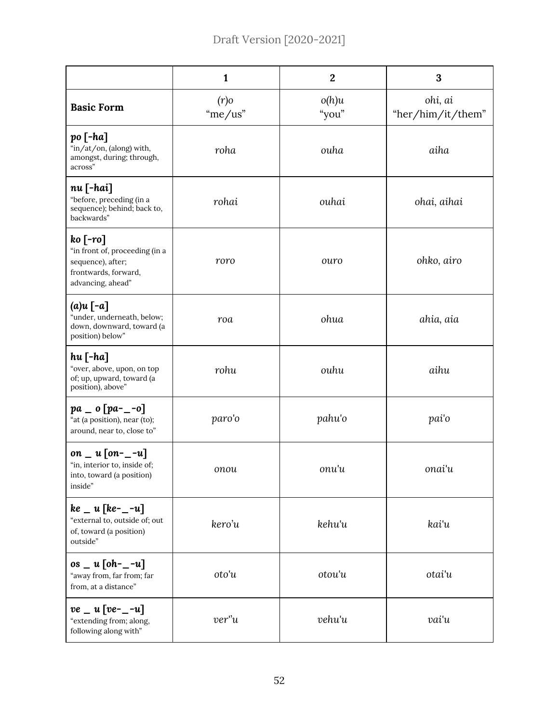|                                                                                                              | $\mathbf{1}$           | $\boldsymbol{2}$ | 3                            |
|--------------------------------------------------------------------------------------------------------------|------------------------|------------------|------------------------------|
| <b>Basic Form</b>                                                                                            | $(r)$ o<br>" $me$ /us" | o(h)u<br>"you"   | ohi, ai<br>"her/him/it/them" |
| po [-ha]<br>"in/at/on, (along) with,<br>amongst, during; through,<br>across"                                 | roha                   | ouha             | aiha                         |
| nu [-hai]<br>"before, preceding (in a<br>sequence); behind; back to,<br>backwards"                           | rohai                  | ouhai            | ohai, aihai                  |
| ko [-ro]<br>"in front of, proceeding (in a<br>sequence), after;<br>frontwards, forward,<br>advancing, ahead" | roro                   | ouro             | ohko, airo                   |
| $(a)$ u $[-a]$<br>"under, underneath, below;<br>down, downward, toward (a<br>position) below"                | roa                    | ohua             | ahia, aia                    |
| hu [-ha]<br>"over, above, upon, on top<br>of; up, upward, toward (a<br>position), above"                     | rohu                   | ouhu             | aihu                         |
| $pa_$ = $o$ $[pa-$ - $o]$<br>"at (a position), near (to);<br>around, near to, close to"                      | paro'o                 | pahu'o           | pai'o                        |
| on $u$ [on- $-u$ ]<br>"in, interior to, inside of;<br>into, toward (a position)<br>inside"                   | onou                   | onu'u            | onai'u                       |
| $ke_u [ke_u-u]$<br>"external to, outside of; out<br>of, toward (a position)<br>outside"                      | kero'u                 | kehu'u           | kai'u                        |
| $\cos$ _ u [oh-_-u]<br>"away from, far from; far<br>from, at a distance"                                     | oto'u                  | otou'u           | otai'u                       |
| $ve_u [ve_u - u]$<br>"extending from; along,<br>following along with"                                        | ver"u                  | vehu'u           | vai'u                        |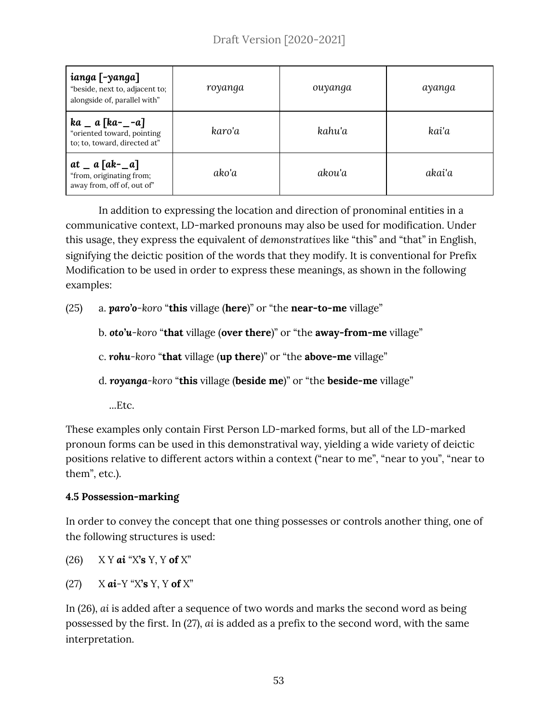| ianga [-yanga]<br>"beside, next to, adjacent to;<br>alongside of, parallel with"         | royanga | ouyanga | ayanga |
|------------------------------------------------------------------------------------------|---------|---------|--------|
| $ka_a[a[ka-1-a]]$<br>"oriented toward, pointing<br>to; to, toward, directed at"          | karo'a  | kahu'a  | kai'a  |
| $at \_ a \lceil ak - a \rceil$<br>"from, originating from;<br>away from, off of, out of" | ako'a   | akou'a  | akai'a |

In addition to expressing the location and direction of pronominal entities in a communicative context, LD-marked pronouns may also be used for modification. Under this usage, they express the equivalent of *demonstratives* like "this" and "that" in English, signifying the deictic position of the words that they modify. It is conventional for Prefix Modification to be used in order to express these meanings, as shown in the following examples:

(25) a. *paro'o-koro* "**this** village (**here**)" or "the **near-to-me** village"

b. *oto'u*-*koro* "**that** village (**over there**)" or "the **away-from-me** village"

c. *rohu-koro* "**that** village (**up there**)" or "the **above-me** village"

d. *royanga-koro* "**this** village (**beside me**)" or "the **beside-me** village"

...Etc.

These examples only contain First Person LD-marked forms, but all of the LD-marked pronoun forms can be used in this demonstratival way, yielding a wide variety of deictic positions relative to different actors within a context ("near to me", "near to you", "near to them", etc.).

# **4.5 Possession-marking**

In order to convey the concept that one thing possesses or controls another thing, one of the following structures is used:

- (26) X Y *ai* "X**'s** Y, Y **of** X"
- (27) X *ai-*Y "X**'s** Y, Y **of** X"

In (26), *ai* is added after a sequence of two words and marks the second word as being possessed by the first. In (27), *ai* is added as a prefix to the second word, with the same interpretation.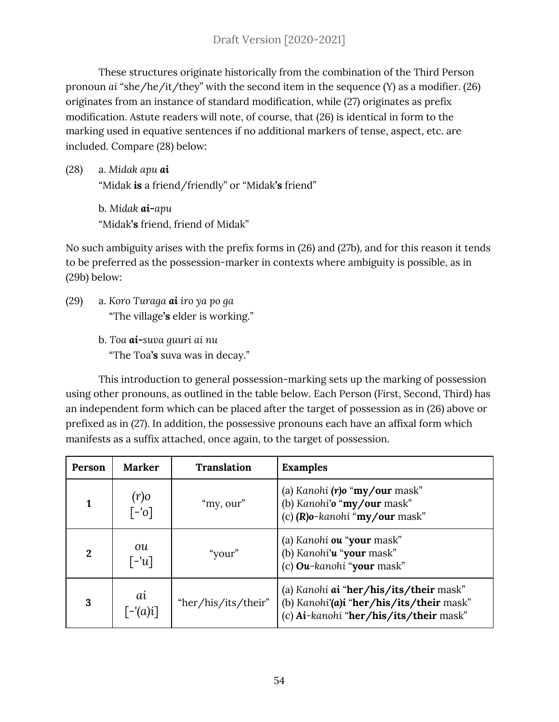These structures originate historically from the combination of the Third Person pronoun *ai* "she/he/it/they" with the second item in the sequence (Y) as a modifier. (26) originates from an instance of standard modification, while (27) originates as prefix modification. Astute readers will note, of course, that (26) is identical in form to the marking used in equative sentences if no additional markers of tense, aspect, etc. are included. Compare (28) below:

(28) a. *Midak apu ai* "Midak **is** a friend/friendly" or "Midak**'s** friend"

> b. *Midak ai-apu* "Midak**'s** friend, friend of Midak"

No such ambiguity arises with the prefix forms in (26) and (27b), and for this reason it tends to be preferred as the possession-marker in contexts where ambiguity is possible, as in (29b) below:

- (29) a. *Koro Turaga ai iro ya po ga* "The village**'s** elder is working."
	- b. *Toa ai-suva guuri ai nu* "The Toa**'s** suva was in decay."

This introduction to general possession-marking sets up the marking of possession using other pronouns, as outlined in the table below. Each Person (First, Second, Third) has an independent form which can be placed after the target of possession as in (26) above or prefixed as in (27). In addition, the possessive pronouns each have an affixal form which manifests as a suffix attached, once again, to the target of possession.

| <b>Person</b> | <b>Marker</b>                         | <b>Translation</b>  | <b>Examples</b>                                                                                                                |
|---------------|---------------------------------------|---------------------|--------------------------------------------------------------------------------------------------------------------------------|
|               | $(r)$ o<br>$\lceil -1 \cdot 0 \rceil$ | "my, our"           | (a) Kanohi (r)o "my/our mask"<br>(b) Kanohi'o "my/our mask"<br>(c) $(R)$ o-kanohi "my/our mask"                                |
| $\mathbf{2}$  | ou<br>$\lceil -u \rceil$              | "your"              | (a) Kanohi ou "your mask"<br>(b) Kanohi'u "your mask"<br>(c) Ou-kanohi "your mask"                                             |
| 3             | ai<br>$\mathcal{I}$ -'(a)i]           | "her/his/its/their" | (a) Kanohi $ai$ "her/his/its/their mask"<br>(b) Kanohi'(a)i "her/his/its/their mask"<br>(c) Ai-kanohi "her/his/its/their mask" |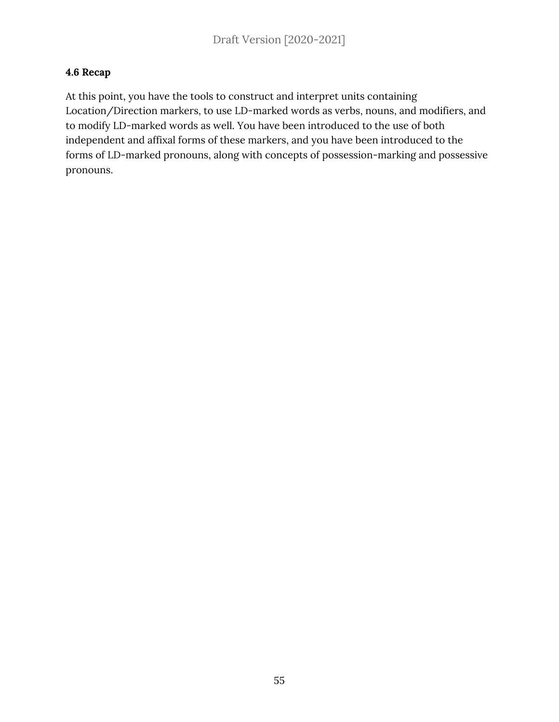#### **4.6 Recap**

At this point, you have the tools to construct and interpret units containing Location/Direction markers, to use LD-marked words as verbs, nouns, and modifiers, and to modify LD-marked words as well. You have been introduced to the use of both independent and affixal forms of these markers, and you have been introduced to the forms of LD-marked pronouns, along with concepts of possession-marking and possessive pronouns.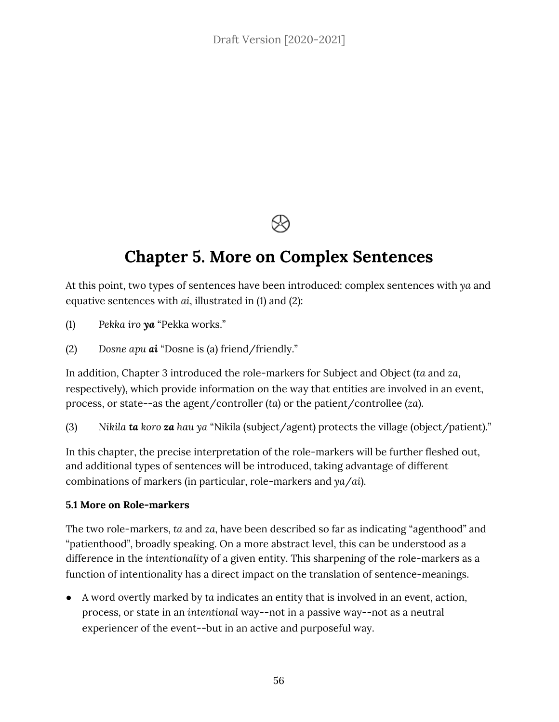# **Chapter 5. More on Complex Sentences**

At this point, two types of sentences have been introduced: complex sentences with *ya* and equative sentences with *ai*, illustrated in (1) and (2):

- (1) *Pekka iro ya* "Pekka works."
- (2) *Dosne apu ai* "Dosne is (a) friend/friendly."

In addition, Chapter 3 introduced the role-markers for Subject and Object (*ta* and *za*, respectively), which provide information on the way that entities are involved in an event, process, or state--as the agent/controller (*ta*) or the patient/controllee (*za*).

(3) *Nikila ta koro za hau ya* "Nikila (subject/agent) protects the village (object/patient)."

In this chapter, the precise interpretation of the role-markers will be further fleshed out, and additional types of sentences will be introduced, taking advantage of different combinations of markers (in particular, role-markers and *ya*/*ai*).

#### **5.1 More on Role-markers**

The two role-markers, *ta* and *za,* have been described so far as indicating "agenthood" and "patienthood", broadly speaking. On a more abstract level, this can be understood as a difference in the *intentionality* of a given entity. This sharpening of the role-markers as a function of intentionality has a direct impact on the translation of sentence-meanings.

● A word overtly marked by *ta* indicates an entity that is involved in an event, action, process, or state in an *intentional* way--not in a passive way--not as a neutral experiencer of the event--but in an active and purposeful way.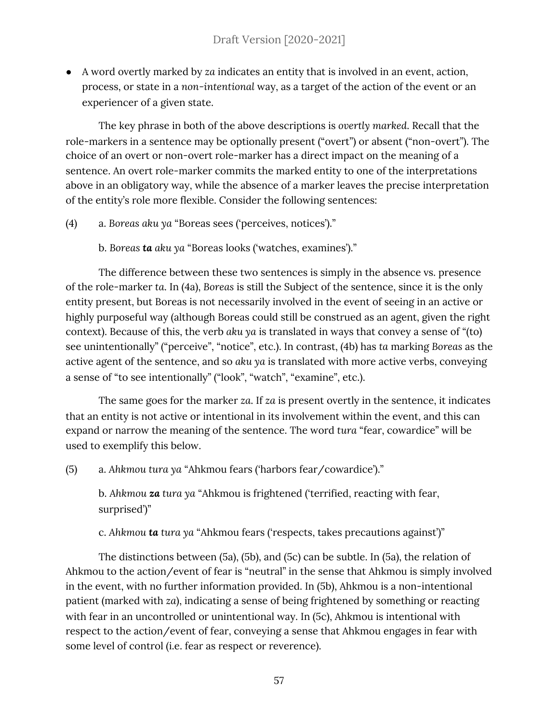● A word overtly marked by *za* indicates an entity that is involved in an event, action, process, or state in a *non-intentional* way, as a target of the action of the event or an experiencer of a given state.

The key phrase in both of the above descriptions is *overtly marked*. Recall that the role-markers in a sentence may be optionally present ("overt") or absent ("non-overt"). The choice of an overt or non-overt role-marker has a direct impact on the meaning of a sentence. An overt role-marker commits the marked entity to one of the interpretations above in an obligatory way, while the absence of a marker leaves the precise interpretation of the entity's role more flexible. Consider the following sentences:

(4) a. *Boreas aku ya* "Boreas sees ('perceives, notices')."

b. *Boreas ta aku ya* "Boreas looks ('watches, examines')."

The difference between these two sentences is simply in the absence vs. presence of the role-marker *ta*. In (4a), *Boreas* is still the Subject of the sentence, since it is the only entity present, but Boreas is not necessarily involved in the event of seeing in an active or highly purposeful way (although Boreas could still be construed as an agent, given the right context). Because of this, the verb *aku ya* is translated in ways that convey a sense of "(to) see unintentionally" ("perceive", "notice", etc.). In contrast, (4b) has *ta* marking *Boreas* as the active agent of the sentence, and so *aku ya* is translated with more active verbs, conveying a sense of "to see intentionally" ("look", "watch", "examine", etc.).

The same goes for the marker *za*. If *za* is present overtly in the sentence, it indicates that an entity is not active or intentional in its involvement within the event, and this can expand or narrow the meaning of the sentence. The word *tura* "fear, cowardice" will be used to exemplify this below.

(5) a. *Ahkmou tura ya* "Ahkmou fears ('harbors fear/cowardice')."

b. *Ahkmou za tura ya* "Ahkmou is frightened ('terrified, reacting with fear, surprised')"

c. *Ahkmou ta tura ya* "Ahkmou fears ('respects, takes precautions against')"

The distinctions between (5a), (5b), and (5c) can be subtle. In (5a), the relation of Ahkmou to the action/event of fear is "neutral" in the sense that Ahkmou is simply involved in the event, with no further information provided. In (5b), Ahkmou is a non-intentional patient (marked with *za*), indicating a sense of being frightened by something or reacting with fear in an uncontrolled or unintentional way. In (5c), Ahkmou is intentional with respect to the action/event of fear, conveying a sense that Ahkmou engages in fear with some level of control (i.e. fear as respect or reverence).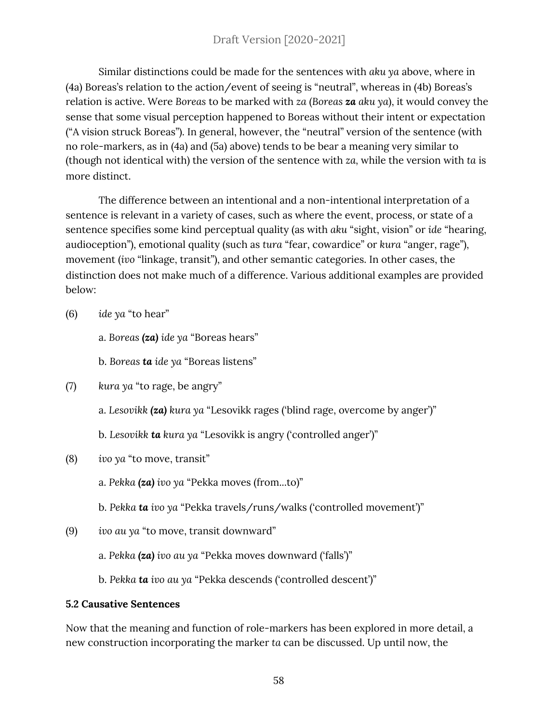# Draft Version [2020-2021]

Similar distinctions could be made for the sentences with *aku ya* above, where in (4a) Boreas's relation to the action/event of seeing is "neutral", whereas in (4b) Boreas's relation is active. Were *Boreas* to be marked with *za* (*Boreas za aku ya*), it would convey the sense that some visual perception happened to Boreas without their intent or expectation ("A vision struck Boreas"). In general, however, the "neutral" version of the sentence (with no role-markers, as in (4a) and (5a) above) tends to be bear a meaning very similar to (though not identical with) the version of the sentence with *za,* while the version with *ta* is more distinct.

The difference between an intentional and a non-intentional interpretation of a sentence is relevant in a variety of cases, such as where the event, process, or state of a sentence specifies some kind perceptual quality (as with *aku* "sight, vision" or *ide* "hearing, audioception"), emotional quality (such as *tura* "fear, cowardice" or *kura* "anger, rage"), movement (*ivo* "linkage, transit"), and other semantic categories. In other cases, the distinction does not make much of a difference. Various additional examples are provided below:

(6) *ide ya* "to hear"

a. *Boreas (za) ide ya* "Boreas hears"

b. *Boreas ta ide ya* "Boreas listens"

(7) *kura ya* "to rage, be angry"

a. *Lesovikk (za) kura ya* "Lesovikk rages ('blind rage, overcome by anger')"

b. *Lesovikk ta kura ya* "Lesovikk is angry ('controlled anger')"

(8) *ivo ya* "to move, transit"

a. *Pekka (za) ivo ya* "Pekka moves (from...to)"

b. *Pekka ta ivo ya* "Pekka travels/runs/walks ('controlled movement')"

(9) *ivo au ya* "to move, transit downward"

a. *Pekka (za) ivo au ya* "Pekka moves downward ('falls')"

b. *Pekka ta ivo au ya* "Pekka descends ('controlled descent')"

#### **5.2 Causative Sentences**

Now that the meaning and function of role-markers has been explored in more detail, a new construction incorporating the marker *ta* can be discussed. Up until now, the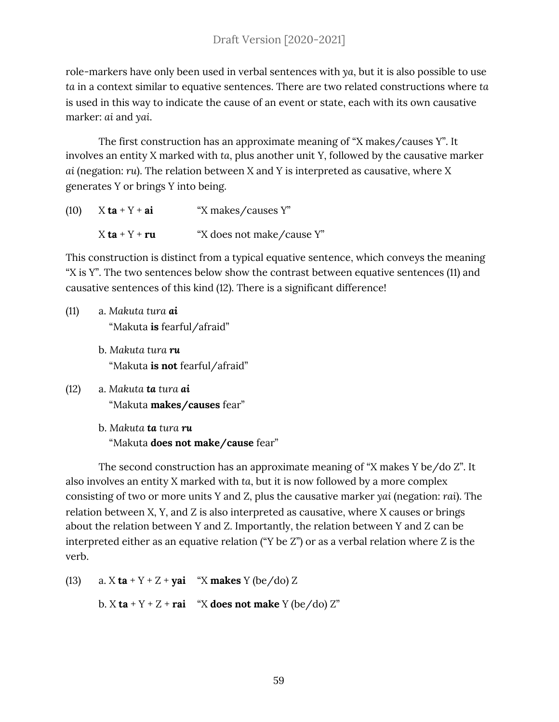# Draft Version [2020-2021]

role-markers have only been used in verbal sentences with *ya*, but it is also possible to use *ta* in a context similar to equative sentences. There are two related constructions where *ta* is used in this way to indicate the cause of an event or state, each with its own causative marker: *ai* and *yai*.

The first construction has an approximate meaning of "X makes/causes Y". It involves an entity X marked with *ta*, plus another unit Y, followed by the causative marker *ai* (negation: *ru*). The relation between X and Y is interpreted as causative, where X generates Y or brings Y into being.

| (10) | $X$ ta + $Y$ + ai | "X makes/causes Y"        |
|------|-------------------|---------------------------|
|      | $X$ ta + Y + ru   | "X does not make/cause Y" |

This construction is distinct from a typical equative sentence, which conveys the meaning "X is Y". The two sentences below show the contrast between equative sentences (11) and causative sentences of this kind (12). There is a significant difference!

(11) a. *Makuta tura ai* "Makuta **is** fearful/afraid" b. *Makuta tura ru*

"Makuta **is not** fearful/afraid"

(12) a. *Makuta ta tura ai* "Makuta **makes/causes** fear"

> b. *Makuta ta tura ru* "Makuta **does not make/cause** fear"

The second construction has an approximate meaning of "X makes Y be/do Z". It also involves an entity X marked with *ta*, but it is now followed by a more complex consisting of two or more units Y and Z, plus the causative marker *yai* (negation: *rai*). The relation between X, Y, and Z is also interpreted as causative, where X causes or brings about the relation between Y and Z. Importantly, the relation between Y and Z can be interpreted either as an equative relation ("Y be Z") or as a verbal relation where Z is the verb.

(13) a.  $X$  **ta** + Y + Z + **yai** "X **makes** Y (be/do) Z b.  $X$  ta +  $Y$  +  $Z$  + rai "X does not make  $Y$  (be/do)  $Z$ "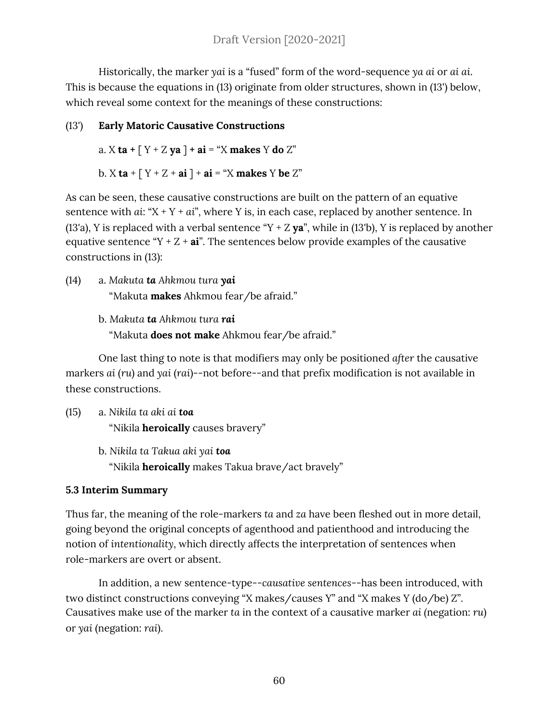Historically, the marker *yai* is a "fused" form of the word-sequence *ya ai* or *ai ai*. This is because the equations in (13) originate from older structures, shown in (13') below, which reveal some context for the meanings of these constructions:

# (13') **Early Matoric Causative Constructions**

a. X **ta +** [ Y + Z **ya** ] **+ ai** = "X **makes** Y **do** Z" b.  $X$  ta +  $\lceil Y + Z + ai \rceil + ai = "X$  makes  $Y$  be  $Z"$ 

As can be seen, these causative constructions are built on the pattern of an equative sentence with *ai*: "X + Y + *ai*", where Y is, in each case, replaced by another sentence. In (13'a), Y is replaced with a verbal sentence "Y + Z **ya**", while in (13'b), Y is replaced by another equative sentence " $Y + Z + ai$ ". The sentences below provide examples of the causative constructions in (13):

- (14) a. *Makuta ta Ahkmou tura yai* "Makuta **makes** Ahkmou fear/be afraid."
	- b. *Makuta ta Ahkmou tura rai* "Makuta **does not make** Ahkmou fear/be afraid."

One last thing to note is that modifiers may only be positioned *after* the causative markers *ai* (*ru*) and *yai* (*rai*)--not before--and that prefix modification is not available in these constructions.

(15) a. *Nikila ta aki ai toa* "Nikila **heroically** causes bravery"

> b. *Nikila ta Takua aki yai toa* "Nikila **heroically** makes Takua brave/act bravely"

# **5.3 Interim Summary**

Thus far, the meaning of the role-markers *ta* and *za* have been fleshed out in more detail, going beyond the original concepts of agenthood and patienthood and introducing the notion of *intentionality*, which directly affects the interpretation of sentences when role-markers are overt or absent.

In addition, a new sentence-type--*causative sentences*--has been introduced, with two distinct constructions conveying "X makes/causes Y" and "X makes Y (do/be) Z". Causatives make use of the marker *ta* in the context of a causative marker *ai (*negation: *ru*) or *yai* (negation: *rai*).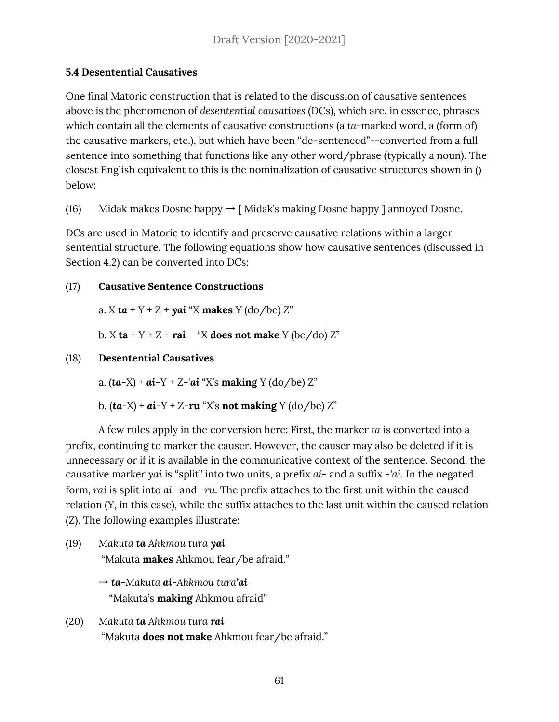### **5.4 Desentential Causatives**

One final Matoric construction that is related to the discussion of causative sentences above is the phenomenon of *desentential causatives* (DCs), which are, in essence, phrases which contain all the elements of causative constructions (a *ta*-marked word, a (form of) the causative markers, etc.), but which have been "de-sentenced"--converted from a full sentence into something that functions like any other word/phrase (typically a noun). The closest English equivalent to this is the nominalization of causative structures shown in () below:

(16) Midak makes Dosne happy  $\rightarrow$  [ Midak's making Dosne happy ] annoyed Dosne.

DCs are used in Matoric to identify and preserve causative relations within a larger sentential structure. The following equations show how causative sentences (discussed in Section 4.2) can be converted into DCs:

#### (17) **Causative Sentence Constructions**

a. X *ta* + Y + Z + *yai* "X **makes** Y (do/be) Z"

b.  $X$  ta +  $Y$  +  $Z$  + rai "X does not make  $Y$  (be/do)  $Z$ "

# (18) **Desentential Causatives**

a. (*ta*-X) + *ai*-Y + Z-'*ai* "X's **making** Y (do/be) Z"

b.  $(ta-X) + ai-Y + Z-ru$  "X's not making Y (do/be) Z"

A few rules apply in the conversion here: First, the marker *ta* is converted into a prefix, continuing to marker the causer. However, the causer may also be deleted if it is unnecessary or if it is available in the communicative context of the sentence. Second, the causative marker *yai* is "split" into two units, a prefix *ai-* and a suffix *-'ai*. In the negated form, *rai* is split into *ai-* and *-ru*. The prefix attaches to the first unit within the caused relation (Y, in this case), while the suffix attaches to the last unit within the caused relation (Z). The following examples illustrate:

- (19) *Makuta ta Ahkmou tura yai* "Makuta **makes** Ahkmou fear/be afraid."
	- → *ta-Makuta ai-Ahkmou tura'ai* "Makuta's **making** Ahkmou afraid"
- (20) *Makuta ta Ahkmou tura rai* "Makuta **does not make** Ahkmou fear/be afraid."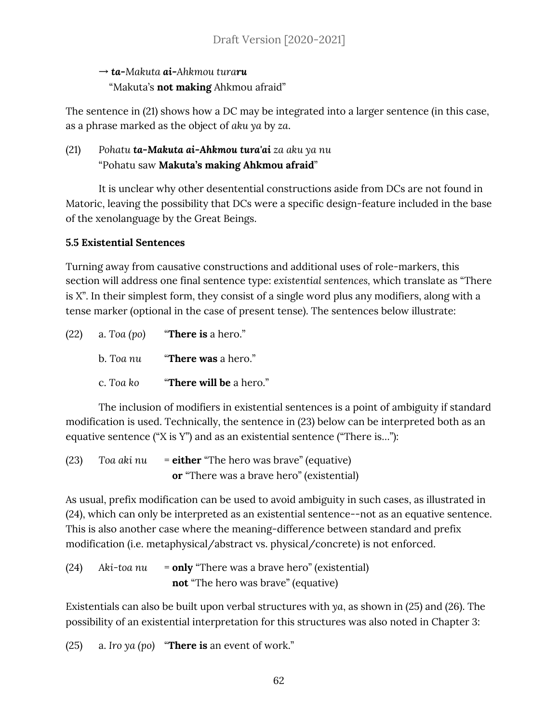→ *ta-Makuta ai-Ahkmou turaru*

"Makuta's **not making** Ahkmou afraid"

The sentence in (21) shows how a DC may be integrated into a larger sentence (in this case, as a phrase marked as the object of *aku ya* by *za*.

# (21) *Pohatu ta-Makuta ai-Ahkmou tura'ai za aku ya nu* "Pohatu saw **Makuta's making Ahkmou afraid**"

It is unclear why other desentential constructions aside from DCs are not found in Matoric, leaving the possibility that DCs were a specific design-feature included in the base of the xenolanguage by the Great Beings.

# **5.5 Existential Sentences**

Turning away from causative constructions and additional uses of role-markers, this section will address one final sentence type: *existential sentences,* which translate as "There is X". In their simplest form, they consist of a single word plus any modifiers, along with a tense marker (optional in the case of present tense). The sentences below illustrate:

|           | (22) a. Toa (po) <b>"There is</b> a hero." |
|-----------|--------------------------------------------|
| b. Toa nu | <b>"There was</b> a hero."                 |
| c. Tog ko | " <b>There will be</b> a hero."            |

The inclusion of modifiers in existential sentences is a point of ambiguity if standard modification is used. Technically, the sentence in (23) below can be interpreted both as an equative sentence ("X is Y") and as an existential sentence ("There is…"):

| (23) Toa aki nu | $=$ either "The hero was brave" (equative)       |
|-----------------|--------------------------------------------------|
|                 | <b>or</b> "There was a brave hero" (existential) |

As usual, prefix modification can be used to avoid ambiguity in such cases, as illustrated in (24), which can only be interpreted as an existential sentence--not as an equative sentence. This is also another case where the meaning-difference between standard and prefix modification (i.e. metaphysical/abstract vs. physical/concrete) is not enforced.

```
(24) Aki-toa nu = only "There was a brave hero" (existential)
         not "The hero was brave" (equative)
```
Existentials can also be built upon verbal structures with *ya*, as shown in (25) and (26). The possibility of an existential interpretation for this structures was also noted in Chapter 3:

(25) a. *Iro ya (po)* "**There is** an event of work."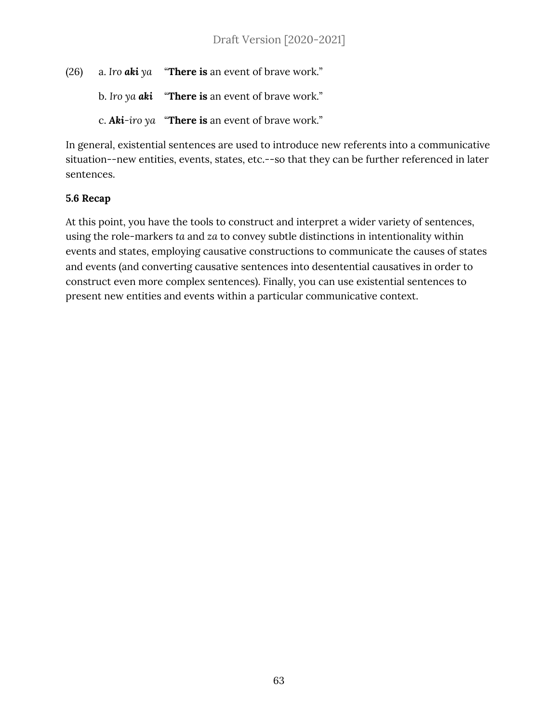(26) a. *Iro aki ya* "**There is** an event of brave work."

b. *Iro ya aki* "**There is** an event of brave work."

c. *Aki-iro ya* "**There is** an event of brave work."

In general, existential sentences are used to introduce new referents into a communicative situation--new entities, events, states, etc.--so that they can be further referenced in later sentences.

#### **5.6 Recap**

At this point, you have the tools to construct and interpret a wider variety of sentences, using the role-markers *ta* and *za* to convey subtle distinctions in intentionality within events and states, employing causative constructions to communicate the causes of states and events (and converting causative sentences into desentential causatives in order to construct even more complex sentences). Finally, you can use existential sentences to present new entities and events within a particular communicative context.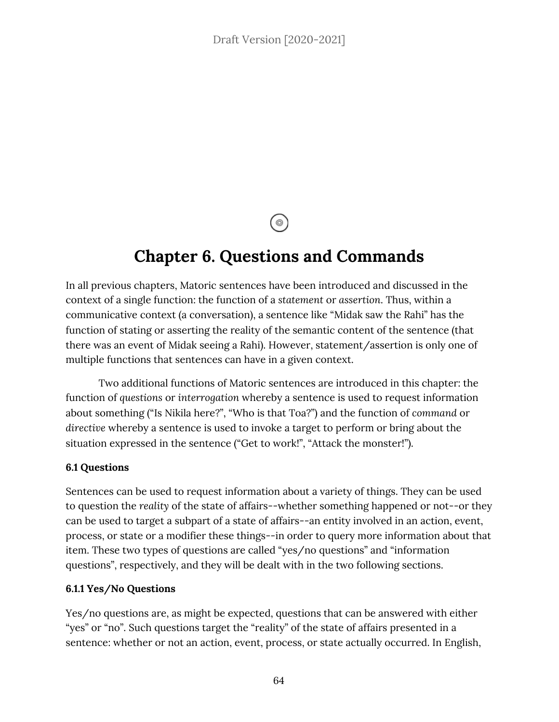$\circ$ 

# **Chapter 6. Questions and Commands**

In all previous chapters, Matoric sentences have been introduced and discussed in the context of a single function: the function of a *statement* or *assertion*. Thus, within a communicative context (a conversation), a sentence like "Midak saw the Rahi" has the function of stating or asserting the reality of the semantic content of the sentence (that there was an event of Midak seeing a Rahi). However, statement/assertion is only one of multiple functions that sentences can have in a given context.

Two additional functions of Matoric sentences are introduced in this chapter: the function of *questions* or *interrogation* whereby a sentence is used to request information about something ("Is Nikila here?", "Who is that Toa?") and the function of *command* or *directive* whereby a sentence is used to invoke a target to perform or bring about the situation expressed in the sentence ("Get to work!", "Attack the monster!").

#### **6.1 Questions**

Sentences can be used to request information about a variety of things. They can be used to question the *reality* of the state of affairs--whether something happened or not--or they can be used to target a subpart of a state of affairs--an entity involved in an action, event, process, or state or a modifier these things--in order to query more information about that item. These two types of questions are called "yes/no questions" and "information questions", respectively, and they will be dealt with in the two following sections.

#### **6.1.1 Yes/No Questions**

Yes/no questions are, as might be expected, questions that can be answered with either "yes" or "no". Such questions target the "reality" of the state of affairs presented in a sentence: whether or not an action, event, process, or state actually occurred. In English,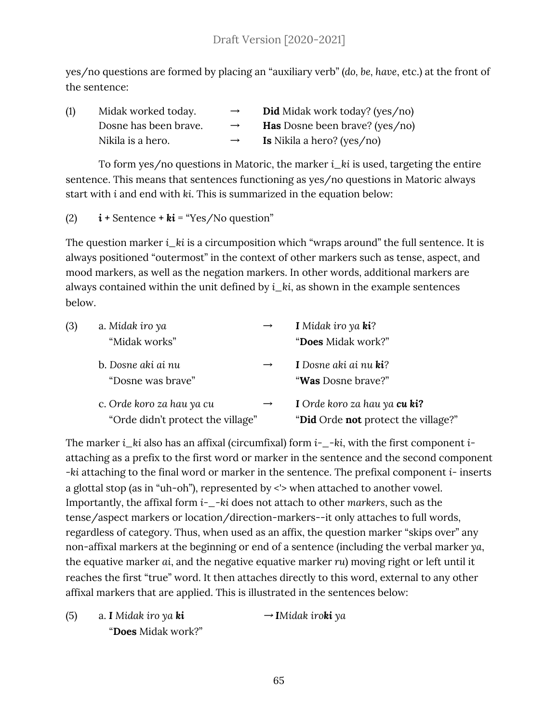yes/no questions are formed by placing an "auxiliary verb" (*do, be, have*, etc.) at the front of the sentence:

| (1) | Midak worked today.   | $\rightarrow$ | <b>Did</b> Midak work today? (yes/no) |
|-----|-----------------------|---------------|---------------------------------------|
|     | Dosne has been brave. | $\rightarrow$ | <b>Has</b> Dosne been brave? (yes/no) |
|     | Nikila is a hero.     | $\rightarrow$ | <b>Is</b> Nikila a hero? (yes/no)     |

To form yes/no questions in Matoric, the marker *i\_ki* is used, targeting the entire sentence. This means that sentences functioning as yes/no questions in Matoric always start with *i* and end with *ki*. This is summarized in the equation below:

(2)  $i +$  Sentence  $+ki =$  "Yes/No question"

The question marker *i\_ki* is a circumposition which "wraps around" the full sentence. It is always positioned "outermost" in the context of other markers such as tense, aspect, and mood markers, as well as the negation markers. In other words, additional markers are always contained within the unit defined by *i\_ki*, as shown in the example sentences below.

| (3) | a. Midak iro ya                   | $\rightarrow$ | I Midak iro ya ki?                  |
|-----|-----------------------------------|---------------|-------------------------------------|
|     | "Midak works"                     |               | "Does Midak work?"                  |
|     | b. Dosne aki ai nu                | $\rightarrow$ | I Dosne aki ai nu ki?               |
|     | "Dosne was brave"                 |               | "Was Dosne brave?"                  |
|     | c. Orde koro za hau ya cu         | $\rightarrow$ | I Orde koro za hau ya cu ki?        |
|     | "Orde didn't protect the village" |               | "Did Orde not protect the village?" |

The marker *i\_ki* also has an affixal (circumfixal) form *i-\_-ki*, with the first component *i*attaching as a prefix to the first word or marker in the sentence and the second component *-ki* attaching to the final word or marker in the sentence. The prefixal component *i-* inserts a glottal stop (as in "uh-oh"), represented by <'> when attached to another vowel. Importantly, the affixal form *i-\_-ki* does not attach to other *markers*, such as the tense/aspect markers or location/direction-markers--it only attaches to full words, regardless of category. Thus, when used as an affix, the question marker "skips over" any non-affixal markers at the beginning or end of a sentence (including the verbal marker *ya*, the equative marker *ai*, and the negative equative marker *ru*) moving right or left until it reaches the first "true" word. It then attaches directly to this word, external to any other affixal markers that are applied. This is illustrated in the sentences below:

(5) a. **I** Midak iro ya **ki**  $\rightarrow$  **I**Midak iro**ki** ya "**Does** Midak work?"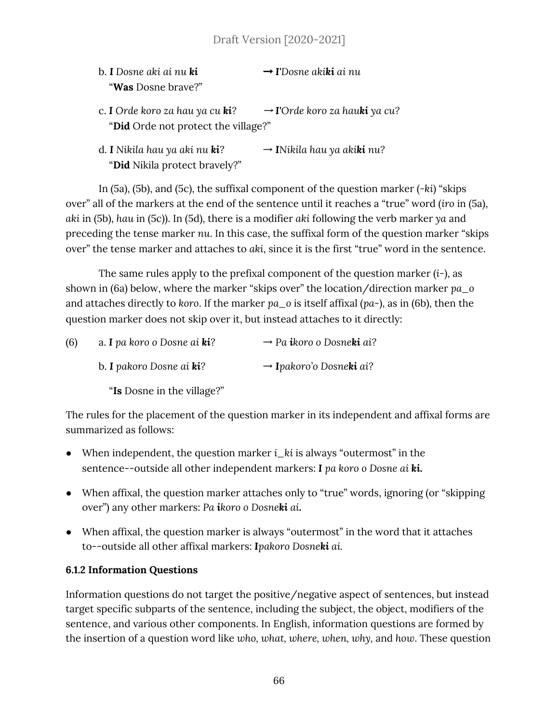# Draft Version [2020-2021]

| b. <b>I</b> Dosne aki ai nu <b>ki</b>          | $\rightarrow$ I'Dosne aki <b>ki</b> ai nu |
|------------------------------------------------|-------------------------------------------|
| " <b>Was</b> Dosne brave?"                     |                                           |
| c. <b>I</b> Orde koro za hau ya cu <b>ki</b> ? | $\rightarrow$ I'Orde koro za hauki ya cu? |
| "Did Orde not protect the village?"            |                                           |

d. *I Nikila hau ya aki nu ki?* → *INikila hau ya akiki nu?* "**Did** Nikila protect bravely?"

In (5a), (5b), and (5c), the suffixal component of the question marker (*-ki*) "skips over" all of the markers at the end of the sentence until it reaches a "true" word (*iro* in (5a), *aki* in (5b), *hau* in (5c)). In (5d), there is a modifier *aki* following the verb marker *ya* and preceding the tense marker *nu*. In this case, the suffixal form of the question marker "skips over" the tense marker and attaches to *aki*, since it is the first "true" word in the sentence.

The same rules apply to the prefixal component of the question marker (*i-*), as shown in (6a) below, where the marker "skips over" the location/direction marker *pa\_o* and attaches directly to *koro*. If the marker *pa\_o* is itself affixal (*pa-*), as in (6b), then the question marker does not skip over it, but instead attaches to it directly:

| (6) | a. <b>I</b> pa koro o Dosne ai <b>ki</b> ? | $\rightarrow$ Pa ikoro o Dosneki ai?        |
|-----|--------------------------------------------|---------------------------------------------|
|     | b. I pakoro Dosne ai ki?                   | $\rightarrow$ Ipakoro'o Dosne <b>ki</b> ai? |

"**Is** Dosne in the village?"

The rules for the placement of the question marker in its independent and affixal forms are summarized as follows:

- When independent, the question marker *i\_ki* is always "outermost" in the sentence--outside all other independent markers: *I pa koro o Dosne ai ki***.**
- When affixal, the question marker attaches only to "true" words, ignoring (or "skipping" over") any other markers: *Pa ikoro o Dosneki ai***.**
- When affixal, the question marker is always "outermost" in the word that it attaches to--outside all other affixal markers: *Ipakoro Dosneki ai.*

#### **6.1.2 Information Questions**

Information questions do not target the positive/negative aspect of sentences, but instead target specific subparts of the sentence, including the subject, the object, modifiers of the sentence, and various other components. In English, information questions are formed by the insertion of a question word like *who, what, where, when, why,* and *how*. These question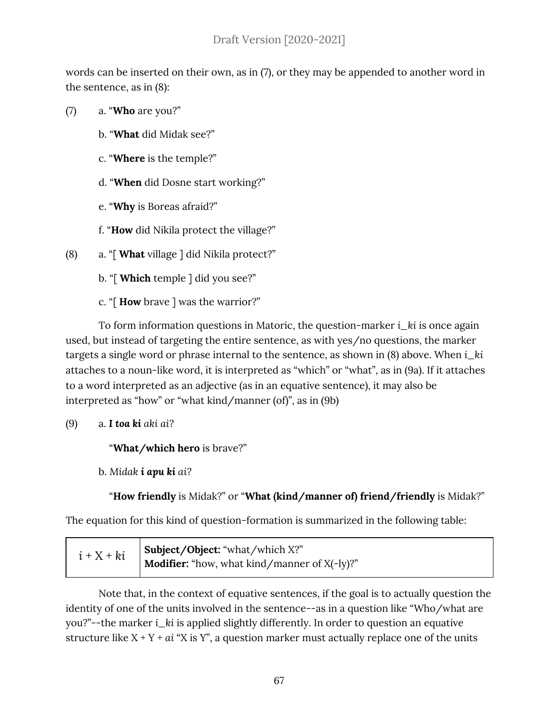words can be inserted on their own, as in (7), or they may be appended to another word in the sentence, as in (8):

- (7) a. "**Who** are you?"
	- b. "**What** did Midak see?"
	- c. "**Where** is the temple?"
	- d. "**When** did Dosne start working?"
	- e. "**Why** is Boreas afraid?"
	- f. "**How** did Nikila protect the village?"
- (8) a. "[ **What** village ] did Nikila protect?"
	- b. "[ **Which** temple ] did you see?"
	- c. "[ **How** brave ] was the warrior?"

To form information questions in Matoric, the question-marker *i\_ki* is once again used, but instead of targeting the entire sentence, as with yes/no questions, the marker targets a single word or phrase internal to the sentence, as shown in (8) above. When *i\_ki* attaches to a noun-like word, it is interpreted as "which" or "what", as in (9a). If it attaches to a word interpreted as an adjective (as in an equative sentence), it may also be interpreted as "how" or "what kind/manner (of)", as in (9b)

(9) a. *I toa ki aki ai?*

"**What/which hero** is brave?"

b. *Midak i apu ki ai?*

# "**How friendly** is Midak?" or "**What (kind/manner of) friend/friendly** is Midak?"

The equation for this kind of question-formation is summarized in the following table:

| $i + X + ki$ | Subject/Object: "what/which X?"<br><b>Modifier:</b> "how, what kind/manner of $X(-ly)$ ?" |
|--------------|-------------------------------------------------------------------------------------------|
|--------------|-------------------------------------------------------------------------------------------|

Note that, in the context of equative sentences, if the goal is to actually question the identity of one of the units involved in the sentence--as in a question like "Who/what are you?"--the marker *i\_ki* is applied slightly differently. In order to question an equative structure like  $X + Y + ai$  "X is Y", a question marker must actually replace one of the units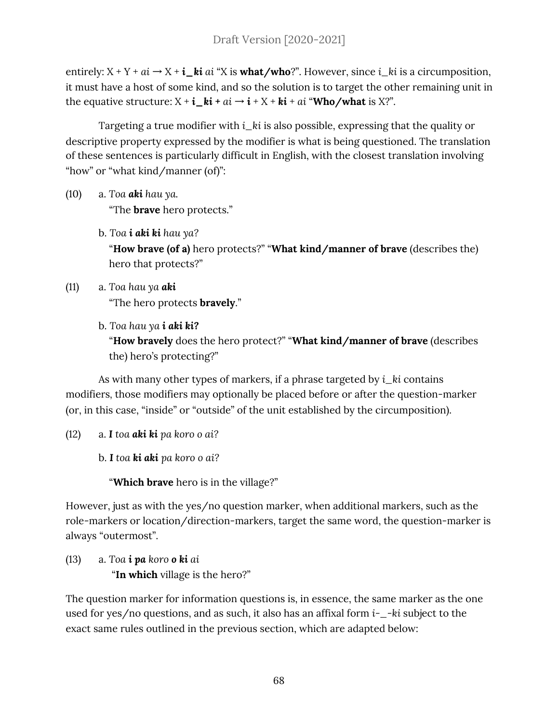entirely:  $X + Y + ai \rightarrow X + i_ki$  *ai* "X is **what/who**?". However, since *i\_ki* is a circumposition, it must have a host of some kind, and so the solution is to target the other remaining unit in the equative structure:  $X + i_k i + ai \rightarrow i + k + ki + ai$  "Who/what is X?".

Targeting a true modifier with *i\_ki* is also possible, expressing that the quality or descriptive property expressed by the modifier is what is being questioned. The translation of these sentences is particularly difficult in English, with the closest translation involving "how" or "what kind/manner (of)":

- (10) a. *Toa aki hau ya.* "The **brave** hero protects."
	- b. *Toa i aki ki hau ya?* "**How brave (of a)** hero protects?" "**What kind/manner of brave** (describes the) hero that protects?"
- (11) a. *Toa hau ya aki* "The hero protects **bravely**."
	- b. *Toa hau ya i aki ki?*

"**How bravely** does the hero protect?" "**What kind/manner of brave** (describes the) hero's protecting?"

As with many other types of markers, if a phrase targeted by *i\_ki* contains modifiers*,* those modifiers may optionally be placed before or after the question-marker (or, in this case, "inside" or "outside" of the unit established by the circumposition).

(12) a. *I toa aki ki pa koro o ai?*

b. *I toa ki aki pa koro o ai?*

"**Which brave** hero is in the village?"

However, just as with the yes/no question marker, when additional markers, such as the role-markers or location/direction-markers, target the same word, the question-marker is always "outermost".

(13) a. *Toa i pa koro o ki ai* "**In which** village is the hero?"

The question marker for information questions is, in essence, the same marker as the one used for yes/no questions, and as such, it also has an affixal form *i-\_-ki* subject to the exact same rules outlined in the previous section, which are adapted below: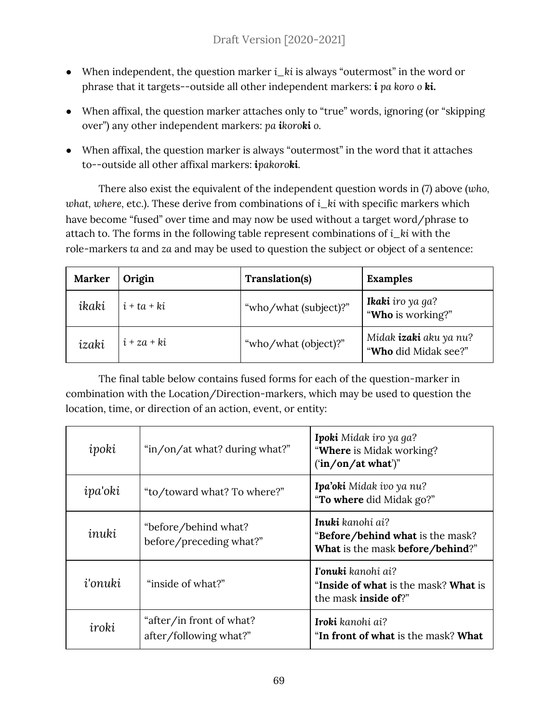- When independent, the question marker *i\_ki* is always "outermost" in the word or phrase that it targets--outside all other independent markers: *i pa koro o ki***.**
- When affixal, the question marker attaches only to "true" words, ignoring (or "skipping") over") any other independent markers: *pa ikoroki o.*
- When affixal, the question marker is always "outermost" in the word that it attaches to--outside all other affixal markers: *ipakoroki.*

There also exist the equivalent of the independent question words in (7) above (*who, what, where,* etc.). These derive from combinations of *i\_ki* with specific markers which have become "fused" over time and may now be used without a target word/phrase to attach to. The forms in the following table represent combinations of *i\_ki* with the role-markers *ta* and *za* and may be used to question the subject or object of a sentence:

| <b>Marker</b> | Origin        | Translation(s)        | <b>Examples</b>                                       |
|---------------|---------------|-----------------------|-------------------------------------------------------|
| ikaki         | $i + ta + ki$ | "who/what (subject)?" | <b>Ikaki</b> iro ya qa?<br>"Who is working?"          |
| izaki         | $i + za + ki$ | "who/what (object)?"  | Midak <b>izaki</b> aku ya nu?<br>"Who did Midak see?" |

The final table below contains fused forms for each of the question-marker in combination with the Location/Direction-markers, which may be used to question the location, time, or direction of an action, event, or entity:

| ipoki          | "in/on/at what? during what?"                      | Ipoki Midak iro ya ga?<br>"Where is Midak working?<br>$(in/on/at what)$ "                        |  |
|----------------|----------------------------------------------------|--------------------------------------------------------------------------------------------------|--|
| ipa'oki        | "to/toward what? To where?"                        | Ipa'oki Midak ivo ya nu?<br>"To where did Midak go?"                                             |  |
| inuki          | "before/behind what?<br>before/preceding what?"    | <b>Inuki</b> kanohi ai?<br>"Before/behind what is the mask?<br>What is the mask before/behind?"  |  |
| <i>i'onuki</i> | "inside of what?"                                  | <b>Tonuki</b> kanohi ai?<br>"Inside of what is the mask? What is<br>the mask <b>inside of</b> ?" |  |
| iroki          | "after/in front of what?<br>after/following what?" | <b>Iroki</b> kanohi ai?<br>"In front of what is the mask? What                                   |  |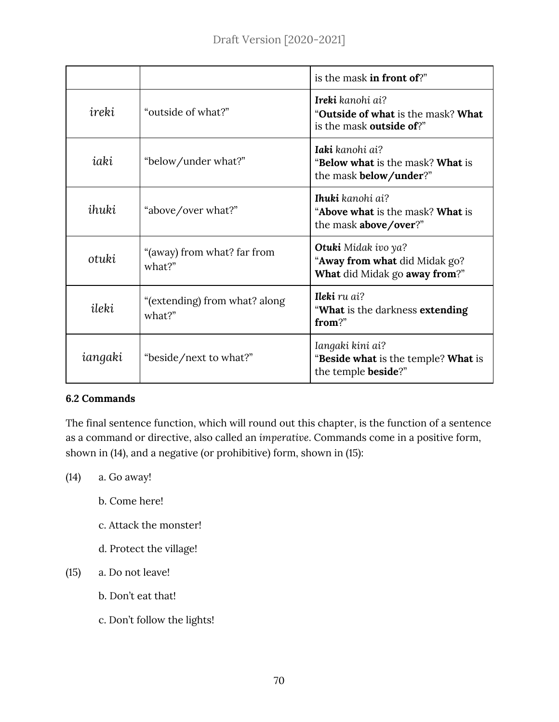|         |                                         | is the mask in front of?"                                                                    |
|---------|-----------------------------------------|----------------------------------------------------------------------------------------------|
| ireki   | "outside of what?"                      | <b>Ireki</b> kanohi ai?<br>"Outside of what is the mask? What<br>is the mask outside of?"    |
| iaki    | "below/under what?"                     | <b>Iaki</b> kanohi ai?<br>"Below what is the mask? What is<br>the mask below/under?"         |
| ihuki   | "above/over what?"                      | <b>Ihuki</b> kanohi ai?<br>"Above what is the mask? What is<br>the mask <b>above/over?</b> " |
| otuki   | "(away) from what? far from<br>what?"   | <b>Otuki</b> Midak ivo ya?<br>"Away from what did Midak go?<br>What did Midak go away from?" |
| ileki   | "(extending) from what? along<br>what?" | <b>Ileki</b> ru ai?<br>"What is the darkness extending"<br>from?"                            |
| iangaki | "beside/next to what?"                  | Iangaki kini ai?<br>"Beside what is the temple? What is<br>the temple beside?"               |

#### **6.2 Commands**

The final sentence function, which will round out this chapter, is the function of a sentence as a command or directive, also called an *imperative*. Commands come in a positive form, shown in (14), and a negative (or prohibitive) form, shown in (15):

(14) a. Go away!

- b. Come here!
- c. Attack the monster!
- d. Protect the village!

# (15) a. Do not leave!

- b. Don't eat that!
- c. Don't follow the lights!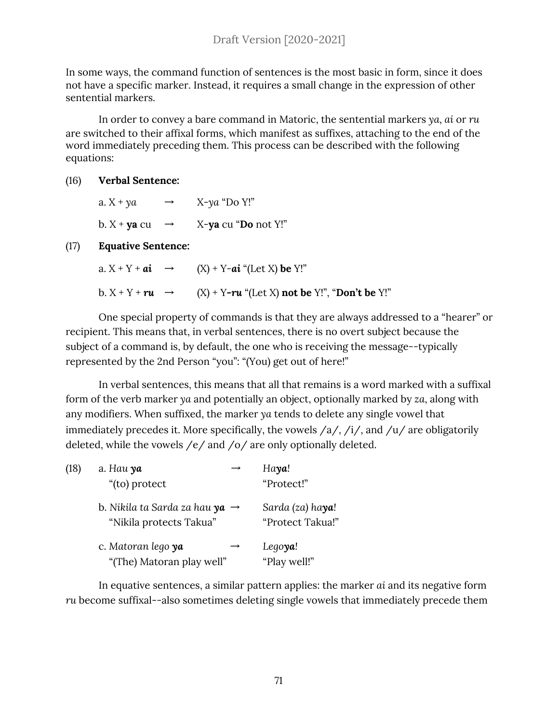In some ways, the command function of sentences is the most basic in form, since it does not have a specific marker. Instead, it requires a small change in the expression of other sentential markers.

In order to convey a bare command in Matoric, the sentential markers *ya*, *ai* or *ru* are switched to their affixal forms, which manifest as suffixes, attaching to the end of the word immediately preceding them. This process can be described with the following equations:

#### (16) **Verbal Sentence:**

a.  $X + \gamma a \rightarrow X - \gamma a \text{``Do Y!''}$ b.  $X + ya cu \rightarrow X - ya cu$  "Do not Y!"

#### (17) **Equative Sentence:**

| a. $X + Y + ai \rightarrow$ | $(X) + Y - ai$ "(Let X) be Y!"                  |
|-----------------------------|-------------------------------------------------|
| b. $X + Y + ru \rightarrow$ | $(X)$ + Y-ru "(Let X) not be Y!", "Don't be Y!" |

One special property of commands is that they are always addressed to a "hearer" or recipient. This means that, in verbal sentences, there is no overt subject because the subject of a command is, by default, the one who is receiving the message--typically represented by the 2nd Person "you": "(You) get out of here!"

In verbal sentences, this means that all that remains is a word marked with a suffixal form of the verb marker *ya* and potentially an object, optionally marked by *za*, along with any modifiers. When suffixed, the marker *ya* tends to delete any single vowel that immediately precedes it. More specifically, the vowels  $\frac{\lambda}{\lambda}$ ,  $\frac{\lambda}{\lambda}$ , and  $\frac{\lambda}{\lambda}$  are obligatorily deleted, while the vowels /e/ and /o/ are only optionally deleted.

| (18) | a. Hau ya                                                                    |  | Haya!                                         |
|------|------------------------------------------------------------------------------|--|-----------------------------------------------|
|      | "(to) protect                                                                |  | "Protect!"                                    |
|      | b. Nikila ta Sarda za hau <b>ya</b> $\rightarrow$<br>"Nikila protects Takua" |  | Sarda (za) ha <b>ya</b> !<br>"Protect Takua!" |
|      | c. Matoran lego ya<br>$\rightarrow$                                          |  | Legoya!                                       |
|      | "(The) Matoran play well"                                                    |  | "Play well!"                                  |

In equative sentences, a similar pattern applies: the marker *ai* and its negative form *ru* become suffixal--also sometimes deleting single vowels that immediately precede them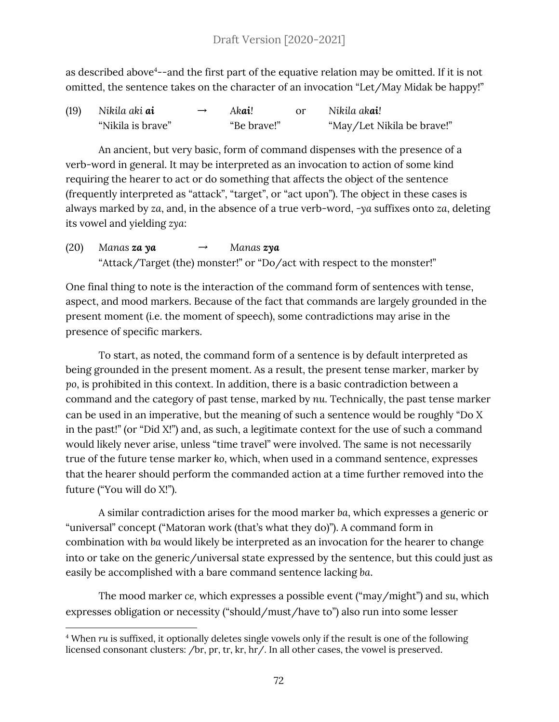as described above<sup>4</sup>--and the first part of the equative relation may be omitted. If it is not omitted, the sentence takes on the character of an invocation "Let/May Midak be happy!"

| (19) | Nikila aki <b>ai</b> | $\rightarrow$ | Ak <b>ai</b> ! | Nikila ak <b>ai</b> !      |
|------|----------------------|---------------|----------------|----------------------------|
|      | "Nikila is brave"    |               | "Be brave!"    | "May/Let Nikila be brave!" |

An ancient, but very basic, form of command dispenses with the presence of a verb-word in general. It may be interpreted as an invocation to action of some kind requiring the hearer to act or do something that affects the object of the sentence (frequently interpreted as "attack", "target", or "act upon"). The object in these cases is always marked by *za*, and, in the absence of a true verb-word, *-ya* suffixes onto *za*, deleting its vowel and yielding *zya*:

(20) *Manas za ya* <sup>→</sup> *Manas zya* "Attack/Target (the) monster!" or "Do/act with respect to the monster!"

One final thing to note is the interaction of the command form of sentences with tense, aspect, and mood markers. Because of the fact that commands are largely grounded in the present moment (i.e. the moment of speech), some contradictions may arise in the presence of specific markers.

To start, as noted, the command form of a sentence is by default interpreted as being grounded in the present moment. As a result, the present tense marker, marker by *po*, is prohibited in this context. In addition, there is a basic contradiction between a command and the category of past tense, marked by *nu*. Technically, the past tense marker can be used in an imperative, but the meaning of such a sentence would be roughly "Do X in the past!" (or "Did X!") and, as such, a legitimate context for the use of such a command would likely never arise, unless "time travel" were involved. The same is not necessarily true of the future tense marker *ko*, which, when used in a command sentence, expresses that the hearer should perform the commanded action at a time further removed into the future ("You will do X!").

A similar contradiction arises for the mood marker *ba*, which expresses a generic or "universal" concept ("Matoran work (that's what they do)"). A command form in combination with *ba* would likely be interpreted as an invocation for the hearer to change into or take on the generic/universal state expressed by the sentence, but this could just as easily be accomplished with a bare command sentence lacking *ba*.

The mood marker *ce,* which expresses a possible event ("may/might") and *su*, which expresses obligation or necessity ("should/must/have to") also run into some lesser

<sup>4</sup> When *ru* is suffixed, it optionally deletes single vowels only if the result is one of the following licensed consonant clusters: /br, pr, tr, kr, hr/. In all other cases, the vowel is preserved.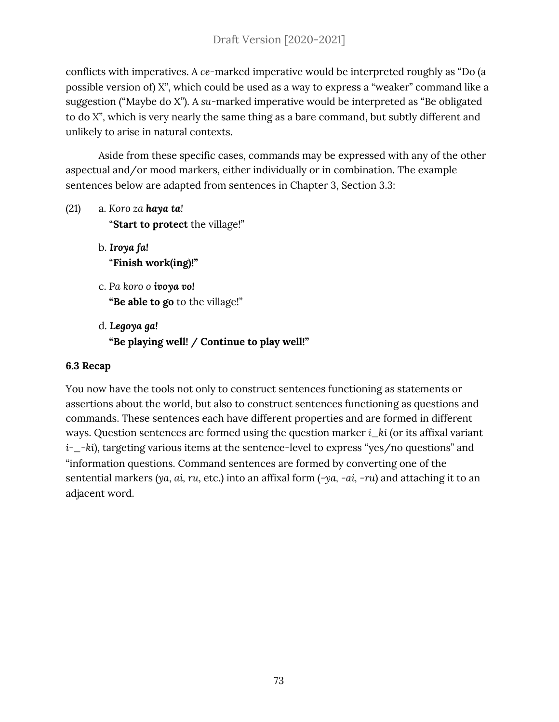conflicts with imperatives. A *ce*-marked imperative would be interpreted roughly as "Do (a possible version of) X", which could be used as a way to express a "weaker" command like a suggestion ("Maybe do X"). A *su-*marked imperative would be interpreted as "Be obligated to do X", which is very nearly the same thing as a bare command, but subtly different and unlikely to arise in natural contexts.

Aside from these specific cases, commands may be expressed with any of the other aspectual and/or mood markers, either individually or in combination. The example sentences below are adapted from sentences in Chapter 3, Section 3.3:

- (21) a. *Koro za haya ta!* "**Start to protect** the village!"
	- b. *Iroya fa!* "**Finish work(ing)!"**
	- c. *Pa koro o ivoya vo!* **"Be able to go** to the village!"
	- d. *Legoya ga!* **"Be playing well! / Continue to play well!"**

#### **6.3 Recap**

You now have the tools not only to construct sentences functioning as statements or assertions about the world, but also to construct sentences functioning as questions and commands. These sentences each have different properties and are formed in different ways. Question sentences are formed using the question marker *i\_ki* (or its affixal variant *i-\_-ki*), targeting various items at the sentence-level to express "yes/no questions" and "information questions. Command sentences are formed by converting one of the sentential markers (*ya, ai, ru*, etc.) into an affixal form (*-ya, -ai, -ru*) and attaching it to an adjacent word.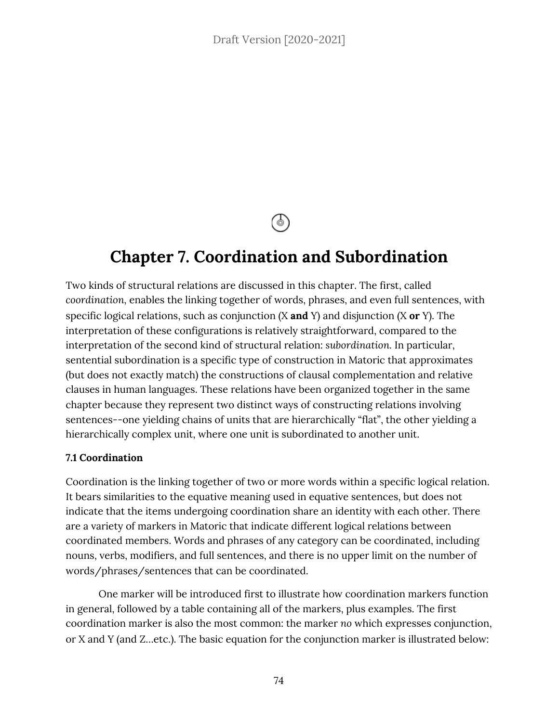# **Chapter 7. Coordination and Subordination**

Two kinds of structural relations are discussed in this chapter. The first, called *coordination,* enables the linking together of words, phrases, and even full sentences, with specific logical relations, such as conjunction (X **and** Y) and disjunction (X **or** Y). The interpretation of these configurations is relatively straightforward, compared to the interpretation of the second kind of structural relation: *subordination.* In particular, sentential subordination is a specific type of construction in Matoric that approximates (but does not exactly match) the constructions of clausal complementation and relative clauses in human languages. These relations have been organized together in the same chapter because they represent two distinct ways of constructing relations involving sentences--one yielding chains of units that are hierarchically "flat", the other yielding a hierarchically complex unit, where one unit is subordinated to another unit.

#### **7.1 Coordination**

Coordination is the linking together of two or more words within a specific logical relation. It bears similarities to the equative meaning used in equative sentences, but does not indicate that the items undergoing coordination share an identity with each other. There are a variety of markers in Matoric that indicate different logical relations between coordinated members. Words and phrases of any category can be coordinated, including nouns, verbs, modifiers, and full sentences, and there is no upper limit on the number of words/phrases/sentences that can be coordinated.

One marker will be introduced first to illustrate how coordination markers function in general, followed by a table containing all of the markers, plus examples. The first coordination marker is also the most common: the marker *no* which expresses conjunction, or X and Y (and Z…etc.). The basic equation for the conjunction marker is illustrated below: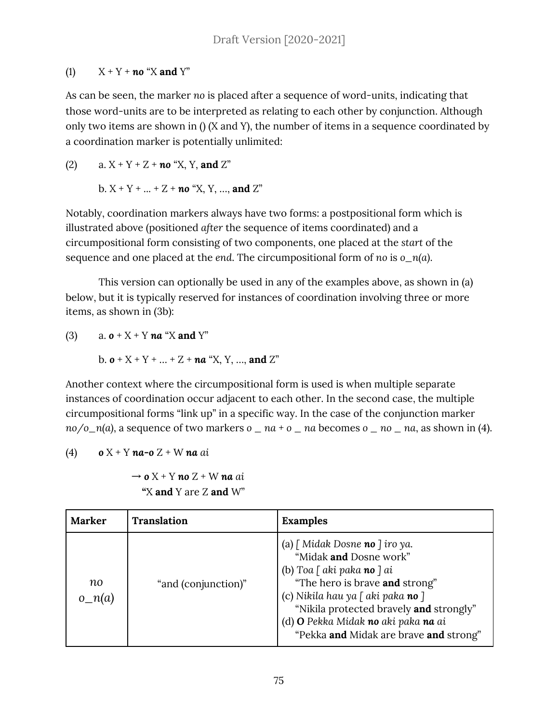#### (1)  $X + Y + no$  "X and Y"

As can be seen, the marker *no* is placed after a sequence of word-units, indicating that those word-units are to be interpreted as relating to each other by conjunction. Although only two items are shown in () (X and Y), the number of items in a sequence coordinated by a coordination marker is potentially unlimited:

(2) a.  $X + Y + Z + no$  "X, Y, and Z"

b.  $X + Y + ... + Z + no$  "X, Y, ..., and Z"

Notably, coordination markers always have two forms: a postpositional form which is illustrated above (positioned *after* the sequence of items coordinated) and a circumpositional form consisting of two components, one placed at the *start* of the sequence and one placed at the *end*. The circumpositional form of *no* is *o\_n(a)*.

This version can optionally be used in any of the examples above, as shown in (a) below, but it is typically reserved for instances of coordination involving three or more items, as shown in (3b):

(3) a.  $o + X + Y$  *na* "X and Y"

b.  $o + X + Y + ... + Z + na''X, Y, ..., and Z''$ 

Another context where the circumpositional form is used is when multiple separate instances of coordination occur adjacent to each other. In the second case, the multiple circumpositional forms "link up" in a specific way. In the case of the conjunction marker  $no/o_n(a)$ , a sequence of two markers  $o_n$  *na* +  $o_n$  *na* becomes  $o_n$  *no*  $a_n$ , as shown in (4).

(4) *o* X + Y *na-o* Z + W *na ai*

→ *o* X + Y *no* Z + W *na ai* **"**X **and** Y are Z **and** W"

| <b>Marker</b>  | <b>Translation</b>  | <b>Examples</b>                                                                                                                                                                                                                                                                                                                                                 |
|----------------|---------------------|-----------------------------------------------------------------------------------------------------------------------------------------------------------------------------------------------------------------------------------------------------------------------------------------------------------------------------------------------------------------|
| no<br>$o_n(a)$ | "and (conjunction)" | (a) $\lceil$ Midak Dosne <b>no</b> $\lceil$ iro ya.<br>"Midak and Dosne work"<br>(b) Toa $\lceil aki$ paka <b>no</b> $\lceil ai \rceil$<br>"The hero is brave and strong"<br>(c) Nikila hau ya $\lceil$ aki paka <b>no</b> $\rceil$<br>"Nikila protected bravely and strongly"<br>(d) O Pekka Midak no aki paka na ai<br>"Pekka and Midak are brave and strong" |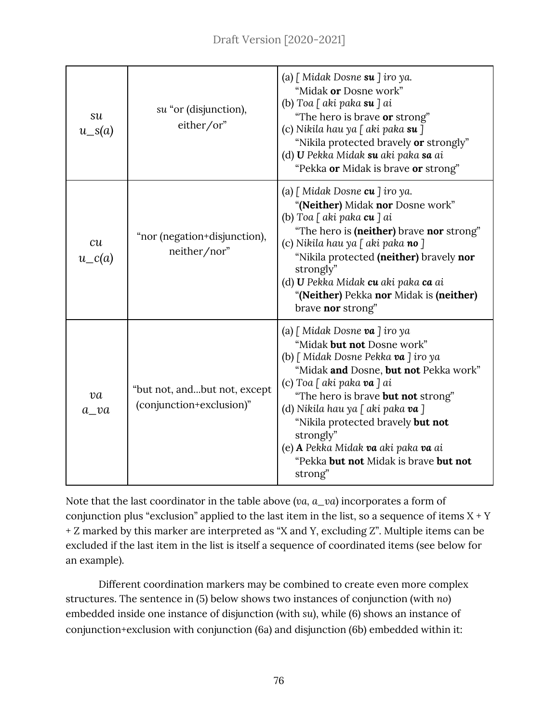| su<br>$u_s(a)$    | su "or (disjunction),<br>either/or"                      | (a) [ Midak Dosne $su$ ] iro ya.<br>"Midak or Dosne work"<br>(b) Toa $\lceil aki$ paka su $\lceil ai \rceil$<br>"The hero is brave or strong"<br>(c) Nikila hau ya [ aki paka su ]<br>"Nikila protected bravely or strongly"<br>(d) U Pekka Midak su aki paka sa ai<br>"Pekka or Midak is brave or strong"                                                                                                                             |
|-------------------|----------------------------------------------------------|----------------------------------------------------------------------------------------------------------------------------------------------------------------------------------------------------------------------------------------------------------------------------------------------------------------------------------------------------------------------------------------------------------------------------------------|
| cu<br>$u\_{c}(a)$ | "nor (negation+disjunction),<br>neither/nor"             | (a) [Midak Dosne $cu$ ] iro ya.<br>"(Neither) Midak nor Dosne work"<br>(b) Toa $\lceil aki$ paka cu $\lceil ai \rceil$<br>"The hero is (neither) brave nor strong"<br>(c) Nikila hau ya [ aki paka no ]<br>"Nikila protected (neither) bravely nor<br>strongly"<br>(d) U Pekka Midak cu aki paka ca ai<br>"(Neither) Pekka nor Midak is (neither)<br>brave <b>nor</b> strong"                                                          |
| va<br>$a$ _va     | "but not, andbut not, except<br>(conjunction+exclusion)" | (a) [ Midak Dosne $va$ ] iro ya<br>"Midak <b>but not</b> Dosne work"<br>(b) [ Midak Dosne Pekka <b>va</b> ] iro ya<br>"Midak and Dosne, but not Pekka work"<br>(c) Toa [ aki paka va ] ai<br>"The hero is brave <b>but not</b> strong"<br>(d) Nikila hau ya [ aki paka <b>va</b> ]<br>"Nikila protected bravely <b>but not</b><br>strongly"<br>(e) A Pekka Midak va aki paka va ai<br>"Pekka but not Midak is brave but not<br>strong" |

Note that the last coordinator in the table above (*va, a\_va*) incorporates a form of conjunction plus "exclusion" applied to the last item in the list, so a sequence of items  $X + Y$ + Z marked by this marker are interpreted as "X and Y, excluding Z". Multiple items can be excluded if the last item in the list is itself a sequence of coordinated items (see below for an example).

Different coordination markers may be combined to create even more complex structures. The sentence in (5) below shows two instances of conjunction (with *no*) embedded inside one instance of disjunction (with *su*), while (6) shows an instance of conjunction+exclusion with conjunction (6a) and disjunction (6b) embedded within it: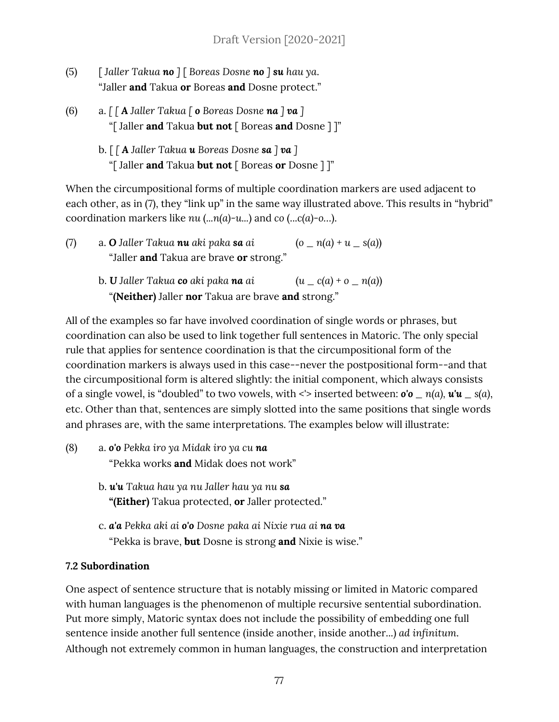- (5) [ *Jaller Takua no ]* [ *Boreas Dosne no ] su hau ya*. "Jaller **and** Takua **or** Boreas **and** Dosne protect."
- (6) a. *[ [ A Jaller Takua [ o Boreas Dosne na ] va ]* "[ Jaller **and** Takua **but not** [ Boreas **and** Dosne ] ]"
	- b. [ *[ A Jaller Takua u Boreas Dosne sa ] va ]* "[ Jaller **and** Takua **but not** [ Boreas **or** Dosne ] ]"

When the circumpositional forms of multiple coordination markers are used adjacent to each other, as in (7), they "link up" in the same way illustrated above. This results in "hybrid" coordination markers like *nu* (*...n(a)-u...*) and *co* (...*c(a)-o…*).

| (7) | a. <b>O</b> Jaller Takua <b>nu</b> aki paka <b>sa</b> ai | $(o_n(a) + u_s(a))$ |
|-----|----------------------------------------------------------|---------------------|
|     | "Jaller <b>and</b> Takua are brave <b>or</b> strong."    |                     |

b. *U Jaller Takua co aki paka na ai* (*u \_ c(a) + o \_ n(a)*) "**(Neither)** Jaller **nor** Takua are brave **and** strong."

All of the examples so far have involved coordination of single words or phrases, but coordination can also be used to link together full sentences in Matoric. The only special rule that applies for sentence coordination is that the circumpositional form of the coordination markers is always used in this case--never the postpositional form--and that the circumpositional form is altered slightly: the initial component, which always consists of a single vowel, is "doubled" to two vowels, with  $\leq$  inserted between:  $o'o$  *\_ n(a)*,  $u'u$  *\_ s(a)*, etc. Other than that, sentences are simply slotted into the same positions that single words and phrases are, with the same interpretations. The examples below will illustrate:

- (8) a. *o'o Pekka iro ya Midak iro ya cu na* "Pekka works **and** Midak does not work"
	- b. *u'u Takua hau ya nu Jaller hau ya nu sa* **"(Either)** Takua protected, **or** Jaller protected."
	- c. *a'a Pekka aki ai o'o Dosne paka ai Nixie rua ai na va* "Pekka is brave, **but** Dosne is strong **and** Nixie is wise."

#### **7.2 Subordination**

One aspect of sentence structure that is notably missing or limited in Matoric compared with human languages is the phenomenon of multiple recursive sentential subordination. Put more simply, Matoric syntax does not include the possibility of embedding one full sentence inside another full sentence (inside another, inside another...) *ad infinitum*. Although not extremely common in human languages, the construction and interpretation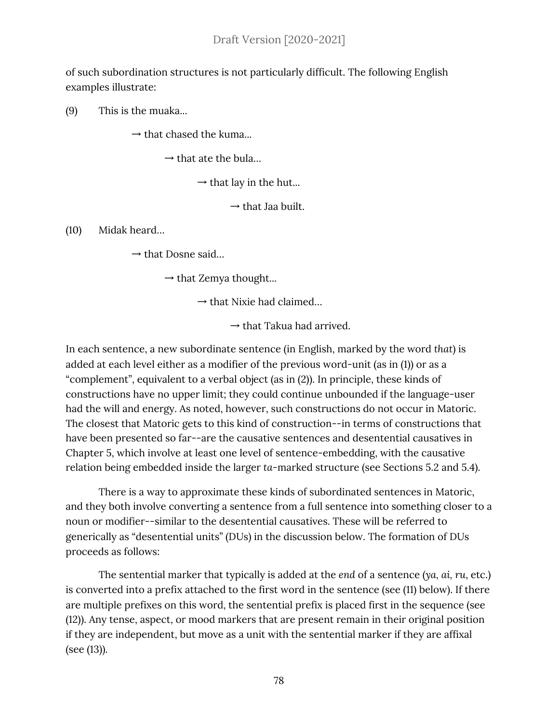of such subordination structures is not particularly difficult. The following English examples illustrate:

(9) This is the muaka...

 $\rightarrow$  that chased the kuma...

 $\rightarrow$  that ate the bula...

 $\rightarrow$  that lay in the hut...

 $\rightarrow$  that Jaa built.

(10) Midak heard…

 $\rightarrow$  that Dosne said...

 $\rightarrow$  that Zemya thought...

 $\rightarrow$  that Nixie had claimed...

 $\rightarrow$  that Takua had arrived.

In each sentence, a new subordinate sentence (in English, marked by the word *that*) is added at each level either as a modifier of the previous word-unit (as in (1)) or as a "complement", equivalent to a verbal object (as in (2)). In principle, these kinds of constructions have no upper limit; they could continue unbounded if the language-user had the will and energy. As noted, however, such constructions do not occur in Matoric. The closest that Matoric gets to this kind of construction--in terms of constructions that have been presented so far--are the causative sentences and desentential causatives in Chapter 5, which involve at least one level of sentence-embedding, with the causative relation being embedded inside the larger *ta*-marked structure (see Sections 5.2 and 5.4).

There is a way to approximate these kinds of subordinated sentences in Matoric, and they both involve converting a sentence from a full sentence into something closer to a noun or modifier--similar to the desentential causatives. These will be referred to generically as "desentential units" (DUs) in the discussion below. The formation of DUs proceeds as follows:

The sentential marker that typically is added at the *end* of a sentence (*ya, ai, ru*, etc.) is converted into a prefix attached to the first word in the sentence (see (11) below). If there are multiple prefixes on this word, the sentential prefix is placed first in the sequence (see (12)). Any tense, aspect, or mood markers that are present remain in their original position if they are independent, but move as a unit with the sentential marker if they are affixal (see (13)).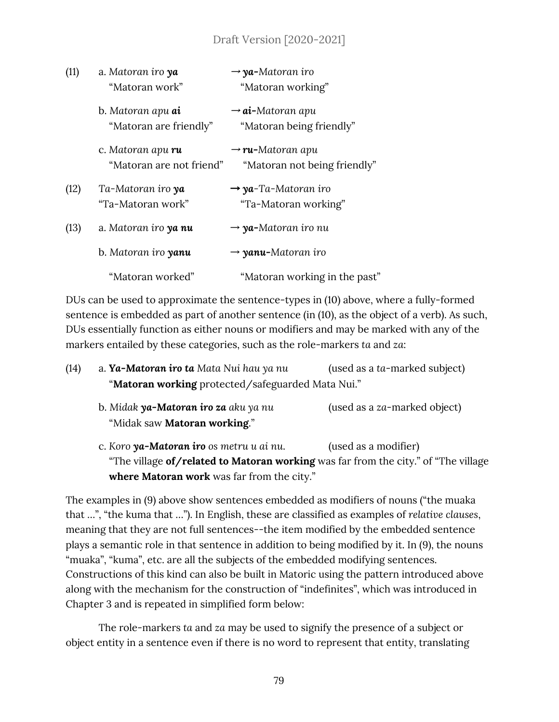### Draft Version [2020-2021]

| (11) | a. Matoran iro ya<br>"Matoran work"                | $\rightarrow$ <b>ya-</b> Matoran iro<br>"Matoran working"    |
|------|----------------------------------------------------|--------------------------------------------------------------|
|      | b. Matoran apu <b>ai</b><br>"Matoran are friendly" | $\rightarrow$ ai-Matoran apu<br>"Matoran being friendly"     |
|      | c. Matoran apu ru<br>"Matoran are not friend"      | $\rightarrow$ ru-Matoran apu<br>"Matoran not being friendly" |
| (12) | Ta-Matoran iro ya<br>"Ta-Matoran work"             | $\rightarrow$ ya-Ta-Matoran iro<br>"Ta-Matoran working"      |
| (13) | a. Matoran iro ya nu                               | $\rightarrow$ ya-Matoran iro nu                              |
|      | b. Matoran iro <b>yanu</b>                         | $\rightarrow$ yanu-Matoran iro                               |
|      | "Matoran worked"                                   | "Matoran working in the past"                                |

DUs can be used to approximate the sentence-types in (10) above, where a fully-formed sentence is embedded as part of another sentence (in (10), as the object of a verb). As such, DUs essentially function as either nouns or modifiers and may be marked with any of the markers entailed by these categories, such as the role-markers *ta* and *za*:

| (14)                                              | a. <b>Ya-Matoran iro ta</b> Mata Nui hau ya nu | (used as a ta-marked subject) |
|---------------------------------------------------|------------------------------------------------|-------------------------------|
| "Matoran working protected/safeguarded Mata Nui." |                                                |                               |

- b. *Midak ya-Matoran iro za aku ya nu* (used as a *za*-marked object) "Midak saw **Matoran working**."
- c. *Koro ya-Matoran iro os metru u ai nu*. (used as a modifier) "The village **of/related to Matoran working** was far from the city." of "The village **where Matoran work** was far from the city."

The examples in (9) above show sentences embedded as modifiers of nouns ("the muaka that …", "the kuma that …"). In English, these are classified as examples of *relative clauses*, meaning that they are not full sentences--the item modified by the embedded sentence plays a semantic role in that sentence in addition to being modified by it. In (9), the nouns "muaka", "kuma", etc. are all the subjects of the embedded modifying sentences. Constructions of this kind can also be built in Matoric using the pattern introduced above along with the mechanism for the construction of "indefinites", which was introduced in Chapter 3 and is repeated in simplified form below:

The role-markers *ta* and *za* may be used to signify the presence of a subject or object entity in a sentence even if there is no word to represent that entity, translating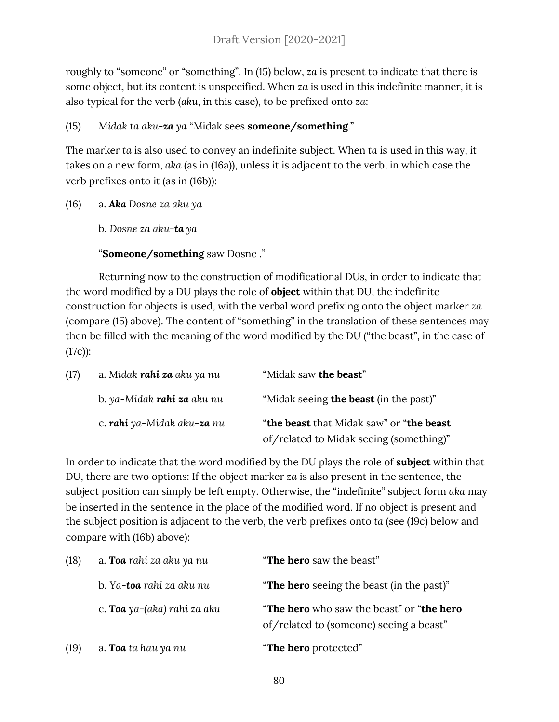roughly to "someone" or "something". In (15) below, *za* is present to indicate that there is some object, but its content is unspecified. When *za* is used in this indefinite manner, it is also typical for the verb (*aku*, in this case), to be prefixed onto *za*:

#### (15) *Midak ta aku-za ya* "Midak sees **someone/something**."

The marker *ta* is also used to convey an indefinite subject. When *ta* is used in this way, it takes on a new form, *aka* (as in (16a)), unless it is adjacent to the verb, in which case the verb prefixes onto it (as in (16b)):

(16) a. *Aka Dosne za aku ya*

b. *Dosne za aku-ta ya*

#### "**Someone/something** saw Dosne ."

Returning now to the construction of modificational DUs, in order to indicate that the word modified by a DU plays the role of **object** within that DU, the indefinite construction for objects is used, with the verbal word prefixing onto the object marker *za* (compare (15) above). The content of "something" in the translation of these sentences may then be filled with the meaning of the word modified by the DU ("the beast", in the case of (17c)):

| (17) | a. Midak <b>rahi za</b> aku ya nu         | "Midak saw <b>the beast</b> "                 |
|------|-------------------------------------------|-----------------------------------------------|
|      | b. ya-Midak <b>rahi za</b> aku nu         | "Midak seeing <b>the beast</b> (in the past)" |
|      | c. <b>rahi</b> ya-Midak aku- <b>za</b> nu | "the beast that Midak saw" or "the beast      |
|      |                                           | of/related to Midak seeing (something)"       |

In order to indicate that the word modified by the DU plays the role of **subject** within that DU, there are two options: If the object marker *za* is also present in the sentence, the subject position can simply be left empty. Otherwise, the "indefinite" subject form *aka* may be inserted in the sentence in the place of the modified word. If no object is present and the subject position is adjacent to the verb, the verb prefixes onto *ta* (see (19c) below and compare with (16b) above):

| (18) | a. <b>Toa</b> rahi za aku ya nu    | "The hero saw the beast"                                                                              |
|------|------------------------------------|-------------------------------------------------------------------------------------------------------|
|      | b. Ya- <b>toa</b> rahi za aku nu   | "The hero seeing the beast (in the past)"                                                             |
|      | c. <b>Toa</b> ya-(aka) rahi za aku | <b>"The hero</b> who saw the beast" or " <b>the hero</b> "<br>of/related to (someone) seeing a beast" |
| (19) | a. <b>Toa</b> ta hau ya nu         | "The hero protected"                                                                                  |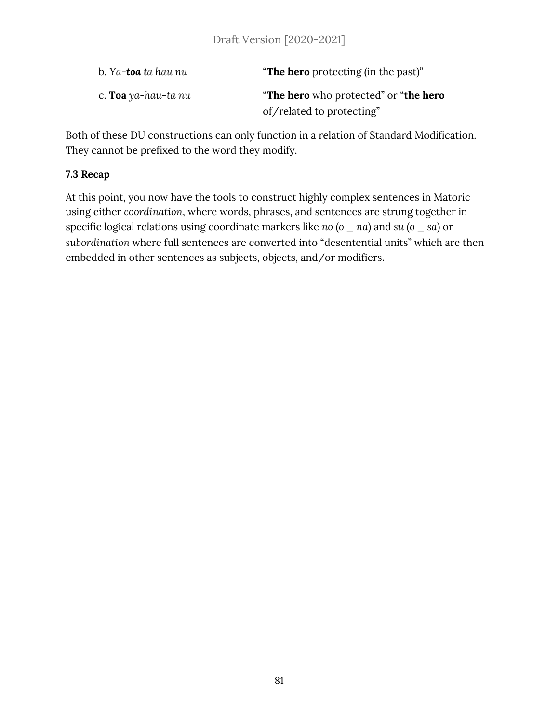## Draft Version [2020-2021]

| b. Ya- <b>toa</b> ta hau nu | "The hero protecting (in the past)"    |
|-----------------------------|----------------------------------------|
| c. <b>Toa</b> ya-hau-ta nu  | "The hero who protected" or "the hero" |
|                             | of/related to protecting"              |

Both of these DU constructions can only function in a relation of Standard Modification. They cannot be prefixed to the word they modify.

#### **7.3 Recap**

At this point, you now have the tools to construct highly complex sentences in Matoric using either *coordination*, where words, phrases, and sentences are strung together in specific logical relations using coordinate markers like *no* (*o \_ na*) and *su* (*o \_ sa*) or *subordination* where full sentences are converted into "desentential units" which are then embedded in other sentences as subjects, objects, and/or modifiers.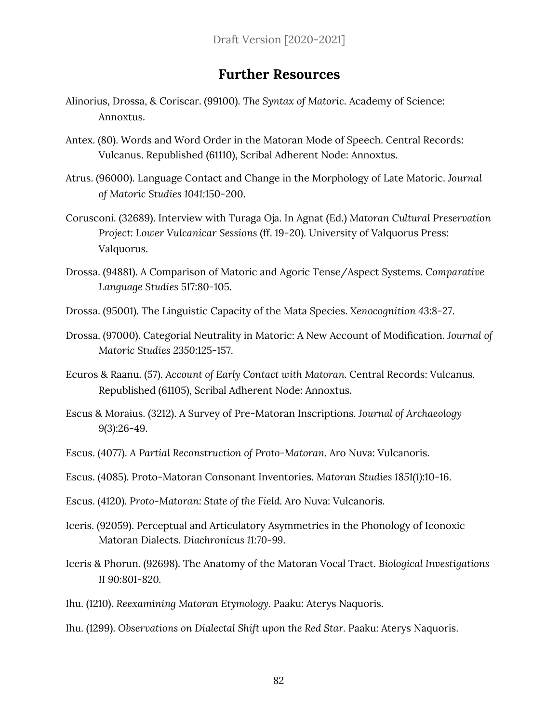## **Further Resources**

- Alinorius, Drossa, & Coriscar. (99100). *The Syntax of Matoric*. Academy of Science: Annoxtus.
- Antex. (80). Words and Word Order in the Matoran Mode of Speech. Central Records: Vulcanus. Republished (61110), Scribal Adherent Node: Annoxtus.
- Atrus. (96000). Language Contact and Change in the Morphology of Late Matoric. *Journal of Matoric Studies 1041:*150-200.
- Corusconi. (32689). Interview with Turaga Oja. In Agnat (Ed.) *Matoran Cultural Preservation Project: Lower Vulcanicar Sessions* (ff. 19-20)*.* University of Valquorus Press: Valquorus.
- Drossa. (94881). A Comparison of Matoric and Agoric Tense/Aspect Systems. *Comparative Language Studies* 517:80-105.
- Drossa. (95001). The Linguistic Capacity of the Mata Species. *Xenocognition 43:*8-27.
- Drossa. (97000). Categorial Neutrality in Matoric: A New Account of Modification. *Journal of Matoric Studies 2350:*125-157.
- Ecuros & Raanu. (57). *Account of Early Contact with Matoran.* Central Records: Vulcanus. Republished (61105), Scribal Adherent Node: Annoxtus.
- Escus & Moraius. (3212). A Survey of Pre-Matoran Inscriptions. *Journal of Archaeology 9(3)*:26-49.
- Escus. (4077). *A Partial Reconstruction of Proto-Matoran.* Aro Nuva: Vulcanoris.
- Escus. (4085). Proto-Matoran Consonant Inventories. *Matoran Studies 1851(1)*:10-16.
- Escus. (4120). *Proto-Matoran: State of the Field.* Aro Nuva: Vulcanoris.
- Iceris. (92059). Perceptual and Articulatory Asymmetries in the Phonology of Iconoxic Matoran Dialects. *Diachronicus 11:70-99*.
- Iceris & Phorun. (92698). The Anatomy of the Matoran Vocal Tract. *Biological Investigations II 90:801-820.*
- Ihu. (1210). *Reexamining Matoran Etymology.* Paaku: Aterys Naquoris.
- Ihu. (1299). *Observations on Dialectal Shift upon the Red Star.* Paaku: Aterys Naquoris.